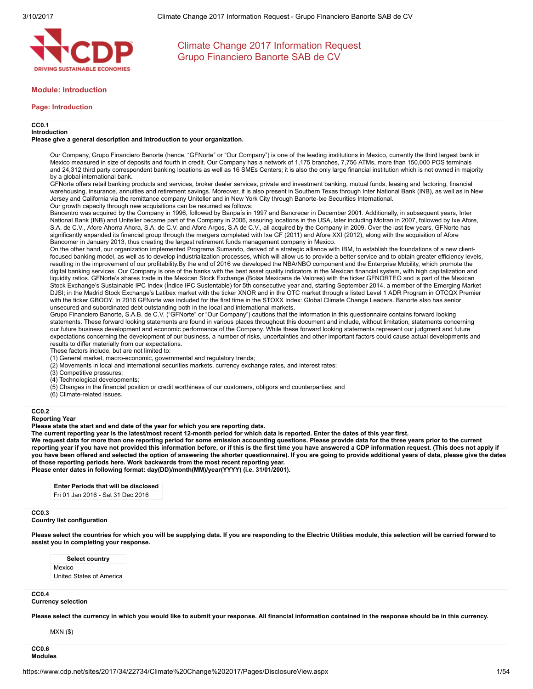

### Module: Introduction

#### Page: Introduction

#### CC0.1

Introduction

Please give a general description and introduction to your organization.

Our Company, Grupo Financiero Banorte (hence, "GFNorte" or "Our Company") is one of the leading institutions in Mexico, currently the third largest bank in Mexico measured in size of deposits and fourth in credit. Our Company has a network of 1,175 branches, 7,756 ATMs, more than 150,000 POS terminals and 24,312 third party correspondent banking locations as well as 16 SMEs Centers; it is also the only large financial institution which is not owned in majority by a global international bank.

GFNorte offers retail banking products and services, broker dealer services, private and investment banking, mutual funds, leasing and factoring, financial warehousing, insurance, annuities and retirement savings. Moreover, it is also present in Southern Texas through Inter National Bank (INB), as well as in New Jersey and California via the remittance company Uniteller and in New York City through Banorte-Ixe Securities International. Our growth capacity through new acquisitions can be resumed as follows:

Bancentro was acquired by the Company in 1996, followed by Banpaís in 1997 and Bancrecer in December 2001. Additionally, in subsequent years, Inter National Bank (INB) and Uniteller became part of the Company in 2006, assuring locations in the USA, later including Motran in 2007, followed by Ixe Afore, S.A. de C.V., Afore Ahorra Ahora, S.A. de C.V. and Afore Argos, S.A de C.V., all acquired by the Company in 2009. Over the last few years, GFNorte has significantly expanded its financial group through the mergers completed with Ixe GF (2011) and Afore XXI (2012), along with the acquisition of Afore Bancomer in January 2013, thus creating the largest retirement funds management company in Mexico.

On the other hand, our organization implemented Programa Sumando, derived of a strategic alliance with IBM, to establish the foundations of a new clientfocused banking model, as well as to develop industrialization processes, which will allow us to provide a better service and to obtain greater efficiency levels, resulting in the improvement of our profitability.By the end of 2016 we developed the NBA/NBO component and the Enterprise Mobility, which promote the digital banking services. Our Company is one of the banks with the best asset quality indicators in the Mexican financial system, with high capitalization and liquidity ratios. GFNorte's shares trade in the Mexican Stock Exchange (Bolsa Mexicana de Valores) with the ticker GFNORTEO and is part of the Mexican Stock Exchange's Sustainable IPC Index (Índice IPC Sustentable) for 5th consecutive year and, starting September 2014, a member of the Emerging Market DJSI; in the Madrid Stock Exchange's Latibex market with the ticker XNOR and in the OTC market through a listed Level 1 ADR Program in OTCQX Premier with the ticker GBOOY. In 2016 GFNorte was included for the first time in the STOXX Index: Global Climate Change Leaders. Banorte also has senior unsecured and subordinated debt outstanding both in the local and international markets.

Grupo Financiero Banorte, S.A.B. de C.V. ("GFNorte" or "Our Company") cautions that the information in this questionnaire contains forward looking statements. These forward looking statements are found in various places throughout this document and include, without limitation, statements concerning our future business development and economic performance of the Company. While these forward looking statements represent our judgment and future expectations concerning the development of our business, a number of risks, uncertainties and other important factors could cause actual developments and results to differ materially from our expectations.

These factors include, but are not limited to:

- (1) General market, macro-economic, governmental and regulatory trends;
- (2) Movements in local and international securities markets, currency exchange rates, and interest rates;
- (3) Competitive pressures;
- (4) Technological developments;
- (5) Changes in the financial position or credit worthiness of our customers, obligors and counterparties; and
- (6) Climate-related issues.

#### CC0.2

#### Reporting Year

Please state the start and end date of the year for which you are reporting data.

The current reporting year is the latest/most recent 12-month period for which data is reported. Enter the dates of this year first.

We request data for more than one reporting period for some emission accounting questions. Please provide data for the three years prior to the current reporting year if you have not provided this information before, or if this is the first time you have answered a CDP information request. (This does not apply if you have been offered and selected the option of answering the shorter questionnaire). If you are going to provide additional years of data, please give the dates of those reporting periods here. Work backwards from the most recent reporting year. Please enter dates in following format: day(DD)/month(MM)/year(YYYY) (i.e. 31/01/2001).

Enter Periods that will be disclosed

Fri 01 Jan 2016 - Sat 31 Dec 2016

#### CC0.3

### Country list configuration

Please select the countries for which you will be supplying data. If you are responding to the Electric Utilities module, this selection will be carried forward to assist you in completing your response.

Select country Mexico United States of America

### CC<sub>0.4</sub>

### Currency selection

Please select the currency in which you would like to submit your response. All financial information contained in the response should be in this currency.

MXN (\$)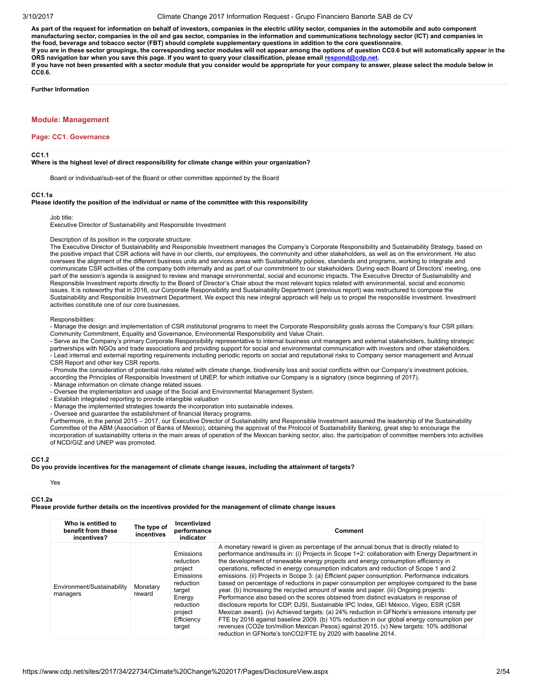As part of the request for information on behalf of investors, companies in the electric utility sector, companies in the automobile and auto component manufacturing sector, companies in the oil and gas sector, companies in the information and communications technology sector (ICT) and companies in the food, beverage and tobacco sector (FBT) should complete supplementary questions in addition to the core questionnaire. If you are in these sector groupings, the corresponding sector modules will not appear among the options of question CC0.6 but will automatically appear in the ORS navigation bar when you save this page. If you want to query your classification, please email [respond@cdp.net.](mailto:respond@cdp.net) If you have not been presented with a sector module that you consider would be appropriate for your company to answer, please select the module below in CC0.6.

Further Information

### Module: Management

#### Page: CC1. Governance

#### CC1.1

Where is the highest level of direct responsibility for climate change within your organization?

Board or individual/sub-set of the Board or other committee appointed by the Board

CC1.1a

#### Please identify the position of the individual or name of the committee with this responsibility

Job title:

Executive Director of Sustainability and Responsible Investment

Description of its position in the corporate structure:

The Executive Director of Sustainability and Responsible Investment manages the Company's Corporate Responsibility and Sustainability Strategy, based on the positive impact that CSR actions will have in our clients, our employees, the community and other stakeholders, as well as on the environment. He also oversees the alignment of the different business units and services areas with Sustainability policies, standards and programs, working to integrate and communicate CSR activities of the company both internally and as part of our commitment to our stakeholders. During each Board of Directors' meeting, one part of the session's agenda is assigned to review and manage environmental, social and economic impacts. The Executive Director of Sustainability and Responsible Investment reports directly to the Board of Director's Chair about the most relevant topics related with environmental, social and economic issues. It is noteworthy that in 2016, our Corporate Responsibility and Sustainability Department (previous report) was restructured to compose the Sustainability and Responsible Investment Department. We expect this new integral approach will help us to propel the responsible investment. Investment activities constitute one of our core businesses.

Responsibilities:

- Manage the design and implementation of CSR institutional programs to meet the Corporate Responsibility goals across the Company's four CSR pillars: Community Commitment, Equality and Governance, Environmental Responsibility and Value Chain.

- Serve as the Company's primary Corporate Responsibility representative to internal business unit managers and external stakeholders, building strategic partnerships with NGOs and trade associations and providing support for social and environmental communication with investors and other stakeholders. - Lead internal and external reporting requirements including periodic reports on social and reputational risks to Company senior management and Annual CSR Report and other key CSR reports.

- Promote the consideration of potential risks related with climate change, biodiversity loss and social conflicts within our Company's investment policies, according the Principles of Responsible Investment of UNEP, for which initiative our Company is a signatory (since beginning of 2017).

- Manage information on climate change related issues.

- Oversee the implementation and usage of the Social and Environmental Management System.

- Establish integrated reporting to provide intangible valuation

- Manage the implemented strategies towards the incorporation into sustainable indexes.

- Oversee and guarantee the establishment of financial literacy programs.

Furthermore, in the period 2015 – 2017, our Executive Director of Sustainability and Responsible Investment assumed the leadership of the Sustainability Committee of the ABM (Association of Banks of Mexico), obtaining the approval of the Protocol of Sustainability Banking, great step to encourage the incorporation of sustainability criteria in the main areas of operation of the Mexican banking sector, also, the participation of committee members into activities of NCD/GIZ and UNEP was promoted.

#### CC1.2

Do you provide incentives for the management of climate change issues, including the attainment of targets?

Yes

#### CC1.2a

Please provide further details on the incentives provided for the management of climate change issues

| Who is entitled to<br>benefit from these<br>incentives? | The type of<br>incentives | Incentivized<br>performance<br>indicator                                                                                        | Comment                                                                                                                                                                                                                                                                                                                                                                                                                                                                                                                                                                                                                                                                                                                                                                                                                                                                                                                                                                                                                                                                                                                                                                                                  |
|---------------------------------------------------------|---------------------------|---------------------------------------------------------------------------------------------------------------------------------|----------------------------------------------------------------------------------------------------------------------------------------------------------------------------------------------------------------------------------------------------------------------------------------------------------------------------------------------------------------------------------------------------------------------------------------------------------------------------------------------------------------------------------------------------------------------------------------------------------------------------------------------------------------------------------------------------------------------------------------------------------------------------------------------------------------------------------------------------------------------------------------------------------------------------------------------------------------------------------------------------------------------------------------------------------------------------------------------------------------------------------------------------------------------------------------------------------|
| Environment/Sustainability<br>managers                  | Monetary<br>reward        | Emissions<br>reduction<br>project<br>Emissions<br>reduction<br>target<br>Energy<br>reduction<br>project<br>Efficiency<br>target | A monetary reward is given as percentage of the annual bonus that is directly related to<br>performance and/results in: (i) Projects in Scope 1+2: collaboration with Energy Department in<br>the development of renewable energy projects and energy consumption efficiency in<br>operations, reflected in energy consumption indicators and reduction of Scope 1 and 2<br>emissions. (ii) Projects in Scope 3: (a) Efficient paper consumption. Performance indicators<br>based on percentage of reductions in paper consumption per employee compared to the base<br>year. (b) Increasing the recycled amount of waste and paper. (iii) Ongoing projects:<br>Performance also based on the scores obtained from distinct evaluators in response of<br>disclosure reports for CDP, DJSI, Sustainable IPC Index, GEI México, Vigeo, ESR (CSR)<br>Mexican award). (iv) Achieved targets: (a) 24% reduction in GFNorte's emissions intensity per<br>FTE by 2016 against baseline 2009. (b) 10% reduction in our global energy consumption per<br>revenues (CO2e ton/million Mexican Pesos) against 2015. (v) New targets: 10% additional<br>reduction in GFNorte's tonCO2/FTE by 2020 with baseline 2014. |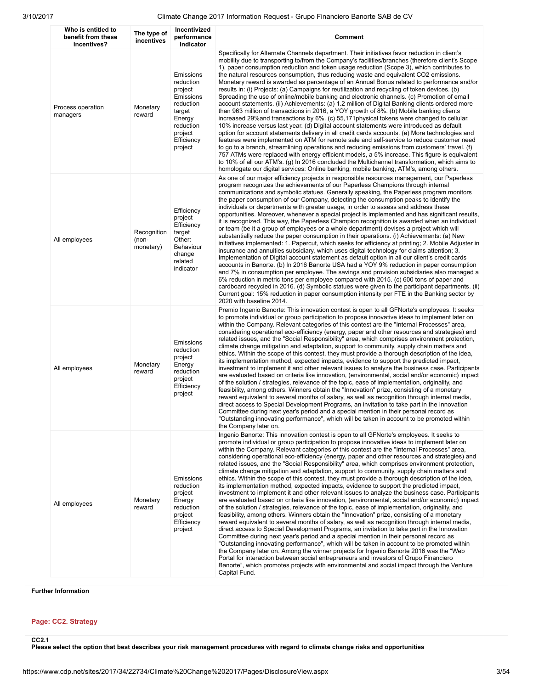| Who is entitled to<br>benefit from these<br>incentives? | The type of<br>incentives         | Incentivized<br>performance<br>indicator                                                                                         | Comment                                                                                                                                                                                                                                                                                                                                                                                                                                                                                                                                                                                                                                                                                                                                                                                                                                                                                                                                                                                                                                                                                                                                                                                                                                                                                                                                                                                                                                                                                                                                                                                                                                                                                                                                                                                                                                                                         |
|---------------------------------------------------------|-----------------------------------|----------------------------------------------------------------------------------------------------------------------------------|---------------------------------------------------------------------------------------------------------------------------------------------------------------------------------------------------------------------------------------------------------------------------------------------------------------------------------------------------------------------------------------------------------------------------------------------------------------------------------------------------------------------------------------------------------------------------------------------------------------------------------------------------------------------------------------------------------------------------------------------------------------------------------------------------------------------------------------------------------------------------------------------------------------------------------------------------------------------------------------------------------------------------------------------------------------------------------------------------------------------------------------------------------------------------------------------------------------------------------------------------------------------------------------------------------------------------------------------------------------------------------------------------------------------------------------------------------------------------------------------------------------------------------------------------------------------------------------------------------------------------------------------------------------------------------------------------------------------------------------------------------------------------------------------------------------------------------------------------------------------------------|
| Process operation<br>managers                           | Monetary<br>reward                | Emissions<br>reduction<br>project<br>Emissions<br>reduction<br>target<br>Energy<br>reduction<br>project<br>Efficiency<br>project | Specifically for Alternate Channels department. Their initiatives favor reduction in client's<br>mobility due to transporting to/from the Company's facilities/branches (therefore client's Scope<br>1), paper consumption reduction and token usage reduction (Scope 3), which contributes to<br>the natural resources consumption, thus reducing waste and equivalent CO2 emissions.<br>Monetary reward is awarded as percentage of an Annual Bonus related to performance and/or<br>results in: (i) Projects: (a) Campaigns for reutilization and recycling of token devices. (b)<br>Spreading the use of online/mobile banking and electronic channels. (c) Promotion of email<br>account statements. (ii) Achievements: (a) 1.2 million of Digital Banking clients ordered more<br>than 963 million of transactions in 2016, a YOY growth of 8%. (b) Mobile banking clients<br>increased 29% and transactions by 6%. (c) 55,171 physical tokens were changed to cellular,<br>10% increase versus last year. (d) Digital account statements were introduced as default<br>option for account statements delivery in all credit cards accounts. (e) More technologies and<br>features were implemented on ATM for remote sale and self-service to reduce customer need<br>to go to a branch, streamlining operations and reducing emissions from customers' travel. (f)<br>757 ATMs were replaced with energy efficient models, a 5% increase. This figure is equivalent<br>to 10% of all our ATM's. (g) In 2016 concluded the Multichannel transformation, which aims to<br>homologate our digital services: Online banking, mobile banking, ATM's, among others.                                                                                                                                                                                                           |
| All employees                                           | Recognition<br>(non-<br>monetary) | Efficiency<br>project<br>Efficiency<br>target<br>Other:<br>Behaviour<br>change<br>related<br>indicator                           | As one of our major efficiency projects in responsible resources management, our Paperless<br>program recognizes the achievements of our Paperless Champions through internal<br>communications and symbolic statues. Generally speaking, the Paperless program monitors<br>the paper consumption of our Company, detecting the consumption peaks to identify the<br>individuals or departments with greater usage, in order to assess and address these<br>opportunities. Moreover, whenever a special project is implemented and has significant results,<br>it is recognized. This way, the Paperless Champion recognition is awarded when an individual<br>or team (be it a group of employees or a whole department) devises a project which will<br>substantially reduce the paper consumption in their operations. (i) Achievements: (a) New<br>initiatives implemented: 1. Papercut, which seeks for efficiency at printing; 2. Mobile Adjuster in<br>insurance and annuities subsidiary, which uses digital technology for claims attention; 3.<br>Implementation of Digital account statement as default option in all our client's credit cards<br>accounts in Banorte. (b) In 2016 Banorte USA had a YOY 9% reduction in paper consumption<br>and 7% in consumption per employee. The savings and provision subsidiaries also managed a<br>6% reduction in metric tons per employee compared with 2015. (c) 600 tons of paper and<br>cardboard recycled in 2016. (d) Symbolic statues were given to the participant departments. (ii)<br>Current goal: 15% reduction in paper consumption intensity per FTE in the Banking sector by<br>2020 with baseline 2014.                                                                                                                                                                                                    |
| All employees                                           | Monetary<br>reward                | Emissions<br>reduction<br>project<br>Energy<br>reduction<br>project<br>Efficiency<br>project                                     | Premio Ingenio Banorte: This innovation contest is open to all GFNorte's employees. It seeks<br>to promote individual or group participation to propose innovative ideas to implement later on<br>within the Company. Relevant categories of this contest are the "Internal Processes" area,<br>considering operational eco-efficiency (energy, paper and other resources and strategies) and<br>related issues, and the "Social Responsibility" area, which comprises environment protection,<br>climate change mitigation and adaptation, support to community, supply chain matters and<br>ethics. Within the scope of this contest, they must provide a thorough description of the idea,<br>its implementation method, expected impacts, evidence to support the predicted impact,<br>investment to implement it and other relevant issues to analyze the business case. Participants<br>are evaluated based on criteria like innovation, (environmental, social and/or economic) impact<br>of the solution / strategies, relevance of the topic, ease of implementation, originality, and<br>feasibility, among others. Winners obtain the "Innovation" prize, consisting of a monetary<br>reward equivalent to several months of salary, as well as recognition through internal media,<br>direct access to Special Development Programs, an invitation to take part in the Innovation<br>Committee during next year's period and a special mention in their personal record as<br>"Outstanding innovating performance", which will be taken in account to be promoted within<br>the Company later on.                                                                                                                                                                                                                                                                   |
| All employees                                           | Monetary<br>reward                | Emissions<br>reduction<br>project<br>Energy<br>reduction<br>project<br>Efficiency<br>project                                     | Ingenio Banorte: This innovation contest is open to all GFNorte's employees. It seeks to<br>promote individual or group participation to propose innovative ideas to implement later on<br>within the Company. Relevant categories of this contest are the "Internal Processes" area,<br>considering operational eco-efficiency (energy, paper and other resources and strategies) and<br>related issues, and the "Social Responsibility" area, which comprises environment protection,<br>climate change mitigation and adaptation, support to community, supply chain matters and<br>ethics. Within the scope of this contest, they must provide a thorough description of the idea,<br>its implementation method, expected impacts, evidence to support the predicted impact,<br>investment to implement it and other relevant issues to analyze the business case. Participants<br>are evaluated based on criteria like innovation, (environmental, social and/or economic) impact<br>of the solution / strategies, relevance of the topic, ease of implementation, originality, and<br>feasibility, among others. Winners obtain the "Innovation" prize, consisting of a monetary<br>reward equivalent to several months of salary, as well as recognition through internal media,<br>direct access to Special Development Programs, an invitation to take part in the Innovation<br>Committee during next year's period and a special mention in their personal record as<br>"Outstanding innovating performance", which will be taken in account to be promoted within<br>the Company later on. Among the winner projects for Ingenio Banorte 2016 was the "Web"<br>Portal for interaction between social entrepreneurs and investors of Grupo Financiero<br>Banorte", which promotes projects with environmental and social impact through the Venture<br>Capital Fund. |

Further Information

### Page: CC2. Strategy

CC2.1

Please select the option that best describes your risk management procedures with regard to climate change risks and opportunities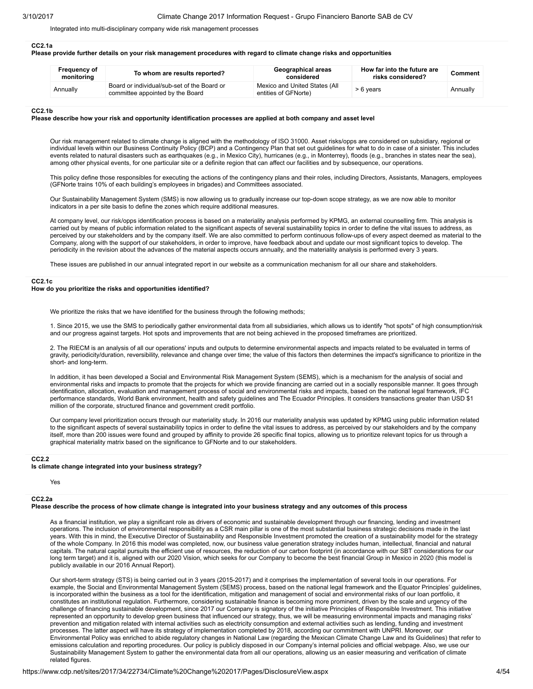Integrated into multi-disciplinary company wide risk management processes

#### CC2.1a

#### Please provide further details on your risk management procedures with regard to climate change risks and opportunities

| <b>Frequency of</b><br>monitoring | To whom are results reported?                                                   | Geographical areas<br>considered                      | How far into the future are<br>risks considered? | Comment  |  |
|-----------------------------------|---------------------------------------------------------------------------------|-------------------------------------------------------|--------------------------------------------------|----------|--|
| Annually                          | Board or individual/sub-set of the Board or<br>committee appointed by the Board | Mexico and United States (All<br>entities of GFNorte) | > 6 years                                        | Annually |  |

#### CC2.1b

#### Please describe how your risk and opportunity identification processes are applied at both company and asset level

Our risk management related to climate change is aligned with the methodology of ISO 31000. Asset risks/opps are considered on subsidiary, regional or individual levels within our Business Continuity Policy (BCP) and a Contingency Plan that set out guidelines for what to do in case of a sinister. This includes events related to natural disasters such as earthquakes (e.g., in Mexico City), hurricanes (e.g., in Monterrey), floods (e.g., branches in states near the sea), among other physical events, for one particular site or a definite region that can affect our facilities and by subsequence, our operations.

This policy define those responsibles for executing the actions of the contingency plans and their roles, including Directors, Assistants, Managers, employees (GFNorte trains 10% of each building's employees in brigades) and Committees associated.

Our Sustainability Management System (SMS) is now allowing us to gradually increase our top-down scope strategy, as we are now able to monitor indicators in a per site basis to define the zones which require additional measures.

At company level, our risk/opps identification process is based on a materiality analysis performed by KPMG, an external counselling firm. This analysis is carried out by means of public information related to the significant aspects of several sustainability topics in order to define the vital issues to address, as perceived by our stakeholders and by the company itself. We are also committed to perform continuous follow-ups of every aspect deemed as material to the Company, along with the support of our stakeholders, in order to improve, have feedback about and update our most significant topics to develop. The periodicity in the revision about the advances of the material aspects occurs annually, and the materiality analysis is performed every 3 years.

These issues are published in our annual integrated report in our website as a communication mechanism for all our share and stakeholders.

#### CC2.1c

#### How do you prioritize the risks and opportunities identified?

We prioritize the risks that we have identified for the business through the following methods;

1. Since 2015, we use the SMS to periodically gather environmental data from all subsidiaries, which allows us to identify "hot spots" of high consumption/risk and our progress against targets. Hot spots and improvements that are not being achieved in the proposed timeframes are prioritized.

2. The RIECM is an analysis of all our operations' inputs and outputs to determine environmental aspects and impacts related to be evaluated in terms of gravity, periodicity/duration, reversibility, relevance and change over time; the value of this factors then determines the impact's significance to prioritize in the short- and long-term.

In addition, it has been developed a Social and Environmental Risk Management System (SEMS), which is a mechanism for the analysis of social and environmental risks and impacts to promote that the projects for which we provide financing are carried out in a socially responsible manner. It goes through identification, allocation, evaluation and management process of social and environmental risks and impacts, based on the national legal framework, IFC performance standards, World Bank environment, health and safety guidelines and The Ecuador Principles. It considers transactions greater than USD \$1 million of the corporate, structured finance and government credit portfolio.

Our company level prioritization occurs through our materiality study. In 2016 our materiality analysis was updated by KPMG using public information related to the significant aspects of several sustainability topics in order to define the vital issues to address, as perceived by our stakeholders and by the company itself, more than 200 issues were found and grouped by affinity to provide 26 specific final topics, allowing us to prioritize relevant topics for us through a graphical materiality matrix based on the significance to GFNorte and to our stakeholders.

#### CC2.2

#### Is climate change integrated into your business strategy?

Yes

### CC2.2a

### Please describe the process of how climate change is integrated into your business strategy and any outcomes of this process

As a financial institution, we play a significant role as drivers of economic and sustainable development through our financing, lending and investment operations. The inclusion of environmental responsibility as a CSR main pillar is one of the most substantial business strategic decisions made in the last years. With this in mind, the Executive Director of Sustainability and Responsible Investment promoted the creation of a sustainability model for the strategy of the whole Company. In 2016 this model was completed, now, our business value generation strategy includes human, intellectual, financial and natural capitals. The natural capital pursuits the efficient use of resources, the reduction of our carbon footprint (in accordance with our SBT considerations for our long term target) and it is, aligned with our 2020 Vision, which seeks for our Company to become the best financial Group in Mexico in 2020 (this model is publicly available in our 2016 Annual Report).

Our short-term strategy (STS) is being carried out in 3 years (2015-2017) and it comprises the implementation of several tools in our operations. For example, the Social and Environmental Management System (SEMS) process, based on the national legal framework and the Equator Principles' guidelines, is incorporated within the business as a tool for the identification, mitigation and management of social and environmental risks of our loan portfolio, it constitutes an institutional regulation. Furthermore, considering sustainable finance is becoming more prominent, driven by the scale and urgency of the challenge of financing sustainable development, since 2017 our Company is signatory of the initiative Principles of Responsible Investment. This initiative represented an opportunity to develop green business that influenced our strategy, thus, we will be measuring environmental impacts and managing risks' prevention and mitigation related with internal activities such as electricity consumption and external activities such as lending, funding and investment processes. The latter aspect will have its strategy of implementation completed by 2018, according our commitment with UNPRI. Moreover, our Environmental Policy was enriched to abide regulatory changes in National Law (regarding the Mexican Climate Change Law and its Guidelines) that refer to emissions calculation and reporting procedures. Our policy is publicly disposed in our Company's internal policies and official webpage. Also, we use our Sustainability Management System to gather the environmental data from all our operations, allowing us an easier measuring and verification of climate related figures.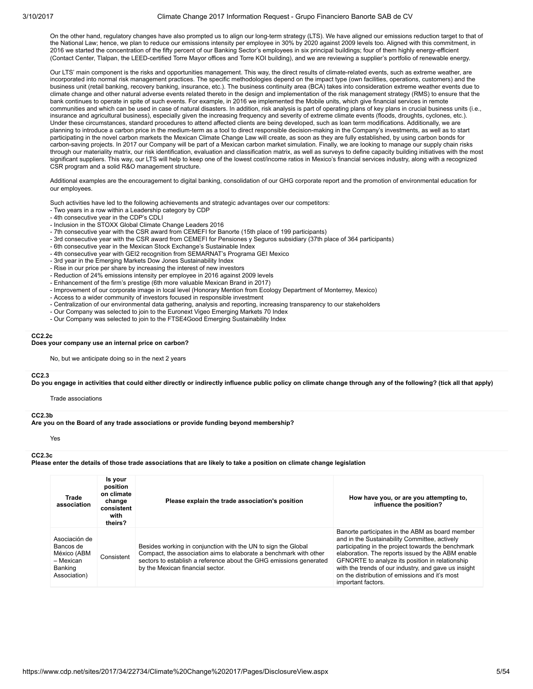On the other hand, regulatory changes have also prompted us to align our long-term strategy (LTS). We have aligned our emissions reduction target to that of the National Law; hence, we plan to reduce our emissions intensity per employee in 30% by 2020 against 2009 levels too. Aligned with this commitment, in 2016 we started the concentration of the fifty percent of our Banking Sector's employees in six principal buildings; four of them highly energy-efficient (Contact Center, Tlalpan, the LEED-certified Torre Mayor offices and Torre KOI building), and we are reviewing a supplier's portfolio of renewable energy.

Our LTS' main component is the risks and opportunities management. This way, the direct results of climate-related events, such as extreme weather, are incorporated into normal risk management practices. The specific methodologies depend on the impact type (own facilities, operations, customers) and the business unit (retail banking, recovery banking, insurance, etc.). The business continuity area (BCA) takes into consideration extreme weather events due to climate change and other natural adverse events related thereto in the design and implementation of the risk management strategy (RMS) to ensure that the bank continues to operate in spite of such events. For example, in 2016 we implemented the Mobile units, which give financial services in remote communities and which can be used in case of natural disasters. In addition, risk analysis is part of operating plans of key plans in crucial business units (i.e., insurance and agricultural business), especially given the increasing frequency and severity of extreme climate events (floods, droughts, cyclones, etc.). Under these circumstances, standard procedures to attend affected clients are being developed, such as loan term modifications. Additionally, we are planning to introduce a carbon price in the medium-term as a tool to direct responsible decision-making in the Company's investments, as well as to start participating in the novel carbon markets the Mexican Climate Change Law will create, as soon as they are fully established, by using carbon bonds for carbon-saving projects. In 2017 our Company will be part of a Mexican carbon market simulation. Finally, we are looking to manage our supply chain risks through our materiality matrix, our risk identification, evaluation and classification matrix, as well as surveys to define capacity building initiatives with the most significant suppliers. This way, our LTS will help to keep one of the lowest cost/income ratios in Mexico's financial services industry, along with a recognized CSR program and a solid R&O management structure.

Additional examples are the encouragement to digital banking, consolidation of our GHG corporate report and the promotion of environmental education for our employees.

Such activities have led to the following achievements and strategic advantages over our competitors:

- Two years in a row within a Leadership category by CDP
- 4th consecutive year in the CDP's CDLI
- Inclusion in the STOXX Global Climate Change Leaders 2016 - 7th consecutive year with the CSR award from CEMEFI for Banorte (15th place of 199 participants)
- 3rd consecutive year with the CSR award from CEMEFI for Pensiones y Seguros subsidiary (37th place of 364 participants)
- 6th consecutive year in the Mexican Stock Exchange's Sustainable Index
- 4th consecutive year with GEI2 recognition from SEMARNAT's Programa GEI Mexico
- 3rd year in the Emerging Markets Dow Jones Sustainability Index
- Rise in our price per share by increasing the interest of new investors
- Reduction of 24% emissions intensity per employee in 2016 against 2009 levels
- Enhancement of the firm's prestige (6th more valuable Mexican Brand in 2017)
- Improvement of our corporate image in local level (Honorary Mention from Ecology Department of Monterrey, Mexico)
- Access to a wider community of investors focused in responsible investment
- Centralization of our environmental data gathering, analysis and reporting, increasing transparency to our stakeholders
- Our Company was selected to join to the Euronext Vigeo Emerging Markets 70 Index
- Our Company was selected to join to the FTSE4Good Emerging Sustainability Index

#### CC2.2c

#### Does your company use an internal price on carbon?

No, but we anticipate doing so in the next 2 years

#### CC<sub>2</sub>.3

Do you engage in activities that could either directly or indirectly influence public policy on climate change through any of the following? (tick all that apply)

Trade associations

#### CC2.3b

Are you on the Board of any trade associations or provide funding beyond membership?

Yes

#### CC2.3c

Please enter the details of those trade associations that are likely to take a position on climate change legislation

| Trade<br>association                                                              | Is your<br>position<br>on climate<br>change<br>consistent<br>with<br>theirs? | Please explain the trade association's position                                                                                                                                                                                              | How have you, or are you attempting to,<br>influence the position?                                                                                                                                                                                                                                                                                                                             |  |  |  |  |
|-----------------------------------------------------------------------------------|------------------------------------------------------------------------------|----------------------------------------------------------------------------------------------------------------------------------------------------------------------------------------------------------------------------------------------|------------------------------------------------------------------------------------------------------------------------------------------------------------------------------------------------------------------------------------------------------------------------------------------------------------------------------------------------------------------------------------------------|--|--|--|--|
| Asociación de<br>Bancos de<br>México (ABM<br>- Mexican<br>Banking<br>Association) | Consistent                                                                   | Besides working in conjunction with the UN to sign the Global<br>Compact, the association aims to elaborate a benchmark with other<br>sectors to establish a reference about the GHG emissions generated<br>by the Mexican financial sector. | Banorte participates in the ABM as board member<br>and in the Sustainability Committee, actively<br>participating in the project towards the benchmark<br>elaboration. The reports issued by the ABM enable<br>GFNORTE to analyze its position in relationship<br>with the trends of our industry, and gave us insight<br>on the distribution of emissions and it's most<br>important factors. |  |  |  |  |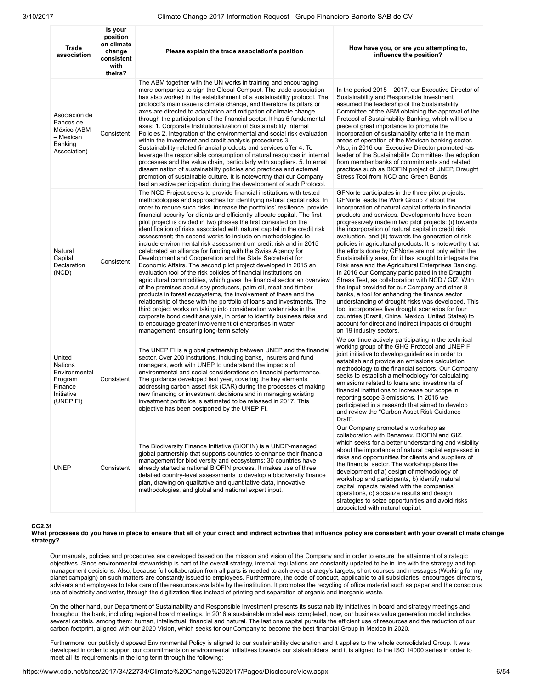| Trade<br>association                                                                       | Is your<br>position<br>on climate<br>change<br>consistent<br>with<br>theirs? | Please explain the trade association's position                                                                                                                                                                                                                                                                                                                                                                                                                                                                                                                                                                                                                                                                                                                                                                                                                                                                                                                                                                                                                                                                                                                                                                                                                                                                                                                                                                     | How have you, or are you attempting to,<br>influence the position?                                                                                                                                                                                                                                                                                                                                                                                                                                                                                                                                                                                                                                                                                                                                                                                                                                                                                                                                                                                                                   |
|--------------------------------------------------------------------------------------------|------------------------------------------------------------------------------|---------------------------------------------------------------------------------------------------------------------------------------------------------------------------------------------------------------------------------------------------------------------------------------------------------------------------------------------------------------------------------------------------------------------------------------------------------------------------------------------------------------------------------------------------------------------------------------------------------------------------------------------------------------------------------------------------------------------------------------------------------------------------------------------------------------------------------------------------------------------------------------------------------------------------------------------------------------------------------------------------------------------------------------------------------------------------------------------------------------------------------------------------------------------------------------------------------------------------------------------------------------------------------------------------------------------------------------------------------------------------------------------------------------------|--------------------------------------------------------------------------------------------------------------------------------------------------------------------------------------------------------------------------------------------------------------------------------------------------------------------------------------------------------------------------------------------------------------------------------------------------------------------------------------------------------------------------------------------------------------------------------------------------------------------------------------------------------------------------------------------------------------------------------------------------------------------------------------------------------------------------------------------------------------------------------------------------------------------------------------------------------------------------------------------------------------------------------------------------------------------------------------|
| Asociación de<br>Bancos de<br>México (ABM<br>- Mexican<br>Banking<br>Association)          | Consistent                                                                   | The ABM together with the UN works in training and encouraging<br>more companies to sign the Global Compact. The trade association<br>has also worked in the establishment of a sustainability protocol. The<br>protocol's main issue is climate change, and therefore its pillars or<br>axes are directed to adaptation and mitigation of climate change<br>through the participation of the financial sector. It has 5 fundamental<br>axes: 1. Corporate Institutionalization of Sustainability Internal<br>Policies 2. Integration of the environmental and social risk evaluation<br>within the investment and credit analysis procedures 3.<br>Sustainability-related financial products and services offer 4. To<br>leverage the responsible consumption of natural resources in internal<br>processes and the value chain, particularly with suppliers. 5. Internal<br>dissemination of sustainability policies and practices and external<br>promotion of sustainable culture. It is noteworthy that our Company<br>had an active participation during the development of such Protocol.                                                                                                                                                                                                                                                                                                                    | In the period 2015 – 2017, our Executive Director of<br>Sustainability and Responsible Investment<br>assumed the leadership of the Sustainability<br>Committee of the ABM obtaining the approval of the<br>Protocol of Sustainability Banking, which will be a<br>piece of great importance to promote the<br>incorporation of sustainability criteria in the main<br>areas of operation of the Mexican banking sector.<br>Also, in 2016 our Executive Director promoted -as<br>leader of the Sustainability Committee- the adoption<br>from member banks of commitments and related<br>practices such as BIOFIN project of UNEP, Draught<br>Stress Tool from NCD and Green Bonds.                                                                                                                                                                                                                                                                                                                                                                                                   |
| Natural<br>Capital<br>Declaration<br>(NCD)                                                 | Consistent                                                                   | The NCD Project seeks to provide financial institutions with tested<br>methodologies and approaches for identifying natural capital risks. In<br>order to reduce such risks, increase the portfolios' resilience, provide<br>financial security for clients and efficiently allocate capital. The first<br>pilot project is divided in two phases the first consisted on the<br>identification of risks associated with natural capital in the credit risk<br>assessment; the second works to include on methodologies to<br>include environmental risk assessment om credit risk and in 2015<br>celebrated an alliance for funding with the Swiss Agency for<br>Development and Cooperation and the State Secretariat for<br>Economic Affairs. The second pilot project developed in 2015 an<br>evaluation tool of the risk policies of financial institutions on<br>agricultural commodities, which gives the financial sector an overview<br>of the premises about soy producers, palm oil, meat and timber<br>products in forest ecosystems, the involvement of these and the<br>relationship of these with the portfolio of loans and investments. The<br>third project works on taking into consideration water risks in the<br>corporate bond credit analysis, in order to identify business risks and<br>to encourage greater involvement of enterprises in water<br>management, ensuring long-term safety. | GFNorte participates in the three pilot projects.<br>GFNorte leads the Work Group 2 about the<br>incorporation of natural capital criteria in financial<br>products and services. Developments have been<br>progressively made in two pilot projects: (i) towards<br>the incorporation of natural capital in credit risk<br>evaluation, and (ii) towards the generation of risk<br>policies in agricultural products. It is noteworthy that<br>the efforts done by GFNorte are not only within the<br>Sustainability area, for it has sought to integrate the<br>Risk area and the Agricultural Enterprises Banking.<br>In 2016 our Company participated in the Draught<br>Stress Test, as collaboration with NCD / GIZ. With<br>the input provided for our Company and other 8<br>banks, a tool for enhancing the finance sector<br>understanding of drought risks was developed. This<br>tool incorporates five drought scenarios for four<br>countries (Brazil, China, Mexico, United States) to<br>account for direct and indirect impacts of drought<br>on 19 industry sectors. |
| United<br><b>Nations</b><br>Environmental<br>Program<br>Finance<br>Initiative<br>(UNEP FI) | Consistent                                                                   | The UNEP FI is a global partnership between UNEP and the financial<br>sector. Over 200 institutions, including banks, insurers and fund<br>managers, work with UNEP to understand the impacts of<br>environmental and social considerations on financial performance.<br>The guidance developed last year, covering the key elements<br>addressing carbon asset risk (CAR) during the processes of making<br>new financing or investment decisions and in managing existing<br>investment portfolios is estimated to be released in 2017. This<br>objective has been postponed by the UNEP FI.                                                                                                                                                                                                                                                                                                                                                                                                                                                                                                                                                                                                                                                                                                                                                                                                                      | We continue actively participating in the technical<br>working group of the GHG Protocol and UNEP FI<br>joint initiative to develop guidelines in order to<br>establish and provide an emissions calculation<br>methodology to the financial sectors. Our Company<br>seeks to establish a methodology for calculating<br>emissions related to loans and investments of<br>financial institutions to increase our scope in<br>reporting scope 3 emissions. In 2015 we<br>participated in a research that aimed to develop<br>and review the "Carbon Asset Risk Guidance<br>Draft".                                                                                                                                                                                                                                                                                                                                                                                                                                                                                                    |
| <b>UNEP</b>                                                                                | Consistent                                                                   | The Biodiversity Finance Initiative (BIOFIN) is a UNDP-managed<br>global partnership that supports countries to enhance their financial<br>management for biodiversity and ecosystems: 30 countries have<br>already started a national BIOFIN process. It makes use of three<br>detailed country-level assessments to develop a biodiversity finance<br>plan, drawing on qualitative and quantitative data, innovative<br>methodologies, and global and national expert input.                                                                                                                                                                                                                                                                                                                                                                                                                                                                                                                                                                                                                                                                                                                                                                                                                                                                                                                                      | Our Company promoted a workshop as<br>collaboration with Banamex, BIOFIN and GIZ,<br>which seeks for a better understanding and visibility<br>about the importance of natural capital expressed in<br>risks and opportunities for clients and suppliers of<br>the financial sector. The workshop plans the<br>development of a) design of methodology of<br>workshop and participants, b) identify natural<br>capital impacts related with the companies'<br>operations, c) socialize results and design<br>strategies to seize opportunities and avoid risks<br>associated with natural capital.                                                                                                                                                                                                                                                                                                                                                                                                                                                                                    |

#### CC2.3f

What processes do you have in place to ensure that all of your direct and indirect activities that influence policy are consistent with your overall climate change strategy?

Our manuals, policies and procedures are developed based on the mission and vision of the Company and in order to ensure the attainment of strategic objectives. Since environmental stewardship is part of the overall strategy, internal regulations are constantly updated to be in line with the strategy and top management decisions. Also, because full collaboration from all parts is needed to achieve a strategy's targets, short courses and messages (Working for my planet campaign) on such matters are constantly issued to employees. Furthermore, the code of conduct, applicable to all subsidiaries, encourages directors, advisers and employees to take care of the resources available by the institution. It promotes the recycling of office material such as paper and the conscious use of electricity and water, through the digitization files instead of printing and separation of organic and inorganic waste.

On the other hand, our Department of Sustainability and Responsible Investment presents its sustainability initiatives in board and strategy meetings and throughout the bank, including regional board meetings. In 2016 a sustainable model was completed, now, our business value generation model includes several capitals, among them: human, intellectual, financial and natural. The last one capital pursuits the efficient use of resources and the reduction of our carbon footprint, aligned with our 2020 Vision, which seeks for our Company to become the best financial Group in Mexico in 2020.

Furthermore, our publicly disposed Environmental Policy is aligned to our sustainability declaration and it applies to the whole consolidated Group. It was developed in order to support our commitments on environmental initiatives towards our stakeholders, and it is aligned to the ISO 14000 series in order to meet all its requirements in the long term through the following: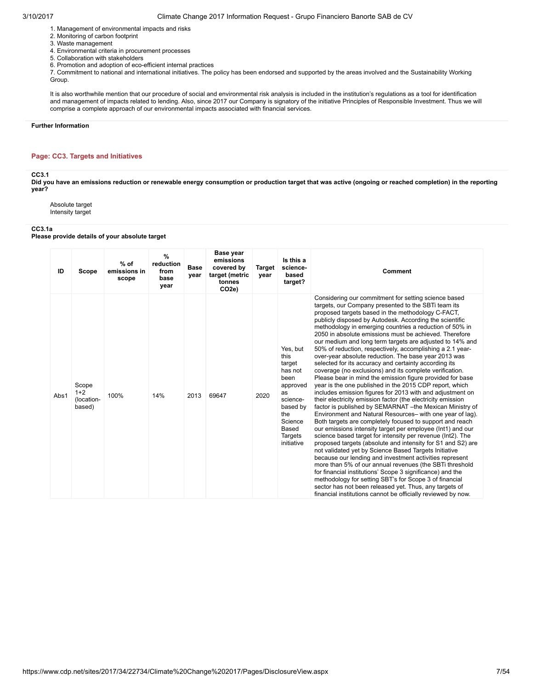- 1. Management of environmental impacts and risks
- 2. Monitoring of carbon footprint
- 3. Waste management
- 4. Environmental criteria in procurement processes
- 5. Collaboration with stakeholders
- 6. Promotion and adoption of eco-efficient internal practices

7. Commitment to national and international initiatives. The policy has been endorsed and supported by the areas involved and the Sustainability Working Group.

It is also worthwhile mention that our procedure of social and environmental risk analysis is included in the institution's regulations as a tool for identification and management of impacts related to lending. Also, since 2017 our Company is signatory of the initiative Principles of Responsible Investment. Thus we will comprise a complete approach of our environmental impacts associated with financial services.

#### Further Information

### Page: CC3. Targets and Initiatives

#### CC3.1

Did you have an emissions reduction or renewable energy consumption or production target that was active (ongoing or reached completion) in the reporting year?

Absolute target Intensity target

#### CC3.1a

Please provide details of your absolute target

| ID   | Scope                                  | $%$ of<br>emissions in<br>scope | $\frac{9}{6}$<br>reduction<br>from<br>base<br>year | <b>Base</b><br>year | <b>Base year</b><br>emissions<br>covered by<br>target (metric<br>tonnes<br>CO <sub>2e</sub> ) | <b>Target</b><br>year | Is this a<br>science-<br>based<br>target?                                                                                                   | <b>Comment</b>                                                                                                                                                                                                                                                                                                                                                                                                                                                                                                                                                                                                                                                                                                                                                                                                                                                                                                                                                                                                                                                                                                                                                                                                                                                                                                                                                                                                                                                                                                                                                                                                                                                                                                             |
|------|----------------------------------------|---------------------------------|----------------------------------------------------|---------------------|-----------------------------------------------------------------------------------------------|-----------------------|---------------------------------------------------------------------------------------------------------------------------------------------|----------------------------------------------------------------------------------------------------------------------------------------------------------------------------------------------------------------------------------------------------------------------------------------------------------------------------------------------------------------------------------------------------------------------------------------------------------------------------------------------------------------------------------------------------------------------------------------------------------------------------------------------------------------------------------------------------------------------------------------------------------------------------------------------------------------------------------------------------------------------------------------------------------------------------------------------------------------------------------------------------------------------------------------------------------------------------------------------------------------------------------------------------------------------------------------------------------------------------------------------------------------------------------------------------------------------------------------------------------------------------------------------------------------------------------------------------------------------------------------------------------------------------------------------------------------------------------------------------------------------------------------------------------------------------------------------------------------------------|
| Abs1 | Scope<br>$1+2$<br>(location-<br>based) | 100%                            | 14%                                                | 2013                | 69647                                                                                         | 2020                  | Yes, but<br>this<br>target<br>has not<br>been<br>approved<br>as<br>science-<br>based by<br>the<br>Science<br>Based<br>Targets<br>initiative | Considering our commitment for setting science based<br>targets, our Company presented to the SBTi team its<br>proposed targets based in the methodology C-FACT.<br>publicly disposed by Autodesk. According the scientific<br>methodology in emerging countries a reduction of 50% in<br>2050 in absolute emissions must be achieved. Therefore<br>our medium and long term targets are adjusted to 14% and<br>50% of reduction, respectively, accomplishing a 2.1 year-<br>over-year absolute reduction. The base year 2013 was<br>selected for its accuracy and certainty according its<br>coverage (no exclusions) and its complete verification.<br>Please bear in mind the emission figure provided for base<br>year is the one published in the 2015 CDP report, which<br>includes emission figures for 2013 with and adjustment on<br>their electricity emission factor (the electricity emission<br>factor is published by SEMARNAT - the Mexican Ministry of<br>Environment and Natural Resources- with one year of lag).<br>Both targets are completely focused to support and reach<br>our emissions intensity target per employee (Int1) and our<br>science based target for intensity per revenue (Int2). The<br>proposed targets (absolute and intensity for S1 and S2) are<br>not validated yet by Science Based Targets Initiative<br>because our lending and investment activities represent<br>more than 5% of our annual revenues (the SBTi threshold<br>for financial institutions' Scope 3 significance) and the<br>methodology for setting SBT's for Scope 3 of financial<br>sector has not been released yet. Thus, any targets of<br>financial institutions cannot be officially reviewed by now. |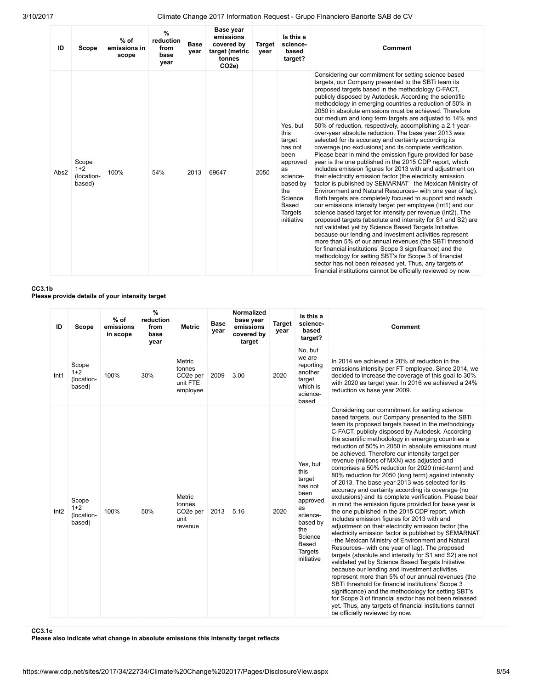| ID   | Scope                                  | $%$ of<br>emissions in<br>scope | $\frac{9}{6}$<br>reduction<br>from<br>base<br>year | <b>Base</b><br>year | <b>Base year</b><br>emissions<br>covered by<br>target (metric<br>tonnes<br>CO <sub>2e</sub> ) | <b>Target</b><br>year | Is this a<br>science-<br>based<br>target?                                                                                                          | Comment                                                                                                                                                                                                                                                                                                                                                                                                                                                                                                                                                                                                                                                                                                                                                                                                                                                                                                                                                                                                                                                                                                                                                                                                                                                                                                                                                                                                                                                                                                                                                                                                                                                                                                                    |
|------|----------------------------------------|---------------------------------|----------------------------------------------------|---------------------|-----------------------------------------------------------------------------------------------|-----------------------|----------------------------------------------------------------------------------------------------------------------------------------------------|----------------------------------------------------------------------------------------------------------------------------------------------------------------------------------------------------------------------------------------------------------------------------------------------------------------------------------------------------------------------------------------------------------------------------------------------------------------------------------------------------------------------------------------------------------------------------------------------------------------------------------------------------------------------------------------------------------------------------------------------------------------------------------------------------------------------------------------------------------------------------------------------------------------------------------------------------------------------------------------------------------------------------------------------------------------------------------------------------------------------------------------------------------------------------------------------------------------------------------------------------------------------------------------------------------------------------------------------------------------------------------------------------------------------------------------------------------------------------------------------------------------------------------------------------------------------------------------------------------------------------------------------------------------------------------------------------------------------------|
| Abs2 | Scope<br>$1+2$<br>(location-<br>based) | 100%                            | 54%                                                | 2013                | 69647                                                                                         | 2050                  | Yes, but<br>this<br>target<br>has not<br>been<br>approved<br>as<br>science-<br>based by<br>the<br>Science<br>Based<br><b>Targets</b><br>initiative | Considering our commitment for setting science based<br>targets, our Company presented to the SBTi team its<br>proposed targets based in the methodology C-FACT.<br>publicly disposed by Autodesk. According the scientific<br>methodology in emerging countries a reduction of 50% in<br>2050 in absolute emissions must be achieved. Therefore<br>our medium and long term targets are adjusted to 14% and<br>50% of reduction, respectively, accomplishing a 2.1 year-<br>over-year absolute reduction. The base year 2013 was<br>selected for its accuracy and certainty according its<br>coverage (no exclusions) and its complete verification.<br>Please bear in mind the emission figure provided for base<br>year is the one published in the 2015 CDP report, which<br>includes emission figures for 2013 with and adjustment on<br>their electricity emission factor (the electricity emission<br>factor is published by SEMARNAT - the Mexican Ministry of<br>Environment and Natural Resources- with one year of lag).<br>Both targets are completely focused to support and reach<br>our emissions intensity target per employee (lnt1) and our<br>science based target for intensity per revenue (Int2). The<br>proposed targets (absolute and intensity for S1 and S2) are<br>not validated yet by Science Based Targets Initiative<br>because our lending and investment activities represent<br>more than 5% of our annual revenues (the SBTi threshold<br>for financial institutions' Scope 3 significance) and the<br>methodology for setting SBT's for Scope 3 of financial<br>sector has not been released yet. Thus, any targets of<br>financial institutions cannot be officially reviewed by now. |

CC3.1b

Please provide details of your intensity target

| ID               | Scope                                  | $%$ of<br>emissions<br>in scope | %<br>reduction<br>from<br>base<br>year | <b>Metric</b>                                                     | <b>Base</b><br>year | <b>Normalized</b><br>base year<br>emissions<br>covered by<br>target | <b>Target</b><br>year | Is this a<br>science-<br>based<br>target?                                                                                                   | Comment                                                                                                                                                                                                                                                                                                                                                                                                                                                                                                                                                                                                                                                                                                                                                                                                                                                                                                                                                                                                                                                                                                                                                                                                                                                                                                                                                                                                                                                                                                                                                                              |
|------------------|----------------------------------------|---------------------------------|----------------------------------------|-------------------------------------------------------------------|---------------------|---------------------------------------------------------------------|-----------------------|---------------------------------------------------------------------------------------------------------------------------------------------|--------------------------------------------------------------------------------------------------------------------------------------------------------------------------------------------------------------------------------------------------------------------------------------------------------------------------------------------------------------------------------------------------------------------------------------------------------------------------------------------------------------------------------------------------------------------------------------------------------------------------------------------------------------------------------------------------------------------------------------------------------------------------------------------------------------------------------------------------------------------------------------------------------------------------------------------------------------------------------------------------------------------------------------------------------------------------------------------------------------------------------------------------------------------------------------------------------------------------------------------------------------------------------------------------------------------------------------------------------------------------------------------------------------------------------------------------------------------------------------------------------------------------------------------------------------------------------------|
| Int <sub>1</sub> | Scope<br>$1+2$<br>(location-<br>based) | 100%                            | 30%                                    | Metric<br>tonnes<br>CO <sub>2</sub> e per<br>unit FTE<br>employee | 2009                | 3.00                                                                | 2020                  | No, but<br>we are<br>reporting<br>another<br>target<br>which is<br>science-<br>based                                                        | In 2014 we achieved a 20% of reduction in the<br>emissions intensity per FT employee. Since 2014, we<br>decided to increase the coverage of this goal to 30%<br>with 2020 as target year. In 2016 we achieved a 24%<br>reduction vs base year 2009.                                                                                                                                                                                                                                                                                                                                                                                                                                                                                                                                                                                                                                                                                                                                                                                                                                                                                                                                                                                                                                                                                                                                                                                                                                                                                                                                  |
| Int2             | Scope<br>$1+2$<br>(location-<br>based) | 100%                            | 50%                                    | Metric<br>tonnes<br>CO <sub>2</sub> e per<br>unit<br>revenue      | 2013                | 5.16                                                                | 2020                  | Yes, but<br>this<br>target<br>has not<br>been<br>approved<br>as<br>science-<br>based by<br>the<br>Science<br>Based<br>Targets<br>initiative | Considering our commitment for setting science<br>based targets, our Company presented to the SBTi<br>team its proposed targets based in the methodology<br>C-FACT, publicly disposed by Autodesk. According<br>the scientific methodology in emerging countries a<br>reduction of 50% in 2050 in absolute emissions must<br>be achieved. Therefore our intensity target per<br>revenue (millions of MXN) was adjusted and<br>comprises a 50% reduction for 2020 (mid-term) and<br>80% reduction for 2050 (long term) against intensity<br>of 2013. The base year 2013 was selected for its<br>accuracy and certainty according its coverage (no<br>exclusions) and its complete verification. Please bear<br>in mind the emission figure provided for base year is<br>the one published in the 2015 CDP report, which<br>includes emission figures for 2013 with and<br>adjustment on their electricity emission factor (the<br>electricity emission factor is published by SEMARNAT<br>-the Mexican Ministry of Environment and Natural<br>Resources- with one year of lag). The proposed<br>targets (absolute and intensity for S1 and S2) are not<br>validated yet by Science Based Targets Initiative<br>because our lending and investment activities<br>represent more than 5% of our annual revenues (the<br>SBTi threshold for financial institutions' Scope 3<br>significance) and the methodology for setting SBT's<br>for Scope 3 of financial sector has not been released<br>yet. Thus, any targets of financial institutions cannot<br>be officially reviewed by now. |

CC3.1c

Please also indicate what change in absolute emissions this intensity target reflects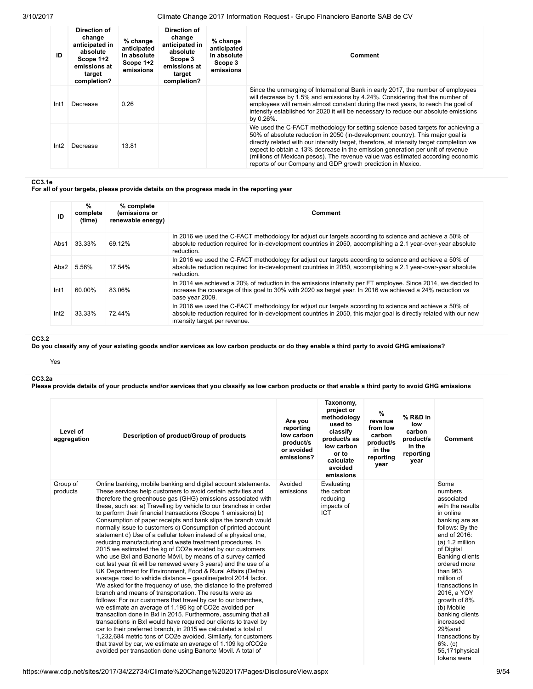| ID   | Direction of<br>change<br>anticipated in<br>absolute<br>Scope 1+2<br>emissions at<br>target<br>completion? | $%$ change<br>anticipated<br>in absolute<br>Scope 1+2<br>emissions | Direction of<br>change<br>anticipated in<br>absolute<br>Scope 3<br>emissions at<br>target<br>completion? | $%$ change<br>anticipated<br>in absolute<br>Scope 3<br>emissions | Comment                                                                                                                                                                                                                                                                                                                                                                                                                                                                                            |
|------|------------------------------------------------------------------------------------------------------------|--------------------------------------------------------------------|----------------------------------------------------------------------------------------------------------|------------------------------------------------------------------|----------------------------------------------------------------------------------------------------------------------------------------------------------------------------------------------------------------------------------------------------------------------------------------------------------------------------------------------------------------------------------------------------------------------------------------------------------------------------------------------------|
| Int1 | Decrease                                                                                                   | 0.26                                                               |                                                                                                          |                                                                  | Since the unmerging of International Bank in early 2017, the number of employees<br>will decrease by 1.5% and emissions by 4.24%. Considering that the number of<br>employees will remain almost constant during the next years, to reach the goal of<br>intensity established for 2020 it will be necessary to reduce our absolute emissions<br>by 0.26%.                                                                                                                                         |
| Int2 | Decrease                                                                                                   | 13.81                                                              |                                                                                                          |                                                                  | We used the C-FACT methodology for setting science based targets for achieving a<br>50% of absolute reduction in 2050 (in-development country). This major goal is<br>directly related with our intensity target, therefore, at intensity target completion we<br>expect to obtain a 13% decrease in the emission generation per unit of revenue<br>(millions of Mexican pesos). The revenue value was estimated according economic<br>reports of our Company and GDP growth prediction in Mexico. |

CC3.1e

For all of your targets, please provide details on the progress made in the reporting year

| ID   | %<br>complete<br>(time) | % complete<br>(emissions or<br>renewable energy) | Comment                                                                                                                                                                                                                                                        |
|------|-------------------------|--------------------------------------------------|----------------------------------------------------------------------------------------------------------------------------------------------------------------------------------------------------------------------------------------------------------------|
| Abs1 | 33.33%                  | 69.12%                                           | In 2016 we used the C-FACT methodology for adjust our targets according to science and achieve a 50% of<br>absolute reduction required for in-development countries in 2050, accomplishing a 2.1 year-over-year absolute<br>reduction.                         |
| Abs2 | 5.56%                   | 17.54%                                           | In 2016 we used the C-FACT methodology for adjust our targets according to science and achieve a 50% of<br>absolute reduction required for in-development countries in 2050, accomplishing a 2.1 year-over-year absolute<br>reduction.                         |
| Int1 | 60.00%                  | 83.06%                                           | In 2014 we achieved a 20% of reduction in the emissions intensity per FT employee. Since 2014, we decided to<br>increase the coverage of this goal to 30% with 2020 as target year. In 2016 we achieved a 24% reduction vs<br>base year 2009.                  |
| Int2 | 33.33%                  | 72.44%                                           | In 2016 we used the C-FACT methodology for adjust our targets according to science and achieve a 50% of<br>absolute reduction required for in-development countries in 2050, this major goal is directly related with our new<br>intensity target per revenue. |

### CC3.2

Do you classify any of your existing goods and/or services as low carbon products or do they enable a third party to avoid GHG emissions?

Yes

CC3.2a

Please provide details of your products and/or services that you classify as low carbon products or that enable a third party to avoid GHG emissions

| Level of<br>aggregation | Description of product/Group of products                                                                                                                                                                                                                                                                                                                                                                                                                                                                                                                                                                                                                                                                                                                                                                                                                                                                                                                                                                                                                                                                                                                                                                                                                                                                                                                                                                                                                                                                                                                                                                              | Are you<br>reporting<br>low carbon<br>product/s<br>or avoided<br>emissions? | Taxonomy,<br>project or<br>methodology<br>used to<br>classify<br>product/s as<br>low carbon<br>or to<br>calculate<br>avoided<br>emissions | %<br>revenue<br>from low<br>carbon<br>product/s<br>in the<br>reporting<br>year | % R&D in<br>low<br>carbon<br>product/s<br>in the<br>reporting<br>year | Comment                                                                                                                                                                                                                                                                                                                                                                                                    |
|-------------------------|-----------------------------------------------------------------------------------------------------------------------------------------------------------------------------------------------------------------------------------------------------------------------------------------------------------------------------------------------------------------------------------------------------------------------------------------------------------------------------------------------------------------------------------------------------------------------------------------------------------------------------------------------------------------------------------------------------------------------------------------------------------------------------------------------------------------------------------------------------------------------------------------------------------------------------------------------------------------------------------------------------------------------------------------------------------------------------------------------------------------------------------------------------------------------------------------------------------------------------------------------------------------------------------------------------------------------------------------------------------------------------------------------------------------------------------------------------------------------------------------------------------------------------------------------------------------------------------------------------------------------|-----------------------------------------------------------------------------|-------------------------------------------------------------------------------------------------------------------------------------------|--------------------------------------------------------------------------------|-----------------------------------------------------------------------|------------------------------------------------------------------------------------------------------------------------------------------------------------------------------------------------------------------------------------------------------------------------------------------------------------------------------------------------------------------------------------------------------------|
| Group of<br>products    | Online banking, mobile banking and digital account statements.<br>These services help customers to avoid certain activities and<br>therefore the greenhouse gas (GHG) emissions associated with<br>these, such as: a) Travelling by vehicle to our branches in order<br>to perform their financial transactions (Scope 1 emissions) b)<br>Consumption of paper receipts and bank slips the branch would<br>normally issue to customers c) Consumption of printed account<br>statement d) Use of a cellular token instead of a physical one,<br>reducing manufacturing and waste treatment procedures. In<br>2015 we estimated the kg of CO2e avoided by our customers<br>who use BxI and Banorte Móvil, by means of a survey carried<br>out last year (it will be renewed every 3 years) and the use of a<br>UK Department for Environment, Food & Rural Affairs (Defra)<br>average road to vehicle distance – gasoline/petrol 2014 factor.<br>We asked for the frequency of use, the distance to the preferred<br>branch and means of transportation. The results were as<br>follows: For our customers that travel by car to our branches,<br>we estimate an average of 1.195 kg of CO2e avoided per<br>transaction done in BxI in 2015. Furthermore, assuming that all<br>transactions in BxI would have required our clients to travel by<br>car to their preferred branch, in 2015 we calculated a total of<br>1,232,684 metric tons of CO2e avoided. Similarly, for customers<br>that travel by car, we estimate an average of 1.109 kg of CO2e<br>avoided per transaction done using Banorte Movil. A total of | Avoided<br>emissions                                                        | Evaluating<br>the carbon<br>reducing<br>impacts of<br><b>ICT</b>                                                                          |                                                                                |                                                                       | Some<br>numbers<br>associated<br>with the results<br>in online<br>banking are as<br>follows: By the<br>end of 2016:<br>$(a) 1.2$ million<br>of Digital<br><b>Banking clients</b><br>ordered more<br>than $963$<br>million of<br>transactions in<br>2016, a YOY<br>growth of 8%.<br>(b) Mobile<br>banking clients<br>increased<br>29%and<br>transactions by<br>$6\%$ . (c)<br>55,171physical<br>tokens were |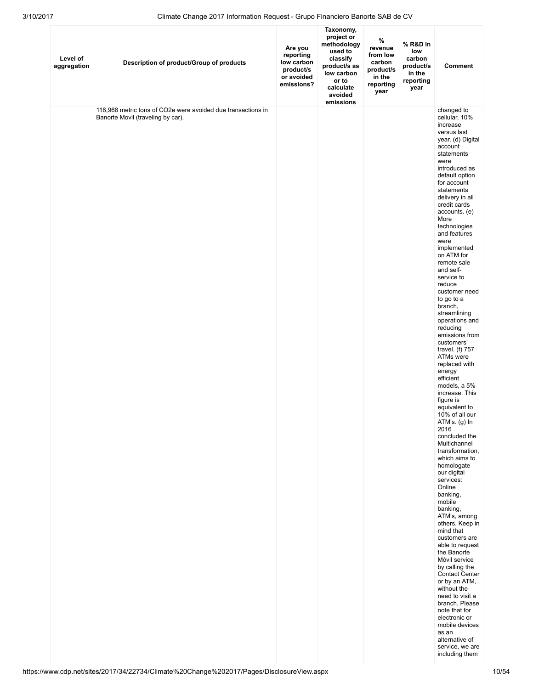| Level of<br>aggregation | Description of product/Group of products                                                          | Are you<br>reporting<br>low carbon<br>product/s<br>or avoided<br>emissions? | Taxonomy,<br>project or<br>methodology<br>used to<br>classify<br>product/s as<br>low carbon<br>or to<br>calculate<br>avoided<br>emissions | $\%$<br>revenue<br>from low<br>carbon<br>product/s<br>in the<br>reporting<br>year | % R&D in<br>low<br>carbon<br>product/s<br>in the<br>reporting<br>year | Comment                                                                                                                                                                                                                                                                                                                                                                                                                                                                                                                                                                                                                                                                                                                                                                                                                                                                                                                                                                                                                                                                                                                                                                                           |
|-------------------------|---------------------------------------------------------------------------------------------------|-----------------------------------------------------------------------------|-------------------------------------------------------------------------------------------------------------------------------------------|-----------------------------------------------------------------------------------|-----------------------------------------------------------------------|---------------------------------------------------------------------------------------------------------------------------------------------------------------------------------------------------------------------------------------------------------------------------------------------------------------------------------------------------------------------------------------------------------------------------------------------------------------------------------------------------------------------------------------------------------------------------------------------------------------------------------------------------------------------------------------------------------------------------------------------------------------------------------------------------------------------------------------------------------------------------------------------------------------------------------------------------------------------------------------------------------------------------------------------------------------------------------------------------------------------------------------------------------------------------------------------------|
|                         | 118,968 metric tons of CO2e were avoided due transactions in<br>Banorte Movil (traveling by car). |                                                                             |                                                                                                                                           |                                                                                   |                                                                       | changed to<br>cellular, 10%<br>increase<br>versus last<br>year. (d) Digital<br>account<br>statements<br>were<br>introduced as<br>default option<br>for account<br>statements<br>delivery in all<br>credit cards<br>accounts. (e)<br>More<br>technologies<br>and features<br>were<br>implemented<br>on ATM for<br>remote sale<br>and self-<br>service to<br>reduce<br>customer need<br>to go to a<br>branch,<br>streamlining<br>operations and<br>reducing<br>emissions from<br>customers'<br>travel. $(f)$ 757<br>ATMs were<br>replaced with<br>energy<br>efficient<br>models, a 5%<br>increase. This<br>figure is<br>equivalent to<br>10% of all our<br>ATM's. (g) In<br>2016<br>concluded the<br>Multichannel<br>transformation,<br>which aims to<br>homologate<br>our digital<br>services:<br>Online<br>banking,<br>mobile<br>banking,<br>ATM's, among<br>others. Keep in<br>mind that<br>customers are<br>able to request<br>the Banorte<br>Móvil service<br>by calling the<br><b>Contact Center</b><br>or by an ATM,<br>without the<br>need to visit a<br>branch. Please<br>note that for<br>electronic or<br>mobile devices<br>as an<br>alternative of<br>service, we are<br>including them |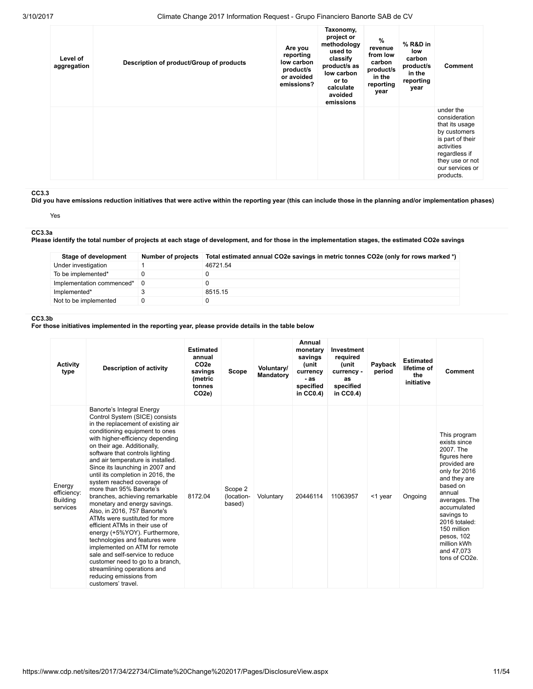| Level of<br>aggregation | Description of product/Group of products | Are you<br>reporting<br>low carbon<br>product/s<br>or avoided<br>emissions? | Taxonomy,<br>project or<br>methodology<br>used to<br>classify<br>product/s as<br>low carbon<br>or to<br>calculate<br>avoided<br>emissions | %<br>revenue<br>from low<br>carbon<br>product/s<br>in the<br>reporting<br>year | % R&D in<br>low<br>carbon<br>product/s<br>in the<br>reporting<br>year | <b>Comment</b>                                                                                                                                                     |
|-------------------------|------------------------------------------|-----------------------------------------------------------------------------|-------------------------------------------------------------------------------------------------------------------------------------------|--------------------------------------------------------------------------------|-----------------------------------------------------------------------|--------------------------------------------------------------------------------------------------------------------------------------------------------------------|
|                         |                                          |                                                                             |                                                                                                                                           |                                                                                |                                                                       | under the<br>consideration<br>that its usage<br>by customers<br>is part of their<br>activities<br>regardless if<br>they use or not<br>our services or<br>products. |

### CC3.3

Did you have emissions reduction initiatives that were active within the reporting year (this can include those in the planning and/or implementation phases)

Yes

### CC3.3a

Please identify the total number of projects at each stage of development, and for those in the implementation stages, the estimated CO2e savings

| Stage of development      | <b>Number of projects</b> | Total estimated annual CO2e savings in metric tonnes CO2e (only for rows marked *) |
|---------------------------|---------------------------|------------------------------------------------------------------------------------|
| Under investigation       |                           | 46721.54                                                                           |
| To be implemented*        |                           |                                                                                    |
| Implementation commenced* | - 0                       |                                                                                    |
| Implemented*              |                           | 8515.15                                                                            |
| Not to be implemented     |                           |                                                                                    |

#### CC3.3b

For those initiatives implemented in the reporting year, please provide details in the table below

| <b>Activity</b><br>type                              | <b>Description of activity</b>                                                                                                                                                                                                                                                                                                                                                                                                                                                                                                                                                                                                                                                                                                                                                                                                                  | <b>Estimated</b><br>annual<br>CO <sub>2e</sub><br>savings<br>(metric<br>tonnes<br>CO <sub>2e</sub> ) | <b>Scope</b>                    | Voluntary/<br><b>Mandatory</b> | Annual<br>monetary<br>savings<br>(unit<br>currency<br>- as<br>specified<br>in $CC0.4$ ) | Investment<br>required<br>(unit<br>currency -<br>as<br>specified<br>in CC0.4) | Payback<br>period | <b>Estimated</b><br>lifetime of<br>the<br>initiative | Comment                                                                                                                                                                                                                                                                                 |
|------------------------------------------------------|-------------------------------------------------------------------------------------------------------------------------------------------------------------------------------------------------------------------------------------------------------------------------------------------------------------------------------------------------------------------------------------------------------------------------------------------------------------------------------------------------------------------------------------------------------------------------------------------------------------------------------------------------------------------------------------------------------------------------------------------------------------------------------------------------------------------------------------------------|------------------------------------------------------------------------------------------------------|---------------------------------|--------------------------------|-----------------------------------------------------------------------------------------|-------------------------------------------------------------------------------|-------------------|------------------------------------------------------|-----------------------------------------------------------------------------------------------------------------------------------------------------------------------------------------------------------------------------------------------------------------------------------------|
| Energy<br>efficiency:<br><b>Building</b><br>services | Banorte's Integral Energy<br>Control System (SICE) consists<br>in the replacement of existing air<br>conditioning equipment to ones<br>with higher-efficiency depending<br>on their age. Additionally,<br>software that controls lighting<br>and air temperature is installed.<br>Since its launching in 2007 and<br>until its completion in 2016, the<br>system reached coverage of<br>more than 95% Banorte's<br>branches, achieving remarkable<br>monetary and energy savings.<br>Also, in 2016, 757 Banorte's<br>ATMs were sustituted for more<br>efficient ATMs in their use of<br>energy (+5%YOY). Furthermore,<br>technologies and features were<br>implemented on ATM for remote<br>sale and self-service to reduce<br>customer need to go to a branch,<br>streamlining operations and<br>reducing emissions from<br>customers' travel. | 8172.04                                                                                              | Scope 2<br>(location-<br>based) | Voluntary                      | 20446114                                                                                | 11063957                                                                      | $<$ 1 year        | Ongoing                                              | This program<br>exists since<br>2007. The<br>figures here<br>provided are<br>only for 2016<br>and they are<br>based on<br>annual<br>averages. The<br>accumulated<br>savings to<br>2016 totaled:<br>150 million<br>pesos, 102<br>million kWh<br>and 47,073<br>tons of CO <sub>2e</sub> . |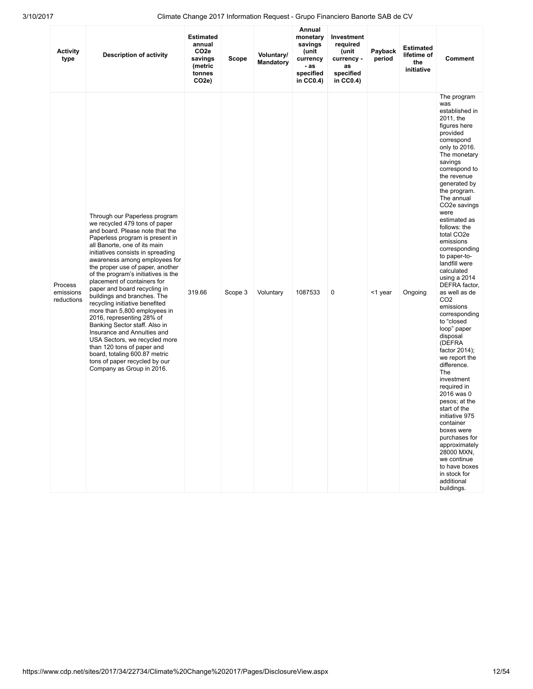| <b>Activity</b><br>type            | <b>Description of activity</b>                                                                                                                                                                                                                                                                                                                                                                                                                                                                                                                                                                                                                                                                                                                   | <b>Estimated</b><br>annual<br>CO <sub>2e</sub><br>savings<br>(metric<br>tonnes<br>CO <sub>2</sub> e) | Scope   | Voluntary/<br>Mandatory | Annual<br>monetary<br>savings<br>(unit<br>currency<br>- as<br>specified<br>in $CC0.4$ ) | <b>Investment</b><br>required<br>(unit<br>currency -<br>as<br>specified<br>in CC0.4) | Payback<br>period | <b>Estimated</b><br>lifetime of<br>the<br>initiative | <b>Comment</b>                                                                                                                                                                                                                                                                                                                                                                                                                                                                                                                                                                                                                                                                                                                                                                                                                                                           |
|------------------------------------|--------------------------------------------------------------------------------------------------------------------------------------------------------------------------------------------------------------------------------------------------------------------------------------------------------------------------------------------------------------------------------------------------------------------------------------------------------------------------------------------------------------------------------------------------------------------------------------------------------------------------------------------------------------------------------------------------------------------------------------------------|------------------------------------------------------------------------------------------------------|---------|-------------------------|-----------------------------------------------------------------------------------------|--------------------------------------------------------------------------------------|-------------------|------------------------------------------------------|--------------------------------------------------------------------------------------------------------------------------------------------------------------------------------------------------------------------------------------------------------------------------------------------------------------------------------------------------------------------------------------------------------------------------------------------------------------------------------------------------------------------------------------------------------------------------------------------------------------------------------------------------------------------------------------------------------------------------------------------------------------------------------------------------------------------------------------------------------------------------|
| Process<br>emissions<br>reductions | Through our Paperless program<br>we recycled 479 tons of paper<br>and board. Please note that the<br>Paperless program is present in<br>all Banorte, one of its main<br>initiatives consists in spreading<br>awareness among employees for<br>the proper use of paper, another<br>of the program's initiatives is the<br>placement of containers for<br>paper and board recycling in<br>buildings and branches. The<br>recycling initiative benefited<br>more than 5,800 employees in<br>2016, representing 28% of<br>Banking Sector staff. Also in<br>Insurance and Annuities and<br>USA Sectors, we recycled more<br>than 120 tons of paper and<br>board, totaling 600.87 metric<br>tons of paper recycled by our<br>Company as Group in 2016. | 319.66                                                                                               | Scope 3 | Voluntary               | 1087533                                                                                 | 0                                                                                    | <1 year           | Ongoing                                              | The program<br>was<br>established in<br>2011, the<br>figures here<br>provided<br>correspond<br>only to 2016.<br>The monetary<br>savings<br>correspond to<br>the revenue<br>generated by<br>the program.<br>The annual<br>CO <sub>2</sub> e savings<br>were<br>estimated as<br>follows: the<br>total CO <sub>2</sub> e<br>emissions<br>corresponding<br>to paper-to-<br>landfill were<br>calculated<br>using a 2014<br>DEFRA factor,<br>as well as de<br>CO <sub>2</sub><br>emissions<br>corresponding<br>to "closed<br>loop" paper<br>disposal<br>(DEFRA<br>factor $2014$ );<br>we report the<br>difference.<br>The<br>investment<br>required in<br>2016 was 0<br>pesos; at the<br>start of the<br>initiative 975<br>container<br>boxes were<br>purchases for<br>approximately<br>28000 MXN,<br>we continue<br>to have boxes<br>in stock for<br>additional<br>buildings. |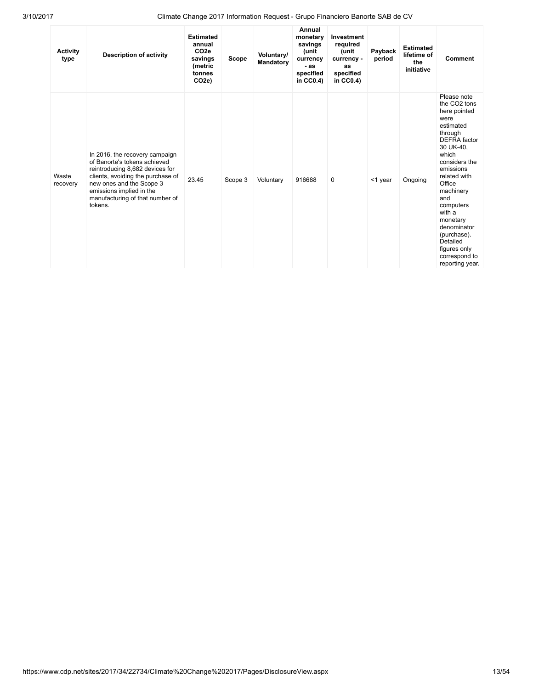| <b>Activity</b><br>type | <b>Description of activity</b>                                                                                                                                                                                                               | <b>Estimated</b><br>annual<br>CO <sub>2e</sub><br>savings<br>(metric<br>tonnes<br>CO <sub>2e</sub> ) | Scope   | Voluntary/<br>Mandatory | Annual<br>monetary<br>savings<br>(unit<br>currency<br>- as<br>specified<br>in $CC0.4$ ) | Investment<br>required<br>(unit<br>currency -<br>as<br>specified<br>in $CC0.4$ ) | Payback<br>period | <b>Estimated</b><br>lifetime of<br>the<br>initiative | <b>Comment</b>                                                                                                                                                                                                                                                                                                                                    |
|-------------------------|----------------------------------------------------------------------------------------------------------------------------------------------------------------------------------------------------------------------------------------------|------------------------------------------------------------------------------------------------------|---------|-------------------------|-----------------------------------------------------------------------------------------|----------------------------------------------------------------------------------|-------------------|------------------------------------------------------|---------------------------------------------------------------------------------------------------------------------------------------------------------------------------------------------------------------------------------------------------------------------------------------------------------------------------------------------------|
| Waste<br>recovery       | In 2016, the recovery campaign<br>of Banorte's tokens achieved<br>reintroducing 8,682 devices for<br>clients, avoiding the purchase of<br>new ones and the Scope 3<br>emissions implied in the<br>manufacturing of that number of<br>tokens. | 23.45                                                                                                | Scope 3 | Voluntary               | 916688                                                                                  | $\mathbf 0$                                                                      | $<$ 1 year        | Ongoing                                              | Please note<br>the CO <sub>2</sub> tons<br>here pointed<br>were<br>estimated<br>through<br><b>DEFRA</b> factor<br>30 UK-40,<br>which<br>considers the<br>emissions<br>related with<br>Office<br>machinery<br>and<br>computers<br>with a<br>monetary<br>denominator<br>(purchase).<br>Detailed<br>figures only<br>correspond to<br>reporting year. |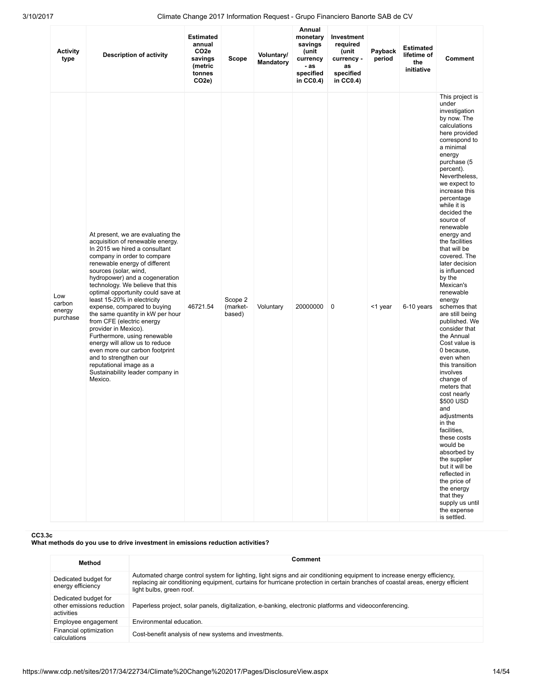| <b>Activity</b><br>type             | <b>Description of activity</b>                                                                                                                                                                                                                                                                                                                                                                                                                                                                                                                                                                                                                                           | <b>Estimated</b><br>annual<br>CO <sub>2e</sub><br>savings<br>(metric<br>tonnes<br>CO <sub>2</sub> e) | Scope                         | Voluntary/<br>Mandatory | Annual<br>monetary<br>savings<br>(unit<br>currency<br>- as<br>specified<br>in $CC0.4$ ) | Investment<br>required<br>(unit<br>currency -<br>as<br>specified<br>in $CC0.4$ ) | Payback<br>period | <b>Estimated</b><br>lifetime of<br>the<br>initiative | <b>Comment</b>                                                                                                                                                                                                                                                                                                                                                                                                                                                                                                                                                                                                                                                                                                                                                                                                                                                                                      |
|-------------------------------------|--------------------------------------------------------------------------------------------------------------------------------------------------------------------------------------------------------------------------------------------------------------------------------------------------------------------------------------------------------------------------------------------------------------------------------------------------------------------------------------------------------------------------------------------------------------------------------------------------------------------------------------------------------------------------|------------------------------------------------------------------------------------------------------|-------------------------------|-------------------------|-----------------------------------------------------------------------------------------|----------------------------------------------------------------------------------|-------------------|------------------------------------------------------|-----------------------------------------------------------------------------------------------------------------------------------------------------------------------------------------------------------------------------------------------------------------------------------------------------------------------------------------------------------------------------------------------------------------------------------------------------------------------------------------------------------------------------------------------------------------------------------------------------------------------------------------------------------------------------------------------------------------------------------------------------------------------------------------------------------------------------------------------------------------------------------------------------|
| Low<br>carbon<br>energy<br>purchase | At present, we are evaluating the<br>acquisition of renewable energy.<br>In 2015 we hired a consultant<br>company in order to compare<br>renewable energy of different<br>sources (solar, wind,<br>hydropower) and a cogeneration<br>technology. We believe that this<br>optimal opportunity could save at<br>least 15-20% in electricity<br>expense, compared to buying<br>the same quantity in kW per hour<br>from CFE (electric energy<br>provider in Mexico).<br>Furthermore, using renewable<br>energy will allow us to reduce<br>even more our carbon footprint<br>and to strengthen our<br>reputational image as a<br>Sustainability leader company in<br>Mexico. | 46721.54                                                                                             | Scope 2<br>(market-<br>based) | Voluntary               | 20000000                                                                                | 0                                                                                | <1 year           | 6-10 years                                           | This project is<br>under<br>investigation<br>by now. The<br>calculations<br>here provided<br>correspond to<br>a minimal<br>energy<br>purchase (5<br>percent).<br>Nevertheless,<br>we expect to<br>increase this<br>percentage<br>while it is<br>decided the<br>source of<br>renewable<br>energy and<br>the facilities<br>that will be<br>covered. The<br>later decision<br>is influenced<br>by the<br>Mexican's<br>renewable<br>energy<br>schemes that<br>are still being<br>published. We<br>consider that<br>the Annual<br>Cost value is<br>0 because,<br>even when<br>this transition<br>involves<br>change of<br>meters that<br>cost nearly<br>\$500 USD<br>and<br>adjustments<br>in the<br>facilities,<br>these costs<br>would be<br>absorbed by<br>the supplier<br>but it will be<br>reflected in<br>the price of<br>the energy<br>that they<br>supply us until<br>the expense<br>is settled. |

#### CC3.3c

What methods do you use to drive investment in emissions reduction activities?

| Method                                                          | Comment                                                                                                                                                                                                                                                                               |
|-----------------------------------------------------------------|---------------------------------------------------------------------------------------------------------------------------------------------------------------------------------------------------------------------------------------------------------------------------------------|
| Dedicated budget for<br>energy efficiency                       | Automated charge control system for lighting, light signs and air conditioning equipment to increase energy efficiency,<br>replacing air conditioning equipment, curtains for hurricane protection in certain branches of coastal areas, energy efficient<br>light bulbs, green roof. |
| Dedicated budget for<br>other emissions reduction<br>activities | Paperless project, solar panels, digitalization, e-banking, electronic platforms and videoconferencing.                                                                                                                                                                               |
| Employee engagement                                             | Environmental education.                                                                                                                                                                                                                                                              |
| Financial optimization<br>calculations                          | Cost-benefit analysis of new systems and investments.                                                                                                                                                                                                                                 |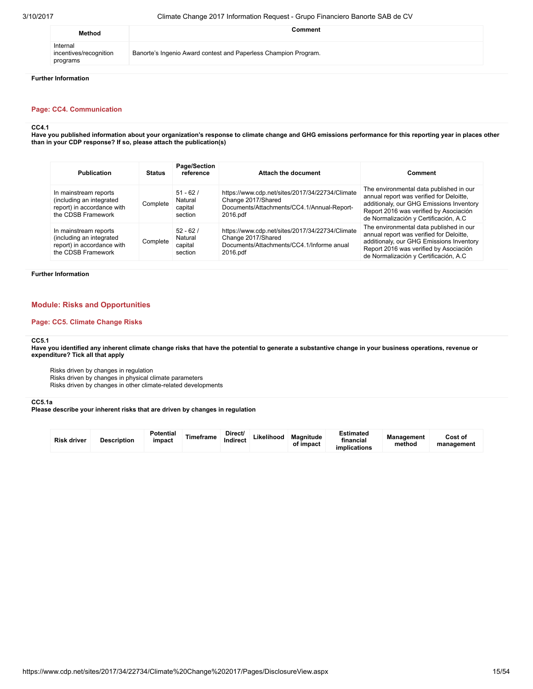| Method                                         | Comment                                                         |
|------------------------------------------------|-----------------------------------------------------------------|
| Internal<br>incentives/recognition<br>programs | Banorte's Ingenio Award contest and Paperless Champion Program. |

### Further Information

### Page: CC4. Communication

#### CC4.1

Have you published information about your organization's response to climate change and GHG emissions performance for this reporting year in places other than in your CDP response? If so, please attach the publication(s)

| <b>Publication</b>                                                                                    | <b>Status</b> | Page/Section<br>reference                   | Attach the document                                                                                                             | Comment                                                                                                                                                                                                             |  |  |
|-------------------------------------------------------------------------------------------------------|---------------|---------------------------------------------|---------------------------------------------------------------------------------------------------------------------------------|---------------------------------------------------------------------------------------------------------------------------------------------------------------------------------------------------------------------|--|--|
| In mainstream reports<br>(including an integrated<br>report) in accordance with<br>the CDSB Framework | Complete      | $51 - 62/$<br>Natural<br>capital<br>section | https://www.cdp.net/sites/2017/34/22734/Climate<br>Change 2017/Shared<br>Documents/Attachments/CC4.1/Annual-Report-<br>2016.pdf | The environmental data published in our<br>annual report was verified for Deloitte,<br>additionaly, our GHG Emissions Inventory<br>Report 2016 was verified by Asociación<br>de Normalización y Certificación, A.C. |  |  |
| In mainstream reports<br>(including an integrated<br>report) in accordance with<br>the CDSB Framework | Complete      | $52 - 62/$<br>Natural<br>capital<br>section | https://www.cdp.net/sites/2017/34/22734/Climate<br>Change 2017/Shared<br>Documents/Attachments/CC4.1/Informe anual<br>2016.pdf  | The environmental data published in our<br>annual report was verified for Deloitte,<br>additionaly, our GHG Emissions Inventory<br>Report 2016 was verified by Asociación<br>de Normalización y Certificación, A.C. |  |  |

#### Further Information

### Module: Risks and Opportunities

### Page: CC5. Climate Change Risks

### CC5.1

Have you identified any inherent climate change risks that have the potential to generate a substantive change in your business operations, revenue or expenditure? Tick all that apply

Risks driven by changes in regulation

Risks driven by changes in physical climate parameters

Risks driven by changes in other climate-related developments

#### CC5.1a

Please describe your inherent risks that are driven by changes in regulation

| <b>Risk driver</b> | <b>Description</b> | <b>Potential</b><br>impact | Timeframe | Direct/<br>Indirect | Likelihood | Magnitude<br>of impact | <b>Estimated</b><br>financial<br>implications | Management<br>method | Cost of<br>management |  |
|--------------------|--------------------|----------------------------|-----------|---------------------|------------|------------------------|-----------------------------------------------|----------------------|-----------------------|--|
|--------------------|--------------------|----------------------------|-----------|---------------------|------------|------------------------|-----------------------------------------------|----------------------|-----------------------|--|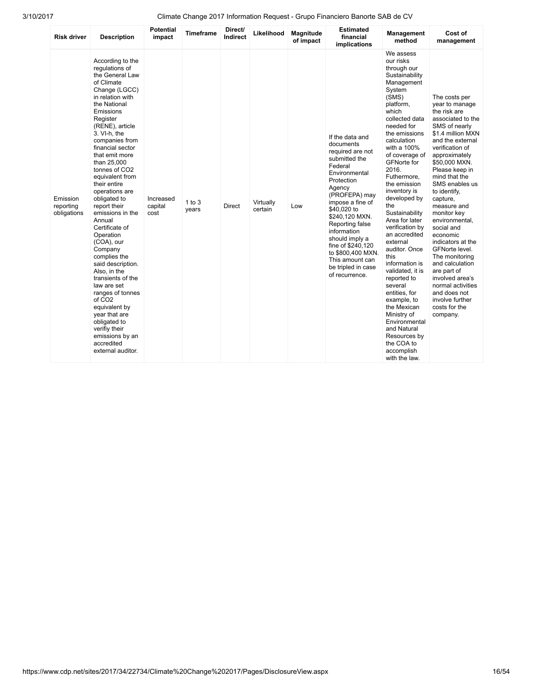| <b>Risk driver</b>                   | <b>Description</b>                                                                                                                                                                                                                                                                                                                                                                                                                                                                                                                                                                                                                                                                                                              | <b>Potential</b><br>impact   | <b>Timeframe</b>    | Direct/<br>Indirect | Likelihood           | <b>Magnitude</b><br>of impact | <b>Estimated</b><br>financial<br>implications                                                                                                                                                                                                                                                                                                        | Management<br>method                                                                                                                                                                                                                                                                                                                                                                                                                                                                                                                                                                                                                                         | Cost of<br>management                                                                                                                                                                                                                                                                                                                                                                                                                                                                                                                             |
|--------------------------------------|---------------------------------------------------------------------------------------------------------------------------------------------------------------------------------------------------------------------------------------------------------------------------------------------------------------------------------------------------------------------------------------------------------------------------------------------------------------------------------------------------------------------------------------------------------------------------------------------------------------------------------------------------------------------------------------------------------------------------------|------------------------------|---------------------|---------------------|----------------------|-------------------------------|------------------------------------------------------------------------------------------------------------------------------------------------------------------------------------------------------------------------------------------------------------------------------------------------------------------------------------------------------|--------------------------------------------------------------------------------------------------------------------------------------------------------------------------------------------------------------------------------------------------------------------------------------------------------------------------------------------------------------------------------------------------------------------------------------------------------------------------------------------------------------------------------------------------------------------------------------------------------------------------------------------------------------|---------------------------------------------------------------------------------------------------------------------------------------------------------------------------------------------------------------------------------------------------------------------------------------------------------------------------------------------------------------------------------------------------------------------------------------------------------------------------------------------------------------------------------------------------|
| Emission<br>reporting<br>obligations | According to the<br>regulations of<br>the General Law<br>of Climate<br>Change (LGCC)<br>in relation with<br>the National<br>Emissions<br>Register<br>(RENE), article<br>3. VI-h, the<br>companies from<br>financial sector<br>that emit more<br>than 25,000<br>tonnes of CO <sub>2</sub><br>equivalent from<br>their entire<br>operations are<br>obligated to<br>report their<br>emissions in the<br>Annual<br>Certificate of<br>Operation<br>(COA), our<br>Company<br>complies the<br>said description.<br>Also, in the<br>transients of the<br>law are set<br>ranges of tonnes<br>of CO <sub>2</sub><br>equivalent by<br>year that are<br>obligated to<br>verifiy their<br>emissions by an<br>accredited<br>external auditor. | Increased<br>capital<br>cost | $1$ to $3$<br>years | Direct              | Virtually<br>certain | Low                           | If the data and<br>documents<br>required are not<br>submitted the<br>Federal<br>Environmental<br>Protection<br>Agency<br>(PROFEPA) may<br>impose a fine of<br>\$40,020 to<br>\$240,120 MXN.<br>Reporting false<br>information<br>should imply a<br>fine of \$240,120<br>to \$800,400 MXN.<br>This amount can<br>be tripled in case<br>of recurrence. | We assess<br>our risks<br>through our<br>Sustainability<br>Management<br>System<br>(SMS)<br>platform,<br>which<br>collected data<br>needed for<br>the emissions<br>calculation<br>with a 100%<br>of coverage of<br><b>GFNorte for</b><br>2016.<br>Futhermore,<br>the emission<br>inventory is<br>developed by<br>the<br>Sustainability<br>Area for later<br>verification by<br>an accredited<br>external<br>auditor. Once<br>this<br>information is<br>validated, it is<br>reported to<br>several<br>entities, for<br>example, to<br>the Mexican<br>Ministry of<br>Environmental<br>and Natural<br>Resources by<br>the COA to<br>accomplish<br>with the law. | The costs per<br>year to manage<br>the risk are<br>associated to the<br>SMS of nearly<br>\$1.4 million MXN<br>and the external<br>verification of<br>approximately<br>\$50,000 MXN.<br>Please keep in<br>mind that the<br>SMS enables us<br>to identify.<br>capture,<br>measure and<br>monitor key<br>environmental,<br>social and<br>economic<br>indicators at the<br>GFNorte level.<br>The monitoring<br>and calculation<br>are part of<br>involved area's<br>normal activities<br>and does not<br>involve further<br>costs for the<br>company. |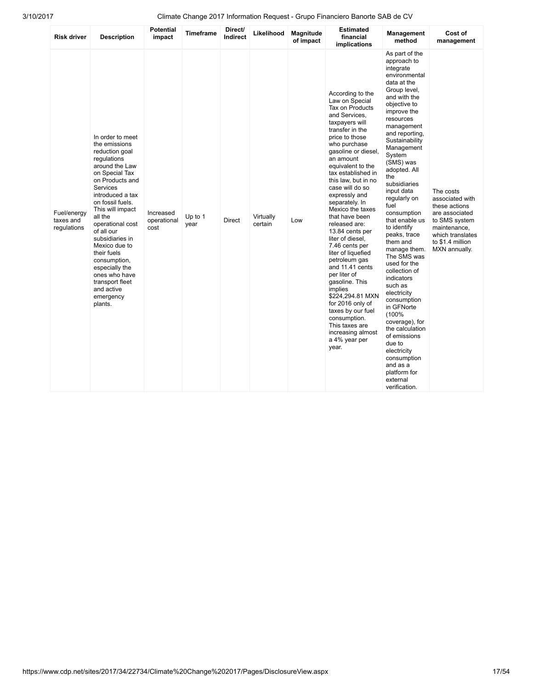| <b>Risk driver</b>                      | <b>Description</b>                                                                                                                                                                                                                                                                                                                                                                                            | <b>Potential</b><br>impact       | <b>Timeframe</b> | Direct/<br>Indirect | Likelihood           | <b>Magnitude</b><br>of impact | <b>Estimated</b><br>financial<br>implications                                                                                                                                                                                                                                                                                                                                                                                                                                                                                                                                                                                                                                  | <b>Management</b><br>method                                                                                                                                                                                                                                                                                                                                                                                                                                                                                                                                                                                                                                                                                | Cost of<br>management                                                                                                                                     |
|-----------------------------------------|---------------------------------------------------------------------------------------------------------------------------------------------------------------------------------------------------------------------------------------------------------------------------------------------------------------------------------------------------------------------------------------------------------------|----------------------------------|------------------|---------------------|----------------------|-------------------------------|--------------------------------------------------------------------------------------------------------------------------------------------------------------------------------------------------------------------------------------------------------------------------------------------------------------------------------------------------------------------------------------------------------------------------------------------------------------------------------------------------------------------------------------------------------------------------------------------------------------------------------------------------------------------------------|------------------------------------------------------------------------------------------------------------------------------------------------------------------------------------------------------------------------------------------------------------------------------------------------------------------------------------------------------------------------------------------------------------------------------------------------------------------------------------------------------------------------------------------------------------------------------------------------------------------------------------------------------------------------------------------------------------|-----------------------------------------------------------------------------------------------------------------------------------------------------------|
| Fuel/energy<br>taxes and<br>regulations | In order to meet<br>the emissions<br>reduction goal<br>regulations<br>around the Law<br>on Special Tax<br>on Products and<br>Services<br>introduced a tax<br>on fossil fuels.<br>This will impact<br>all the<br>operational cost<br>of all our<br>subsidiaries in<br>Mexico due to<br>their fuels<br>consumption,<br>especially the<br>ones who have<br>transport fleet<br>and active<br>emergency<br>plants. | Increased<br>operational<br>cost | Up to 1<br>year  | <b>Direct</b>       | Virtually<br>certain | Low                           | According to the<br>Law on Special<br>Tax on Products<br>and Services.<br>taxpayers will<br>transfer in the<br>price to those<br>who purchase<br>gasoline or diesel,<br>an amount<br>equivalent to the<br>tax established in<br>this law, but in no<br>case will do so<br>expressly and<br>separately. In<br>Mexico the taxes<br>that have been<br>released are:<br>13.84 cents per<br>liter of diesel,<br>7.46 cents per<br>liter of liquefied<br>petroleum gas<br>and 11.41 cents<br>per liter of<br>gasoline. This<br>implies<br>\$224,294.81 MXN<br>for 2016 only of<br>taxes by our fuel<br>consumption.<br>This taxes are<br>increasing almost<br>a 4% year per<br>year. | As part of the<br>approach to<br>integrate<br>environmental<br>data at the<br>Group level,<br>and with the<br>objective to<br>improve the<br>resources<br>management<br>and reporting.<br>Sustainability<br>Management<br>System<br>(SMS) was<br>adopted. All<br>the<br>subsidiaries<br>input data<br>regularly on<br>fuel<br>consumption<br>that enable us<br>to identify<br>peaks, trace<br>them and<br>manage them.<br>The SMS was<br>used for the<br>collection of<br>indicators<br>such as<br>electricity<br>consumption<br>in GFNorte<br>(100%<br>coverage), for<br>the calculation<br>of emissions<br>due to<br>electricity<br>consumption<br>and as a<br>platform for<br>external<br>verification. | The costs<br>associated with<br>these actions<br>are associated<br>to SMS system<br>maintenance,<br>which translates<br>to \$1.4 million<br>MXN annually. |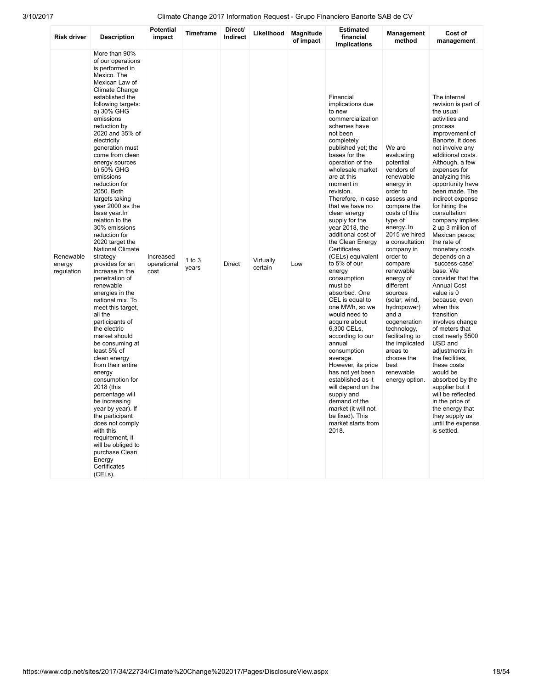| <b>Risk driver</b>                | <b>Description</b>                                                                                                                                                                                                                                                                                                                                                                                                                                                                                                                                                                                                                                                                                                                                                                                                                                                                                                                                                                                                                            | <b>Potential</b><br>impact       | <b>Timeframe</b>    | Direct/<br><b>Indirect</b> | Likelihood           | <b>Magnitude</b><br>of impact | <b>Estimated</b><br>financial<br><b>implications</b>                                                                                                                                                                                                                                                                                                                                                                                                                                                                                                                                                                                                                                                                                                                                                                        | <b>Management</b><br>method                                                                                                                                                                                                                                                                                                                                                                                                                                          | Cost of<br>management                                                                                                                                                                                                                                                                                                                                                                                                                                                                                                                                                                                                                                                                                                                                                                                                                                  |
|-----------------------------------|-----------------------------------------------------------------------------------------------------------------------------------------------------------------------------------------------------------------------------------------------------------------------------------------------------------------------------------------------------------------------------------------------------------------------------------------------------------------------------------------------------------------------------------------------------------------------------------------------------------------------------------------------------------------------------------------------------------------------------------------------------------------------------------------------------------------------------------------------------------------------------------------------------------------------------------------------------------------------------------------------------------------------------------------------|----------------------------------|---------------------|----------------------------|----------------------|-------------------------------|-----------------------------------------------------------------------------------------------------------------------------------------------------------------------------------------------------------------------------------------------------------------------------------------------------------------------------------------------------------------------------------------------------------------------------------------------------------------------------------------------------------------------------------------------------------------------------------------------------------------------------------------------------------------------------------------------------------------------------------------------------------------------------------------------------------------------------|----------------------------------------------------------------------------------------------------------------------------------------------------------------------------------------------------------------------------------------------------------------------------------------------------------------------------------------------------------------------------------------------------------------------------------------------------------------------|--------------------------------------------------------------------------------------------------------------------------------------------------------------------------------------------------------------------------------------------------------------------------------------------------------------------------------------------------------------------------------------------------------------------------------------------------------------------------------------------------------------------------------------------------------------------------------------------------------------------------------------------------------------------------------------------------------------------------------------------------------------------------------------------------------------------------------------------------------|
| Renewable<br>energy<br>regulation | More than 90%<br>of our operations<br>is performed in<br>Mexico. The<br>Mexican Law of<br>Climate Change<br>established the<br>following targets:<br>a) 30% GHG<br>emissions<br>reduction by<br>2020 and 35% of<br>electricity<br>generation must<br>come from clean<br>energy sources<br>b) 50% GHG<br>emissions<br>reduction for<br>2050. Both<br>targets taking<br>year 2000 as the<br>base year. In<br>relation to the<br>30% emissions<br>reduction for<br>2020 target the<br>National Climate<br>strategy<br>provides for an<br>increase in the<br>penetration of<br>renewable<br>energies in the<br>national mix. To<br>meet this target,<br>all the<br>participants of<br>the electric<br>market should<br>be consuming at<br>least 5% of<br>clean energy<br>from their entire<br>energy<br>consumption for<br>2018 (this<br>percentage will<br>be increasing<br>year by year). If<br>the participant<br>does not comply<br>with this<br>requirement, it<br>will be obliged to<br>purchase Clean<br>Energy<br>Certificates<br>(CELS). | Increased<br>operational<br>cost | $1$ to $3$<br>years | <b>Direct</b>              | Virtually<br>certain | Low                           | Financial<br>implications due<br>to new<br>commercialization<br>schemes have<br>not been<br>completely<br>published yet; the<br>bases for the<br>operation of the<br>wholesale market<br>are at this<br>moment in<br>revision.<br>Therefore, in case<br>that we have no<br>clean energy<br>supply for the<br>year 2018, the<br>additional cost of<br>the Clean Energy<br>Certificates<br>(CELs) equivalent<br>to 5% of our<br>energy<br>consumption<br>must be<br>absorbed. One<br>CEL is equal to<br>one MWh, so we<br>would need to<br>acquire about<br>6,300 CELs,<br>according to our<br>annual<br>consumption<br>average.<br>However, its price<br>has not yet been<br>established as it<br>will depend on the<br>supply and<br>demand of the<br>market (it will not<br>be fixed). This<br>market starts from<br>2018. | We are<br>evaluating<br>potential<br>vendors of<br>renewable<br>energy in<br>order to<br>assess and<br>compare the<br>costs of this<br>type of<br>energy. In<br>2015 we hired<br>a consultation<br>company in<br>order to<br>compare<br>renewable<br>energy of<br>different<br>sources<br>(solar, wind,<br>hydropower)<br>and a<br>cogeneration<br>technology,<br>facilitating to<br>the implicated<br>areas to<br>choose the<br>best<br>renewable<br>energy option. | The internal<br>revision is part of<br>the usual<br>activities and<br>process<br>improvement of<br>Banorte, it does<br>not involve any<br>additional costs.<br>Although, a few<br>expenses for<br>analyzing this<br>opportunity have<br>been made. The<br>indirect expense<br>for hiring the<br>consultation<br>company implies<br>2 up 3 million of<br>Mexican pesos;<br>the rate of<br>monetary costs<br>depends on a<br>"success-case"<br>base. We<br>consider that the<br><b>Annual Cost</b><br>value is 0<br>because, even<br>when this<br>transition<br>involves change<br>of meters that<br>cost nearly \$500<br>USD and<br>adjustments in<br>the facilities.<br>these costs<br>would be<br>absorbed by the<br>supplier but it<br>will be reflected<br>in the price of<br>the energy that<br>they supply us<br>until the expense<br>is settled. |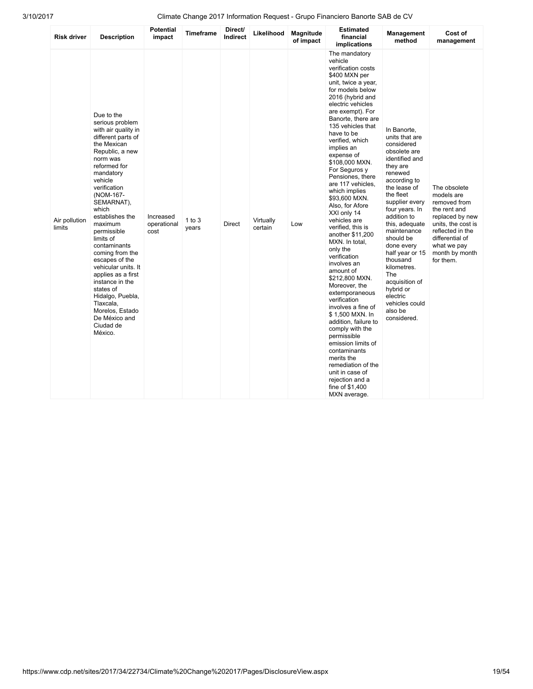| <b>Risk driver</b>      | <b>Description</b>                                                                                                                                                                                                                                                                                                                                                                                                                                                                                            | <b>Potential</b><br>impact       | <b>Timeframe</b>  | Direct/<br>Indirect | Likelihood           | <b>Magnitude</b><br>of impact | <b>Estimated</b><br>financial<br>implications                                                                                                                                                                                                                                                                                                                                                                                                                                                                                                                                                                                                                                                                                                                                                                                                                                                 | <b>Management</b><br>method                                                                                                                                                                                                                                                                                                                                                                                  | Cost of<br>management                                                                                                                                                                    |
|-------------------------|---------------------------------------------------------------------------------------------------------------------------------------------------------------------------------------------------------------------------------------------------------------------------------------------------------------------------------------------------------------------------------------------------------------------------------------------------------------------------------------------------------------|----------------------------------|-------------------|---------------------|----------------------|-------------------------------|-----------------------------------------------------------------------------------------------------------------------------------------------------------------------------------------------------------------------------------------------------------------------------------------------------------------------------------------------------------------------------------------------------------------------------------------------------------------------------------------------------------------------------------------------------------------------------------------------------------------------------------------------------------------------------------------------------------------------------------------------------------------------------------------------------------------------------------------------------------------------------------------------|--------------------------------------------------------------------------------------------------------------------------------------------------------------------------------------------------------------------------------------------------------------------------------------------------------------------------------------------------------------------------------------------------------------|------------------------------------------------------------------------------------------------------------------------------------------------------------------------------------------|
| Air pollution<br>limits | Due to the<br>serious problem<br>with air quality in<br>different parts of<br>the Mexican<br>Republic, a new<br>norm was<br>reformed for<br>mandatory<br>vehicle<br>verification<br>(NOM-167-<br>SEMARNAT),<br>which<br>establishes the<br>maximum<br>permissible<br>limits of<br>contaminants<br>coming from the<br>escapes of the<br>vehicular units. It<br>applies as a first<br>instance in the<br>states of<br>Hidalgo, Puebla,<br>Tlaxcala,<br>Morelos, Estado<br>De México and<br>Ciudad de<br>México. | Increased<br>operational<br>cost | 1 to $3$<br>years | <b>Direct</b>       | Virtually<br>certain | Low                           | The mandatory<br>vehicle<br>verification costs<br>\$400 MXN per<br>unit, twice a year,<br>for models below<br>2016 (hybrid and<br>electric vehicles<br>are exempt). For<br>Banorte, there are<br>135 vehicles that<br>have to be<br>verified, which<br>implies an<br>expense of<br>\$108,000 MXN.<br>For Seguros y<br>Pensiones, there<br>are 117 vehicles.<br>which implies<br>\$93,600 MXN.<br>Also, for Afore<br>XXI only 14<br>vehicles are<br>verified, this is<br>another \$11,200<br>MXN. In total,<br>only the<br>verification<br>involves an<br>amount of<br>\$212,800 MXN.<br>Moreover, the<br>extemporaneous<br>verification<br>involves a fine of<br>\$1,500 MXN. In<br>addition, failure to<br>comply with the<br>permissible<br>emission limits of<br>contaminants<br>merits the<br>remediation of the<br>unit in case of<br>rejection and a<br>fine of \$1,400<br>MXN average. | In Banorte,<br>units that are<br>considered<br>obsolete are<br>identified and<br>they are<br>renewed<br>according to<br>the lease of<br>the fleet<br>supplier every<br>four years. In<br>addition to<br>this, adequate<br>maintenance<br>should be<br>done every<br>half year or 15<br>thousand<br>kilometres.<br>The<br>acquisition of<br>hybrid or<br>electric<br>vehicles could<br>also be<br>considered. | The obsolete<br>models are<br>removed from<br>the rent and<br>replaced by new<br>units, the cost is<br>reflected in the<br>differential of<br>what we pay<br>month by month<br>for them. |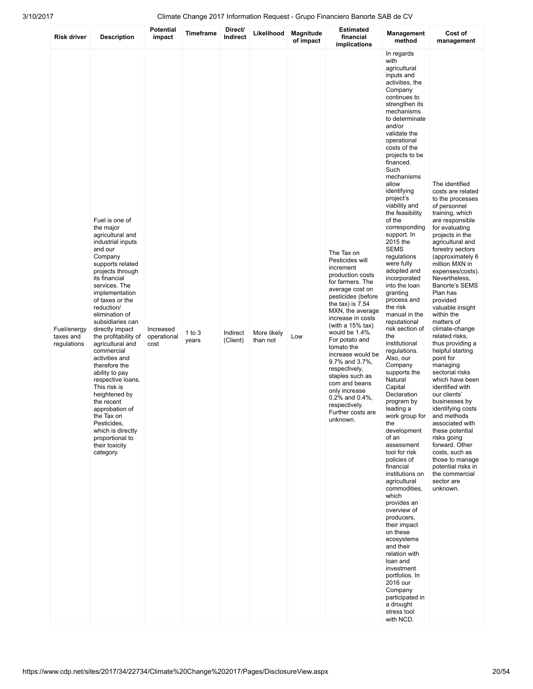| <b>Risk driver</b>                      | <b>Description</b>                                                                                                                                                                                                                                                                                                                                                                                                                                                                                                                                                                        | <b>Potential</b><br>impact       | <b>Timeframe</b>  | Direct/<br>Indirect  | Likelihood              | <b>Magnitude</b><br>of impact | <b>Estimated</b><br>financial<br>implications                                                                                                                                                                                                                                                                                                                                                                                                                   | Management<br>method                                                                                                                                                                                                                                                                                                                                                                                                                                                                                                                                                                                                                                                                                                                                                                                                                                                                                                                                                                                                                                                                                                                                            | Cost of<br>management                                                                                                                                                                                                                                                                                                                                                                                                                                                                                                                                                                                                                                                                                                                                                                   |
|-----------------------------------------|-------------------------------------------------------------------------------------------------------------------------------------------------------------------------------------------------------------------------------------------------------------------------------------------------------------------------------------------------------------------------------------------------------------------------------------------------------------------------------------------------------------------------------------------------------------------------------------------|----------------------------------|-------------------|----------------------|-------------------------|-------------------------------|-----------------------------------------------------------------------------------------------------------------------------------------------------------------------------------------------------------------------------------------------------------------------------------------------------------------------------------------------------------------------------------------------------------------------------------------------------------------|-----------------------------------------------------------------------------------------------------------------------------------------------------------------------------------------------------------------------------------------------------------------------------------------------------------------------------------------------------------------------------------------------------------------------------------------------------------------------------------------------------------------------------------------------------------------------------------------------------------------------------------------------------------------------------------------------------------------------------------------------------------------------------------------------------------------------------------------------------------------------------------------------------------------------------------------------------------------------------------------------------------------------------------------------------------------------------------------------------------------------------------------------------------------|-----------------------------------------------------------------------------------------------------------------------------------------------------------------------------------------------------------------------------------------------------------------------------------------------------------------------------------------------------------------------------------------------------------------------------------------------------------------------------------------------------------------------------------------------------------------------------------------------------------------------------------------------------------------------------------------------------------------------------------------------------------------------------------------|
| Fuel/energy<br>taxes and<br>regulations | Fuel is one of<br>the major<br>agricultural and<br>industrial inputs<br>and our<br>Company<br>supports related<br>projects through<br>its financial<br>services. The<br>implementation<br>of taxes or the<br>reduction/<br>elimination of<br>subsidiaries can<br>directly impact<br>the profitability of<br>agricultural and<br>commercial<br>activities and<br>therefore the<br>ability to pay<br>respective loans.<br>This risk is<br>heightened by<br>the recent<br>approbation of<br>the Tax on<br>Pesticides,<br>which is directly<br>proportional to<br>their toxicity<br>category. | Increased<br>operational<br>cost | 1 to $3$<br>years | Indirect<br>(Client) | More likely<br>than not | Low                           | The Tax on<br>Pesticides will<br>increment<br>production costs<br>for farmers. The<br>average cost on<br>pesticides (before<br>the tax) is $7.54$<br>MXN, the average<br>increase in costs<br>(with a $15\%$ tax)<br>would be $1.4\%$ .<br>For potato and<br>tomato the<br>increase would be<br>9.7% and 3.7%,<br>respectively,<br>staples such as<br>com and beans<br>only increase<br>$0.2\%$ and $0.4\%$ ,<br>respectively.<br>Further costs are<br>unknown. | In regards<br>with<br>agricultural<br>inputs and<br>activities, the<br>Company<br>continues to<br>strengthen its<br>mechanisms<br>to determinate<br>and/or<br>validate the<br>operational<br>costs of the<br>projects to be<br>financed.<br>Such<br>mechanisms<br>allow<br>identifying<br>project's<br>viability and<br>the feasibility<br>of the<br>corresponding<br>support. In<br>2015 the<br><b>SEMS</b><br>regulations<br>were fully<br>adopted and<br>incorporated<br>into the loan<br>granting<br>process and<br>the risk<br>manual in the<br>reputational<br>risk section of<br>the<br>institutional<br>regulations.<br>Also, our<br>Company<br>supports the<br>Natural<br>Capital<br>Declaration<br>program by<br>leading a<br>work group for<br>the<br>development<br>of an<br>assessment<br>tool for risk<br>policies of<br>financial<br>institutions on<br>agricultural<br>commodities,<br>which<br>provides an<br>overview of<br>producers,<br>their impact<br>on these<br>ecosystems<br>and their<br>relation with<br>loan and<br>investment<br>portfolios. In<br>2016 our<br>Company<br>participated in<br>a drought<br>stress tool<br>with NCD. | The identified<br>costs are related<br>to the processes<br>of personnel<br>training, which<br>are responsible<br>for evaluating<br>projects in the<br>agricultural and<br>forestry sectors<br>(approximately 6<br>million MXN in<br>expenses/costs).<br>Nevertheless,<br><b>Banorte's SEMS</b><br>Plan has<br>provided<br>valuable insight<br>within the<br>matters of<br>climate-change<br>related risks,<br>thus providing a<br>helpful starting<br>point for<br>managing<br>sectorial risks<br>which have been<br>identified with<br>our clients'<br>businesses by<br>identifying costs<br>and methods<br>associated with<br>these potential<br>risks going<br>forward. Other<br>costs, such as<br>those to manage<br>potential risks in<br>the commercial<br>sector are<br>unknown. |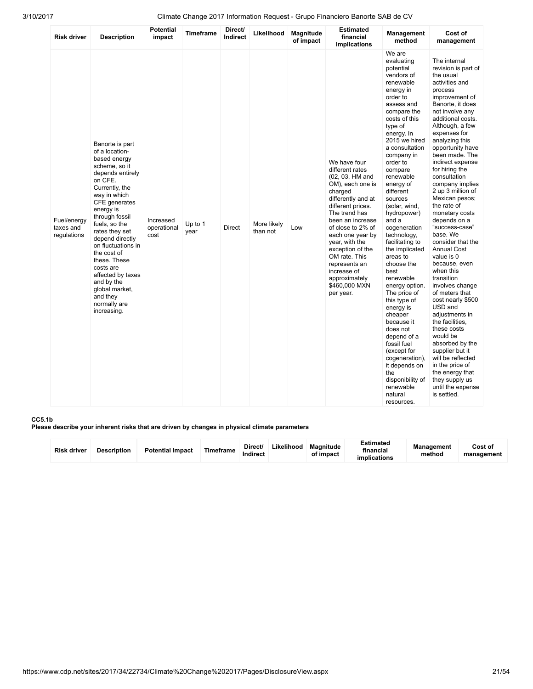| <b>Risk driver</b>                      | <b>Description</b>                                                                                                                                                                                                                                                                                                                                                                                          | <b>Potential</b><br>impact       | Timeframe       | Direct/<br>Indirect | Likelihood              | Magnitude<br>of impact | <b>Estimated</b><br>financial<br>implications                                                                                                                                                                                                                                                                                                    | Management<br>method                                                                                                                                                                                                                                                                                                                                                                                                                                                                                                                                                                                                                                                                                    | Cost of<br>management                                                                                                                                                                                                                                                                                                                                                                                                                                                                                                                                                                                                                                                                                                                                                                                                                                  |
|-----------------------------------------|-------------------------------------------------------------------------------------------------------------------------------------------------------------------------------------------------------------------------------------------------------------------------------------------------------------------------------------------------------------------------------------------------------------|----------------------------------|-----------------|---------------------|-------------------------|------------------------|--------------------------------------------------------------------------------------------------------------------------------------------------------------------------------------------------------------------------------------------------------------------------------------------------------------------------------------------------|---------------------------------------------------------------------------------------------------------------------------------------------------------------------------------------------------------------------------------------------------------------------------------------------------------------------------------------------------------------------------------------------------------------------------------------------------------------------------------------------------------------------------------------------------------------------------------------------------------------------------------------------------------------------------------------------------------|--------------------------------------------------------------------------------------------------------------------------------------------------------------------------------------------------------------------------------------------------------------------------------------------------------------------------------------------------------------------------------------------------------------------------------------------------------------------------------------------------------------------------------------------------------------------------------------------------------------------------------------------------------------------------------------------------------------------------------------------------------------------------------------------------------------------------------------------------------|
| Fuel/energy<br>taxes and<br>regulations | Banorte is part<br>of a location-<br>based energy<br>scheme, so it<br>depends entirely<br>on CFE.<br>Currently, the<br>way in which<br>CFE generates<br>energy is<br>through fossil<br>fuels, so the<br>rates they set<br>depend directly<br>on fluctuations in<br>the cost of<br>these. These<br>costs are<br>affected by taxes<br>and by the<br>global market,<br>and they<br>normally are<br>increasing. | Increased<br>operational<br>cost | Up to 1<br>year | Direct              | More likely<br>than not | Low                    | We have four<br>different rates<br>(02, 03, HM and<br>OM), each one is<br>charged<br>differently and at<br>different prices.<br>The trend has<br>been an increase<br>of close to 2% of<br>each one year by<br>year, with the<br>exception of the<br>OM rate. This<br>represents an<br>increase of<br>approximately<br>\$460,000 MXN<br>per year. | We are<br>evaluating<br>potential<br>vendors of<br>renewable<br>energy in<br>order to<br>assess and<br>compare the<br>costs of this<br>type of<br>energy. In<br>2015 we hired<br>a consultation<br>company in<br>order to<br>compare<br>renewable<br>energy of<br>different<br>sources<br>(solar, wind,<br>hydropower)<br>and a<br>cogeneration<br>technology,<br>facilitating to<br>the implicated<br>areas to<br>choose the<br>best<br>renewable<br>energy option.<br>The price of<br>this type of<br>energy is<br>cheaper<br>because it<br>does not<br>depend of a<br>fossil fuel<br>(except for<br>cogeneration),<br>it depends on<br>the<br>disponibility of<br>renewable<br>natural<br>resources. | The internal<br>revision is part of<br>the usual<br>activities and<br>process<br>improvement of<br>Banorte, it does<br>not involve any<br>additional costs.<br>Although, a few<br>expenses for<br>analyzing this<br>opportunity have<br>been made. The<br>indirect expense<br>for hiring the<br>consultation<br>company implies<br>2 up 3 million of<br>Mexican pesos;<br>the rate of<br>monetary costs<br>depends on a<br>"success-case"<br>base. We<br>consider that the<br><b>Annual Cost</b><br>value is 0<br>because, even<br>when this<br>transition<br>involves change<br>of meters that<br>cost nearly \$500<br>USD and<br>adjustments in<br>the facilities.<br>these costs<br>would be<br>absorbed by the<br>supplier but it<br>will be reflected<br>in the price of<br>the energy that<br>they supply us<br>until the expense<br>is settled. |

#### CC5.1b

Please describe your inherent risks that are driven by changes in physical climate parameters

| <b>Risk driver</b> | <b>Description</b> | <b>Potential impact</b> | <b>Timeframe</b> | Direct/<br>Indirect | Likelihood | Magnitude<br>of impact | <b>Estimated</b><br>financial<br>implications | <b>Management</b><br>method | Cost of<br>management |
|--------------------|--------------------|-------------------------|------------------|---------------------|------------|------------------------|-----------------------------------------------|-----------------------------|-----------------------|
|--------------------|--------------------|-------------------------|------------------|---------------------|------------|------------------------|-----------------------------------------------|-----------------------------|-----------------------|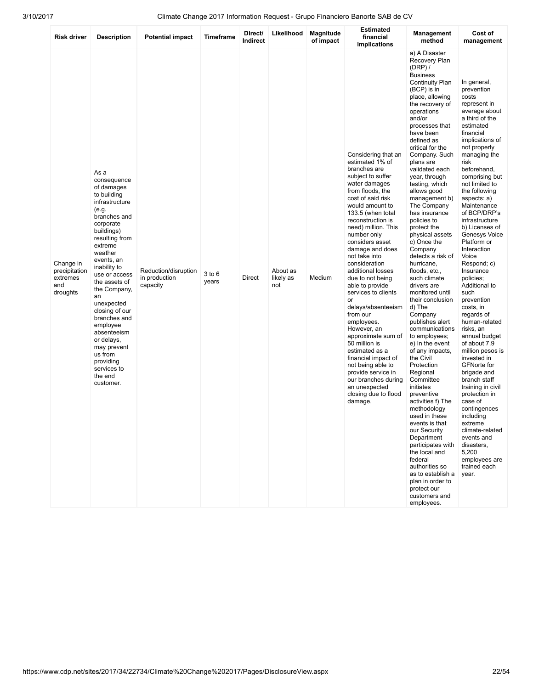| <b>Risk driver</b>                                        | <b>Description</b>                                                                                                                                                                                                                                                                                                                                                                                                          | <b>Potential impact</b>                           | <b>Timeframe</b>    | Direct/<br>Indirect | Likelihood                   | Magnitude<br>of impact | <b>Estimated</b><br>financial<br>implications                                                                                                                                                                                                                                                                                                                                                                                                                                                                                                                                                                                                                                  | Management<br>method                                                                                                                                                                                                                                                                                                                                                                                                                                                                                                                                                                                                                                                                                                                                                                                                                                                                                                                                                                                                                                          | Cost of<br>management                                                                                                                                                                                                                                                                                                                                                                                                                                                                                                                                                                                                                                                                                                                                                                                                                                 |
|-----------------------------------------------------------|-----------------------------------------------------------------------------------------------------------------------------------------------------------------------------------------------------------------------------------------------------------------------------------------------------------------------------------------------------------------------------------------------------------------------------|---------------------------------------------------|---------------------|---------------------|------------------------------|------------------------|--------------------------------------------------------------------------------------------------------------------------------------------------------------------------------------------------------------------------------------------------------------------------------------------------------------------------------------------------------------------------------------------------------------------------------------------------------------------------------------------------------------------------------------------------------------------------------------------------------------------------------------------------------------------------------|---------------------------------------------------------------------------------------------------------------------------------------------------------------------------------------------------------------------------------------------------------------------------------------------------------------------------------------------------------------------------------------------------------------------------------------------------------------------------------------------------------------------------------------------------------------------------------------------------------------------------------------------------------------------------------------------------------------------------------------------------------------------------------------------------------------------------------------------------------------------------------------------------------------------------------------------------------------------------------------------------------------------------------------------------------------|-------------------------------------------------------------------------------------------------------------------------------------------------------------------------------------------------------------------------------------------------------------------------------------------------------------------------------------------------------------------------------------------------------------------------------------------------------------------------------------------------------------------------------------------------------------------------------------------------------------------------------------------------------------------------------------------------------------------------------------------------------------------------------------------------------------------------------------------------------|
| Change in<br>precipitation<br>extremes<br>and<br>droughts | As a<br>consequence<br>of damages<br>to building<br>infrastructure<br>(e.g.<br>branches and<br>corporate<br>buildings)<br>resulting from<br>extreme<br>weather<br>events, an<br>inability to<br>use or access<br>the assets of<br>the Company,<br>an<br>unexpected<br>closing of our<br>branches and<br>employee<br>absenteeism<br>or delays,<br>may prevent<br>us from<br>providing<br>services to<br>the end<br>customer. | Reduction/disruption<br>in production<br>capacity | $3$ to $6$<br>years | <b>Direct</b>       | About as<br>likely as<br>not | Medium                 | Considering that an<br>estimated 1% of<br>branches are<br>subject to suffer<br>water damages<br>from floods, the<br>cost of said risk<br>would amount to<br>133.5 (when total<br>reconstruction is<br>need) million. This<br>number only<br>considers asset<br>damage and does<br>not take into<br>consideration<br>additional losses<br>due to not being<br>able to provide<br>services to clients<br>or<br>delays/absenteeism<br>from our<br>employees.<br>However, an<br>approximate sum of<br>50 million is<br>estimated as a<br>financial impact of<br>not being able to<br>provide service in<br>our branches during<br>an unexpected<br>closing due to flood<br>damage. | a) A Disaster<br>Recovery Plan<br>$(DRP)$ /<br><b>Business</b><br><b>Continuity Plan</b><br>(BCP) is in<br>place, allowing<br>the recovery of<br>operations<br>and/or<br>processes that<br>have been<br>defined as<br>critical for the<br>Company. Such<br>plans are<br>validated each<br>year, through<br>testing, which<br>allows good<br>management b)<br>The Company<br>has insurance<br>policies to<br>protect the<br>physical assets<br>c) Once the<br>Company<br>detects a risk of<br>hurricane,<br>floods, etc.,<br>such climate<br>drivers are<br>monitored until<br>their conclusion<br>d) The<br>Company<br>publishes alert<br>communications<br>to employees;<br>e) In the event<br>of any impacts,<br>the Civil<br>Protection<br>Regional<br>Committee<br>initiates<br>preventive<br>activities f) The<br>methodology<br>used in these<br>events is that<br>our Security<br>Department<br>participates with<br>the local and<br>federal<br>authorities so<br>as to establish a<br>plan in order to<br>protect our<br>customers and<br>employees. | In general,<br>prevention<br>costs<br>represent in<br>average about<br>a third of the<br>estimated<br>financial<br>implications of<br>not properly<br>managing the<br>risk<br>beforehand,<br>comprising but<br>not limited to<br>the following<br>aspects: a)<br>Maintenance<br>of BCP/DRP's<br>infrastructure<br>b) Licenses of<br>Genesys Voice<br>Platform or<br>Interaction<br>Voice<br>Respond; c)<br>Insurance<br>policies:<br>Additional to<br>such<br>prevention<br>costs, in<br>regards of<br>human-related<br>risks, an<br>annual budget<br>of about 7.9<br>million pesos is<br>invested in<br><b>GFNorte for</b><br>brigade and<br>branch staff<br>training in civil<br>protection in<br>case of<br>contingences<br>including<br>extreme<br>climate-related<br>events and<br>disasters,<br>5,200<br>employees are<br>trained each<br>year. |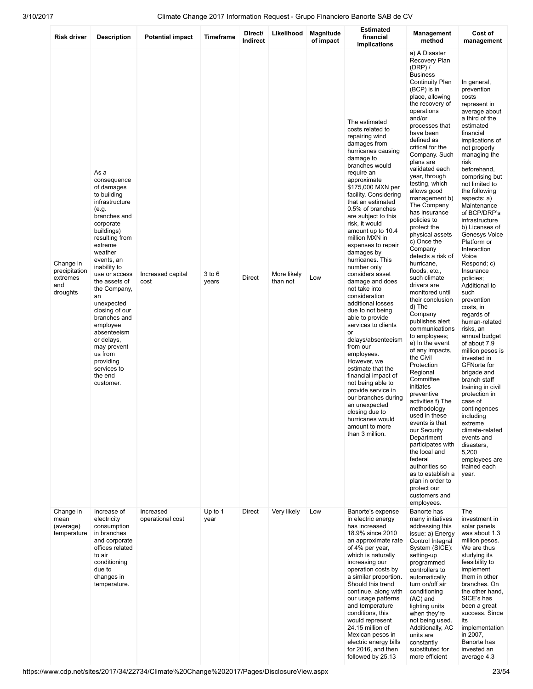| Risk driver                                               | <b>Description</b>                                                                                                                                                                                                                                                                                                                                                                                                          | <b>Potential impact</b>       | Timeframe           | Direct/<br>Indirect | Likelihood              | Magnitude<br>of impact | <b>Estimated</b><br>financial<br>implications                                                                                                                                                                                                                                                                                                                                                                                                                                                                                                                                                                                                                                                                                                                                                                                                 | <b>Management</b><br>method                                                                                                                                                                                                                                                                                                                                                                                                                                                                                                                                                                                                                                                                                                                                                                                                                                                                                                                                                                                                                                 | Cost of<br>management                                                                                                                                                                                                                                                                                                                                                                                                                                                                                                                                                                                                                                                                                                                                                                                                                                 |
|-----------------------------------------------------------|-----------------------------------------------------------------------------------------------------------------------------------------------------------------------------------------------------------------------------------------------------------------------------------------------------------------------------------------------------------------------------------------------------------------------------|-------------------------------|---------------------|---------------------|-------------------------|------------------------|-----------------------------------------------------------------------------------------------------------------------------------------------------------------------------------------------------------------------------------------------------------------------------------------------------------------------------------------------------------------------------------------------------------------------------------------------------------------------------------------------------------------------------------------------------------------------------------------------------------------------------------------------------------------------------------------------------------------------------------------------------------------------------------------------------------------------------------------------|-------------------------------------------------------------------------------------------------------------------------------------------------------------------------------------------------------------------------------------------------------------------------------------------------------------------------------------------------------------------------------------------------------------------------------------------------------------------------------------------------------------------------------------------------------------------------------------------------------------------------------------------------------------------------------------------------------------------------------------------------------------------------------------------------------------------------------------------------------------------------------------------------------------------------------------------------------------------------------------------------------------------------------------------------------------|-------------------------------------------------------------------------------------------------------------------------------------------------------------------------------------------------------------------------------------------------------------------------------------------------------------------------------------------------------------------------------------------------------------------------------------------------------------------------------------------------------------------------------------------------------------------------------------------------------------------------------------------------------------------------------------------------------------------------------------------------------------------------------------------------------------------------------------------------------|
| Change in<br>precipitation<br>extremes<br>and<br>droughts | As a<br>consequence<br>of damages<br>to building<br>infrastructure<br>(e.g.<br>branches and<br>corporate<br>buildings)<br>resulting from<br>extreme<br>weather<br>events, an<br>inability to<br>use or access<br>the assets of<br>the Company,<br>an<br>unexpected<br>closing of our<br>branches and<br>employee<br>absenteeism<br>or delays,<br>may prevent<br>us from<br>providing<br>services to<br>the end<br>customer. | Increased capital<br>cost     | $3$ to $6$<br>years | Direct              | More likely<br>than not | Low                    | The estimated<br>costs related to<br>repairing wind<br>damages from<br>hurricanes causing<br>damage to<br>branches would<br>require an<br>approximate<br>\$175,000 MXN per<br>facility. Considering<br>that an estimated<br>0.5% of branches<br>are subject to this<br>risk, it would<br>amount up to 10.4<br>million MXN in<br>expenses to repair<br>damages by<br>hurricanes. This<br>number only<br>considers asset<br>damage and does<br>not take into<br>consideration<br>additional losses<br>due to not being<br>able to provide<br>services to clients<br>or<br>delays/absenteeism<br>from our<br>employees.<br>However, we<br>estimate that the<br>financial impact of<br>not being able to<br>provide service in<br>our branches during<br>an unexpected<br>closing due to<br>hurricanes would<br>amount to more<br>than 3 million. | a) A Disaster<br>Recovery Plan<br>(DRP) /<br><b>Business</b><br><b>Continuity Plan</b><br>(BCP) is in<br>place, allowing<br>the recovery of<br>operations<br>and/or<br>processes that<br>have been<br>defined as<br>critical for the<br>Company. Such<br>plans are<br>validated each<br>year, through<br>testing, which<br>allows good<br>management b)<br>The Company<br>has insurance<br>policies to<br>protect the<br>physical assets<br>c) Once the<br>Company<br>detects a risk of<br>hurricane,<br>floods, etc.,<br>such climate<br>drivers are<br>monitored until<br>their conclusion<br>d) The<br>Company<br>publishes alert<br>communications<br>to employees;<br>e) In the event<br>of any impacts,<br>the Civil<br>Protection<br>Regional<br>Committee<br>initiates<br>preventive<br>activities f) The<br>methodology<br>used in these<br>events is that<br>our Security<br>Department<br>participates with<br>the local and<br>federal<br>authorities so<br>as to establish a<br>plan in order to<br>protect our<br>customers and<br>employees. | In general,<br>prevention<br>costs<br>represent in<br>average about<br>a third of the<br>estimated<br>financial<br>implications of<br>not properly<br>managing the<br>risk<br>beforehand,<br>comprising but<br>not limited to<br>the following<br>aspects: a)<br>Maintenance<br>of BCP/DRP's<br>infrastructure<br>b) Licenses of<br>Genesys Voice<br>Platform or<br>Interaction<br>Voice<br>Respond; c)<br>Insurance<br>policies;<br>Additional to<br>such<br>prevention<br>costs, in<br>regards of<br>human-related<br>risks, an<br>annual budget<br>of about 7.9<br>million pesos is<br>invested in<br><b>GFNorte for</b><br>brigade and<br>branch staff<br>training in civil<br>protection in<br>case of<br>contingences<br>including<br>extreme<br>climate-related<br>events and<br>disasters.<br>5,200<br>employees are<br>trained each<br>year. |
| Change in<br>mean<br>(average)<br>temperature             | Increase of<br>electricity<br>consumption<br>in branches<br>and corporate<br>offices related<br>to air<br>conditioning<br>due to<br>changes in<br>temperature.                                                                                                                                                                                                                                                              | Increased<br>operational cost | Up to 1<br>year     | <b>Direct</b>       | Very likely             | Low                    | Banorte's expense<br>in electric energy<br>has increased<br>18.9% since 2010<br>an approximate rate<br>of 4% per year,<br>which is naturally<br>increasing our<br>operation costs by<br>a similar proportion.<br>Should this trend<br>continue, along with<br>our usage patterns<br>and temperature<br>conditions, this<br>would represent<br>24.15 million of<br>Mexican pesos in<br>electric energy bills<br>for 2016, and then<br>followed by 25.13                                                                                                                                                                                                                                                                                                                                                                                        | Banorte has<br>many initiatives<br>addressing this<br>issue: a) Energy<br>Control Integral<br>System (SICE):<br>setting-up<br>programmed<br>controllers to<br>automatically<br>turn on/off air<br>conditioning<br>$(AC)$ and<br>lighting units<br>when they're<br>not being used.<br>Additionally, AC<br>units are<br>constantly<br>substituted for<br>more efficient                                                                                                                                                                                                                                                                                                                                                                                                                                                                                                                                                                                                                                                                                       | The<br>investment in<br>solar panels<br>was about 1.3<br>million pesos.<br>We are thus<br>studying its<br>feasibility to<br>implement<br>them in other<br>branches. On<br>the other hand,<br>SICE's has<br>been a great<br>success. Since<br>its<br>implementation<br>in 2007,<br>Banorte has<br>invested an<br>average 4.3                                                                                                                                                                                                                                                                                                                                                                                                                                                                                                                           |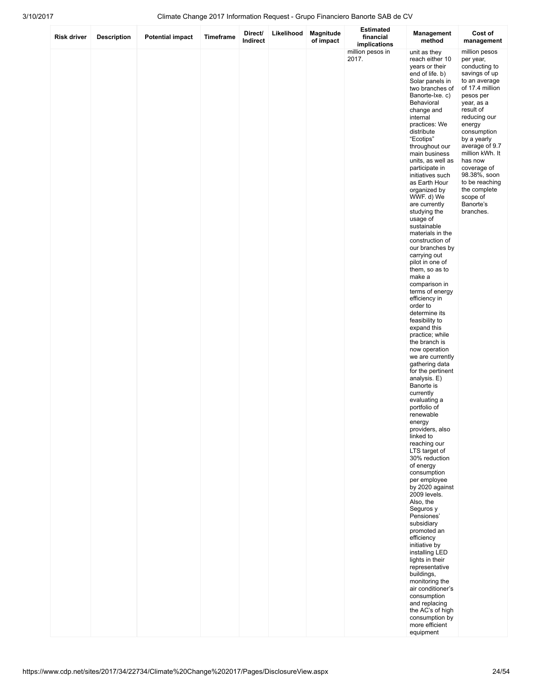| <b>Risk driver</b> | <b>Description</b> | <b>Potential impact</b> | Timeframe | Direct/<br>Indirect | Likelihood | Magnitude<br>of impact | <b>Estimated</b><br>financial<br>implications | Management<br>method                                                                                                                                                                                                                                                                                                                                                                                                                                                                                                                                                                                                                                                                                                                                                                                                                                                                                                                                                                                                                                                                                                                                                                                                                                                                                                                                                           | Cost of<br>management                                                                                                                                                                                                                                                                                                                                   |
|--------------------|--------------------|-------------------------|-----------|---------------------|------------|------------------------|-----------------------------------------------|--------------------------------------------------------------------------------------------------------------------------------------------------------------------------------------------------------------------------------------------------------------------------------------------------------------------------------------------------------------------------------------------------------------------------------------------------------------------------------------------------------------------------------------------------------------------------------------------------------------------------------------------------------------------------------------------------------------------------------------------------------------------------------------------------------------------------------------------------------------------------------------------------------------------------------------------------------------------------------------------------------------------------------------------------------------------------------------------------------------------------------------------------------------------------------------------------------------------------------------------------------------------------------------------------------------------------------------------------------------------------------|---------------------------------------------------------------------------------------------------------------------------------------------------------------------------------------------------------------------------------------------------------------------------------------------------------------------------------------------------------|
|                    |                    |                         |           |                     |            |                        | million pesos in<br>2017.                     | unit as they<br>reach either 10<br>years or their<br>end of life. b)<br>Solar panels in<br>two branches of<br>Banorte-Ixe. c)<br>Behavioral<br>change and<br>internal<br>practices: We<br>distribute<br>"Ecotips"<br>throughout our<br>main business<br>units, as well as<br>participate in<br>initiatives such<br>as Earth Hour<br>organized by<br>WWF. d) We<br>are currently<br>studying the<br>usage of<br>sustainable<br>materials in the<br>construction of<br>our branches by<br>carrying out<br>pilot in one of<br>them, so as to<br>make a<br>comparison in<br>terms of energy<br>efficiency in<br>order to<br>determine its<br>feasibility to<br>expand this<br>practice; while<br>the branch is<br>now operation<br>we are currently<br>gathering data<br>for the pertinent<br>analysis. E)<br>Banorte is<br>currently<br>evaluating a<br>portfolio of<br>renewable<br>energy<br>providers, also<br>linked to<br>reaching our<br>LTS target of<br>30% reduction<br>of energy<br>consumption<br>per employee<br>by 2020 against<br>2009 levels.<br>Also, the<br>Seguros y<br>Pensiones'<br>subsidiary<br>promoted an<br>efficiency<br>initiative by<br>installing LED<br>lights in their<br>representative<br>buildings,<br>monitoring the<br>air conditioner's<br>consumption<br>and replacing<br>the AC's of high<br>consumption by<br>more efficient<br>equipment | million pesos<br>per year,<br>conducting to<br>savings of up<br>to an average<br>of 17.4 million<br>pesos per<br>year, as a<br>result of<br>reducing our<br>energy<br>consumption<br>by a yearly<br>average of 9.7<br>million kWh. It<br>has now<br>coverage of<br>98.38%, soon<br>to be reaching<br>the complete<br>scope of<br>Banorte's<br>branches. |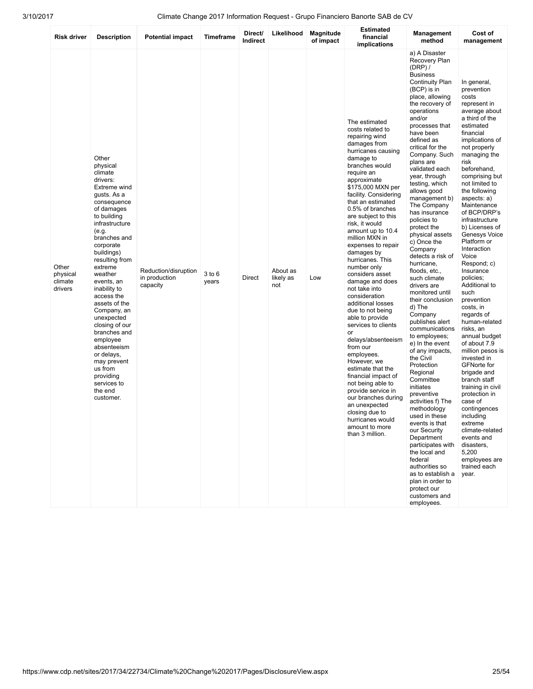| <b>Risk driver</b>                      | <b>Description</b>                                                                                                                                                                                                                                                                                                                                                                                                                                                                   | <b>Potential impact</b>                           | <b>Timeframe</b>    | Direct/<br>Indirect | Likelihood                   | Magnitude<br>of impact | <b>Estimated</b><br>financial<br>implications                                                                                                                                                                                                                                                                                                                                                                                                                                                                                                                                                                                                                                                                                                                                                                                                 | Management<br>method                                                                                                                                                                                                                                                                                                                                                                                                                                                                                                                                                                                                                                                                                                                                                                                                                                                                                                                                                                                                                                          | Cost of<br>management                                                                                                                                                                                                                                                                                                                                                                                                                                                                                                                                                                                                                                                                                                                                                                                                                                 |
|-----------------------------------------|--------------------------------------------------------------------------------------------------------------------------------------------------------------------------------------------------------------------------------------------------------------------------------------------------------------------------------------------------------------------------------------------------------------------------------------------------------------------------------------|---------------------------------------------------|---------------------|---------------------|------------------------------|------------------------|-----------------------------------------------------------------------------------------------------------------------------------------------------------------------------------------------------------------------------------------------------------------------------------------------------------------------------------------------------------------------------------------------------------------------------------------------------------------------------------------------------------------------------------------------------------------------------------------------------------------------------------------------------------------------------------------------------------------------------------------------------------------------------------------------------------------------------------------------|---------------------------------------------------------------------------------------------------------------------------------------------------------------------------------------------------------------------------------------------------------------------------------------------------------------------------------------------------------------------------------------------------------------------------------------------------------------------------------------------------------------------------------------------------------------------------------------------------------------------------------------------------------------------------------------------------------------------------------------------------------------------------------------------------------------------------------------------------------------------------------------------------------------------------------------------------------------------------------------------------------------------------------------------------------------|-------------------------------------------------------------------------------------------------------------------------------------------------------------------------------------------------------------------------------------------------------------------------------------------------------------------------------------------------------------------------------------------------------------------------------------------------------------------------------------------------------------------------------------------------------------------------------------------------------------------------------------------------------------------------------------------------------------------------------------------------------------------------------------------------------------------------------------------------------|
| Other<br>physical<br>climate<br>drivers | Other<br>physical<br>climate<br>drivers:<br>Extreme wind<br>gusts. As a<br>consequence<br>of damages<br>to building<br>infrastructure<br>(e.g.<br>branches and<br>corporate<br>buildings)<br>resulting from<br>extreme<br>weather<br>events, an<br>inability to<br>access the<br>assets of the<br>Company, an<br>unexpected<br>closing of our<br>branches and<br>employee<br>absenteeism<br>or delays,<br>may prevent<br>us from<br>providing<br>services to<br>the end<br>customer. | Reduction/disruption<br>in production<br>capacity | $3$ to $6$<br>years | <b>Direct</b>       | About as<br>likely as<br>not | Low                    | The estimated<br>costs related to<br>repairing wind<br>damages from<br>hurricanes causing<br>damage to<br>branches would<br>require an<br>approximate<br>\$175,000 MXN per<br>facility. Considering<br>that an estimated<br>0.5% of branches<br>are subject to this<br>risk, it would<br>amount up to 10.4<br>million MXN in<br>expenses to repair<br>damages by<br>hurricanes. This<br>number only<br>considers asset<br>damage and does<br>not take into<br>consideration<br>additional losses<br>due to not being<br>able to provide<br>services to clients<br>or<br>delays/absenteeism<br>from our<br>employees.<br>However, we<br>estimate that the<br>financial impact of<br>not being able to<br>provide service in<br>our branches during<br>an unexpected<br>closing due to<br>hurricanes would<br>amount to more<br>than 3 million. | a) A Disaster<br>Recovery Plan<br>$(DRP)$ /<br><b>Business</b><br><b>Continuity Plan</b><br>(BCP) is in<br>place, allowing<br>the recovery of<br>operations<br>and/or<br>processes that<br>have been<br>defined as<br>critical for the<br>Company. Such<br>plans are<br>validated each<br>year, through<br>testing, which<br>allows good<br>management b)<br>The Company<br>has insurance<br>policies to<br>protect the<br>physical assets<br>c) Once the<br>Company<br>detects a risk of<br>hurricane.<br>floods, etc.,<br>such climate<br>drivers are<br>monitored until<br>their conclusion<br>d) The<br>Company<br>publishes alert<br>communications<br>to employees;<br>e) In the event<br>of any impacts,<br>the Civil<br>Protection<br>Regional<br>Committee<br>initiates<br>preventive<br>activities f) The<br>methodology<br>used in these<br>events is that<br>our Security<br>Department<br>participates with<br>the local and<br>federal<br>authorities so<br>as to establish a<br>plan in order to<br>protect our<br>customers and<br>employees. | In general,<br>prevention<br>costs<br>represent in<br>average about<br>a third of the<br>estimated<br>financial<br>implications of<br>not properly<br>managing the<br>risk<br>beforehand,<br>comprising but<br>not limited to<br>the following<br>aspects: a)<br>Maintenance<br>of BCP/DRP's<br>infrastructure<br>b) Licenses of<br>Genesys Voice<br>Platform or<br>Interaction<br>Voice<br>Respond; c)<br>Insurance<br>policies;<br>Additional to<br>such<br>prevention<br>costs, in<br>regards of<br>human-related<br>risks, an<br>annual budget<br>of about 7.9<br>million pesos is<br>invested in<br><b>GFNorte for</b><br>brigade and<br>branch staff<br>training in civil<br>protection in<br>case of<br>contingences<br>including<br>extreme<br>climate-related<br>events and<br>disasters.<br>5,200<br>employees are<br>trained each<br>year. |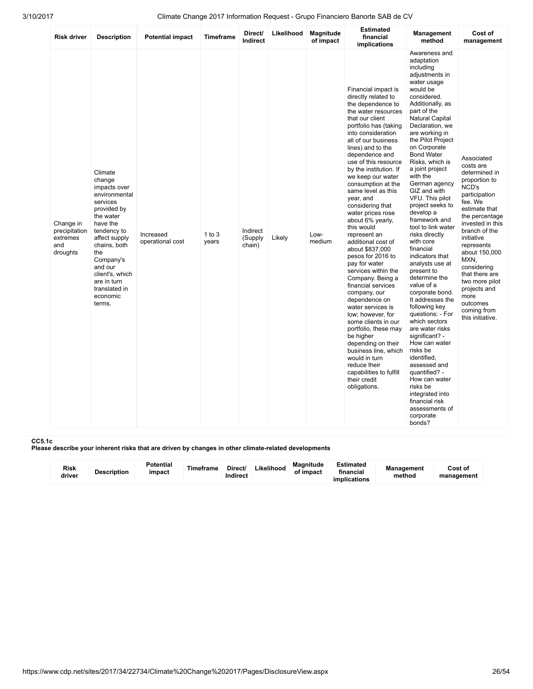| <b>Risk driver</b>                                        | <b>Description</b>                                                                                                                                                                                                                                             | <b>Potential impact</b>       | <b>Timeframe</b>    | Direct/<br>Indirect           | Likelihood | Magnitude<br>of impact | <b>Estimated</b><br>financial<br>implications                                                                                                                                                                                                                                                                                                                                                                                                                                                                                                                                                                                                                                                                                                                                                                                                                                      | Management<br>method                                                                                                                                                                                                                                                                                                                                                                                                                                                                                                                                                                                                                                                                                                                                                                                                                                                                                    | Cost of<br>management                                                                                                                                                                                                                                                                                                                                 |
|-----------------------------------------------------------|----------------------------------------------------------------------------------------------------------------------------------------------------------------------------------------------------------------------------------------------------------------|-------------------------------|---------------------|-------------------------------|------------|------------------------|------------------------------------------------------------------------------------------------------------------------------------------------------------------------------------------------------------------------------------------------------------------------------------------------------------------------------------------------------------------------------------------------------------------------------------------------------------------------------------------------------------------------------------------------------------------------------------------------------------------------------------------------------------------------------------------------------------------------------------------------------------------------------------------------------------------------------------------------------------------------------------|---------------------------------------------------------------------------------------------------------------------------------------------------------------------------------------------------------------------------------------------------------------------------------------------------------------------------------------------------------------------------------------------------------------------------------------------------------------------------------------------------------------------------------------------------------------------------------------------------------------------------------------------------------------------------------------------------------------------------------------------------------------------------------------------------------------------------------------------------------------------------------------------------------|-------------------------------------------------------------------------------------------------------------------------------------------------------------------------------------------------------------------------------------------------------------------------------------------------------------------------------------------------------|
| Change in<br>precipitation<br>extremes<br>and<br>droughts | Climate<br>change<br>impacts over<br>environmental<br>services<br>provided by<br>the water<br>have the<br>tendency to<br>affect supply<br>chains, both<br>the<br>Company's<br>and our<br>client's, which<br>are in turn<br>translated in<br>economic<br>terms. | Increased<br>operational cost | $1$ to $3$<br>years | Indirect<br>(Supply<br>chain) | Likely     | Low-<br>medium         | Financial impact is<br>directly related to<br>the dependence to<br>the water resources<br>that our client<br>portfolio has (taking<br>into consideration<br>all of our business<br>lines) and to the<br>dependence and<br>use of this resource<br>by the institution. If<br>we keep our water<br>consumption at the<br>same level as this<br>year, and<br>considering that<br>water prices rose<br>about 6% yearly,<br>this would<br>represent an<br>additional cost of<br>about \$837,000<br>pesos for 2016 to<br>pay for water<br>services within the<br>Company. Being a<br>financial services<br>company, our<br>dependence on<br>water services is<br>low; however, for<br>some clients in our<br>portfolio, these may<br>be higher<br>depending on their<br>business line, which<br>would in turn<br>reduce their<br>capabilities to fulfill<br>their credit<br>obligations. | Awareness and<br>adaptation<br>including<br>adjustments in<br>water usage<br>would be<br>considered.<br>Additionally, as<br>part of the<br><b>Natural Capital</b><br>Declaration, we<br>are working in<br>the Pilot Project<br>on Corporate<br><b>Bond Water</b><br>Risks, which is<br>a joint project<br>with the<br>German agency<br>GIZ and with<br>VFU. This pilot<br>project seeks to<br>develop a<br>framework and<br>tool to link water<br>risks directly<br>with core<br>financial<br>indicators that<br>analysts use at<br>present to<br>determine the<br>value of a<br>corporate bond.<br>It addresses the<br>following key<br>questions: - For<br>which sectors<br>are water risks<br>significant? -<br>How can water<br>risks be<br>identified,<br>assessed and<br>quantified? -<br>How can water<br>risks be<br>integrated into<br>financial risk<br>assessments of<br>corporate<br>bonds? | Associated<br>costs are<br>determined in<br>proportion to<br>NCD's<br>participation<br>fee. We<br>estimate that<br>the percentage<br>invested in this<br>branch of the<br>initiative<br>represents<br>about 150,000<br>MXN,<br>considering<br>that there are<br>two more pilot<br>projects and<br>more<br>outcomes<br>coming from<br>this initiative. |

### CC5.1c

Please describe your inherent risks that are driven by changes in other climate-related developments

| Risk<br>driver | <b>Description</b> | Potential<br>impact | Timeframe | Direct/<br>Indirect | Likelihood | <b>Magnitude</b><br>of impact | Estimated<br>financial<br>implications | <b>Management</b><br>method | Cost of<br>management |
|----------------|--------------------|---------------------|-----------|---------------------|------------|-------------------------------|----------------------------------------|-----------------------------|-----------------------|
|----------------|--------------------|---------------------|-----------|---------------------|------------|-------------------------------|----------------------------------------|-----------------------------|-----------------------|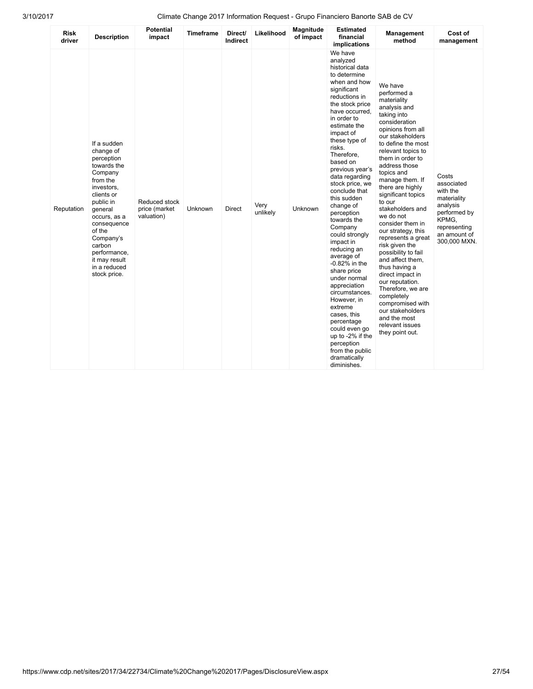| <b>Risk</b><br>driver | <b>Description</b>                                                                                                                                                                                                                                                | <b>Potential</b><br>impact                   | <b>Timeframe</b> | Direct/<br>Indirect | Likelihood       | <b>Magnitude</b><br>of impact | <b>Estimated</b><br>financial<br>implications                                                                                                                                                                                                                                                                                                                                                                                                                                                                                                                                                                                                                                                       | Management<br>method                                                                                                                                                                                                                                                                                                                                                                                                                                                                                                                                                                                                                                        | Cost of<br>management                                                                                                               |  |
|-----------------------|-------------------------------------------------------------------------------------------------------------------------------------------------------------------------------------------------------------------------------------------------------------------|----------------------------------------------|------------------|---------------------|------------------|-------------------------------|-----------------------------------------------------------------------------------------------------------------------------------------------------------------------------------------------------------------------------------------------------------------------------------------------------------------------------------------------------------------------------------------------------------------------------------------------------------------------------------------------------------------------------------------------------------------------------------------------------------------------------------------------------------------------------------------------------|-------------------------------------------------------------------------------------------------------------------------------------------------------------------------------------------------------------------------------------------------------------------------------------------------------------------------------------------------------------------------------------------------------------------------------------------------------------------------------------------------------------------------------------------------------------------------------------------------------------------------------------------------------------|-------------------------------------------------------------------------------------------------------------------------------------|--|
| Reputation            | If a sudden<br>change of<br>perception<br>towards the<br>Company<br>from the<br>investors,<br>clients or<br>public in<br>general<br>occurs, as a<br>consequence<br>of the<br>Company's<br>carbon<br>performance,<br>it may result<br>in a reduced<br>stock price. | Reduced stock<br>price (market<br>valuation) | Unknown          | Direct              | Very<br>unlikely | Unknown                       | We have<br>analyzed<br>historical data<br>to determine<br>when and how<br>significant<br>reductions in<br>the stock price<br>have occurred,<br>in order to<br>estimate the<br>impact of<br>these type of<br>risks.<br>Therefore,<br>based on<br>previous year's<br>data regarding<br>stock price, we<br>conclude that<br>this sudden<br>change of<br>perception<br>towards the<br>Company<br>could strongly<br>impact in<br>reducing an<br>average of<br>-0.82% in the<br>share price<br>under normal<br>appreciation<br>circumstances.<br>However, in<br>extreme<br>cases, this<br>percentage<br>could even go<br>up to -2% if the<br>perception<br>from the public<br>dramatically<br>diminishes. | We have<br>performed a<br>materiality<br>analysis and<br>taking into<br>consideration<br>opinions from all<br>our stakeholders<br>to define the most<br>relevant topics to<br>them in order to<br>address those<br>topics and<br>manage them. If<br>there are highly<br>significant topics<br>to our<br>stakeholders and<br>we do not<br>consider them in<br>our strategy, this<br>represents a great<br>risk given the<br>possibility to fail<br>and affect them.<br>thus having a<br>direct impact in<br>our reputation.<br>Therefore, we are<br>completely<br>compromised with<br>our stakeholders<br>and the most<br>relevant issues<br>they point out. | Costs<br>associated<br>with the<br>materiality<br>analysis<br>performed by<br>KPMG,<br>representing<br>an amount of<br>300,000 MXN. |  |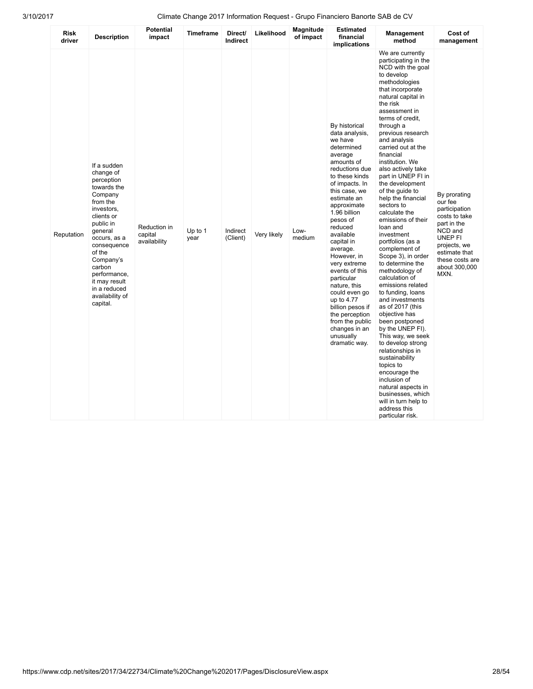| <b>Risk</b><br>driver | <b>Description</b>                                                                                                                                                                                                                                                               | <b>Potential</b><br>impact              | <b>Timeframe</b>  | Direct/<br><b>Indirect</b> | Likelihood  | Magnitude<br>of impact | <b>Estimated</b><br>financial<br>implications                                                                                                                                                                                                                                                                                                                                                                                                                                              | Management<br>method                                                                                                                                                                                                                                                                                                                                                                                                                                                                                                                                                                                                                                                                                                                                                                                                                                                                                                                                                                   | Cost of<br>management                                                                                                                                                       |
|-----------------------|----------------------------------------------------------------------------------------------------------------------------------------------------------------------------------------------------------------------------------------------------------------------------------|-----------------------------------------|-------------------|----------------------------|-------------|------------------------|--------------------------------------------------------------------------------------------------------------------------------------------------------------------------------------------------------------------------------------------------------------------------------------------------------------------------------------------------------------------------------------------------------------------------------------------------------------------------------------------|----------------------------------------------------------------------------------------------------------------------------------------------------------------------------------------------------------------------------------------------------------------------------------------------------------------------------------------------------------------------------------------------------------------------------------------------------------------------------------------------------------------------------------------------------------------------------------------------------------------------------------------------------------------------------------------------------------------------------------------------------------------------------------------------------------------------------------------------------------------------------------------------------------------------------------------------------------------------------------------|-----------------------------------------------------------------------------------------------------------------------------------------------------------------------------|
| Reputation            | If a sudden<br>change of<br>perception<br>towards the<br>Company<br>from the<br>investors,<br>clients or<br>public in<br>general<br>occurs, as a<br>consequence<br>of the<br>Company's<br>carbon<br>performance,<br>it may result<br>in a reduced<br>availability of<br>capital. | Reduction in<br>capital<br>availability | Up to $1$<br>year | Indirect<br>(Client)       | Very likely | Low-<br>medium         | By historical<br>data analysis,<br>we have<br>determined<br>average<br>amounts of<br>reductions due<br>to these kinds<br>of impacts. In<br>this case, we<br>estimate an<br>approximate<br>1.96 billion<br>pesos of<br>reduced<br>available<br>capital in<br>average.<br>However, in<br>very extreme<br>events of this<br>particular<br>nature, this<br>could even go<br>up to 4.77<br>billion pesos if<br>the perception<br>from the public<br>changes in an<br>unusually<br>dramatic way. | We are currently<br>participating in the<br>NCD with the goal<br>to develop<br>methodologies<br>that incorporate<br>natural capital in<br>the risk<br>assessment in<br>terms of credit.<br>through a<br>previous research<br>and analysis<br>carried out at the<br>financial<br>institution. We<br>also actively take<br>part in UNEP FI in<br>the development<br>of the guide to<br>help the financial<br>sectors to<br>calculate the<br>emissions of their<br>loan and<br>investment<br>portfolios (as a<br>complement of<br>Scope 3), in order<br>to determine the<br>methodology of<br>calculation of<br>emissions related<br>to funding, loans<br>and investments<br>as of 2017 (this<br>objective has<br>been postponed<br>by the UNEP FI).<br>This way, we seek<br>to develop strong<br>relationships in<br>sustainability<br>topics to<br>encourage the<br>inclusion of<br>natural aspects in<br>businesses, which<br>will in turn help to<br>address this<br>particular risk. | By prorating<br>our fee<br>participation<br>costs to take<br>part in the<br>NCD and<br>UNEP FI<br>projects, we<br>estimate that<br>these costs are<br>about 300,000<br>MXN. |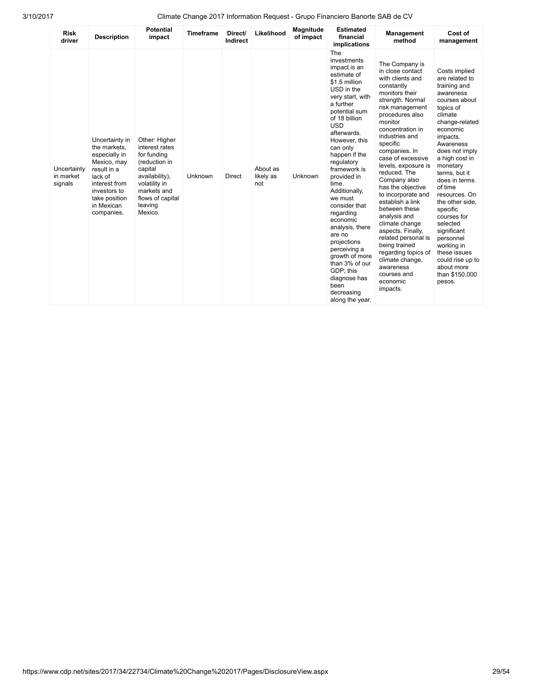| <b>Risk</b><br>driver               | <b>Description</b>                                                                                                                                                     | <b>Potential</b><br>impact                                                                                                                                             | <b>Timeframe</b> | Direct/<br>Indirect | Likelihood                   | Magnitude<br>of impact | <b>Estimated</b><br>financial<br>implications                                                                                                                                                                                                                                                                                                                                                                                                                                                                                    | Management<br>method                                                                                                                                                                                                                                                                                                                                                                                                                                                                                                                                                                    | Cost of<br>management                                                                                                                                                                                                                                                                                                                                                                                                                                        |
|-------------------------------------|------------------------------------------------------------------------------------------------------------------------------------------------------------------------|------------------------------------------------------------------------------------------------------------------------------------------------------------------------|------------------|---------------------|------------------------------|------------------------|----------------------------------------------------------------------------------------------------------------------------------------------------------------------------------------------------------------------------------------------------------------------------------------------------------------------------------------------------------------------------------------------------------------------------------------------------------------------------------------------------------------------------------|-----------------------------------------------------------------------------------------------------------------------------------------------------------------------------------------------------------------------------------------------------------------------------------------------------------------------------------------------------------------------------------------------------------------------------------------------------------------------------------------------------------------------------------------------------------------------------------------|--------------------------------------------------------------------------------------------------------------------------------------------------------------------------------------------------------------------------------------------------------------------------------------------------------------------------------------------------------------------------------------------------------------------------------------------------------------|
| Uncertainty<br>in market<br>signals | Uncertainty in<br>the markets.<br>especially in<br>Mexico, may<br>result in a<br>lack of<br>interest from<br>investors to<br>take position<br>in Mexican<br>companies. | Other: Higher<br>interest rates<br>for funding<br>(reduction in<br>capital<br>availability),<br>volatility in<br>markets and<br>flows of capital<br>leaving<br>Mexico. | Unknown          | <b>Direct</b>       | About as<br>likely as<br>not | Unknown                | The<br>investments<br>impact is an<br>estimate of<br>\$1.5 million<br>USD in the<br>very start, with<br>a further<br>potential sum<br>of 18 billion<br><b>USD</b><br>afterwards.<br>However, this<br>can only<br>happen if the<br>regulatory<br>framework is<br>provided in<br>time.<br>Additionally,<br>we must<br>consider that<br>regarding<br>economic<br>analysis, there<br>are no<br>projections<br>perceiving a<br>growth of more<br>than 3% of our<br>GDP; this<br>diagnose has<br>been<br>decreasing<br>along the year. | The Company is<br>in close contact<br>with clients and<br>constantly<br>monitors their<br>strength. Normal<br>risk management<br>procedures also<br>monitor<br>concentration in<br>industries and<br>specific<br>companies. In<br>case of excessive<br>levels, exposure is<br>reduced. The<br>Company also<br>has the objective<br>to incorporate and<br>establish a link<br>between these<br>analysis and<br>climate change<br>aspects. Finally,<br>related personal is<br>being trained<br>regarding topics of<br>climate change,<br>awareness<br>courses and<br>economic<br>impacts. | Costs implied<br>are related to<br>training and<br>awareness<br>courses about<br>topics of<br>climate<br>change-related<br>economic<br>impacts.<br>Awareness<br>does not imply<br>a high cost in<br>monetary<br>terms, but it<br>does in terms<br>of time<br>resources. On<br>the other side.<br>specific<br>courses for<br>selected<br>significant<br>personnel<br>working in<br>these issues<br>could rise up to<br>about more<br>than \$150,000<br>pesos. |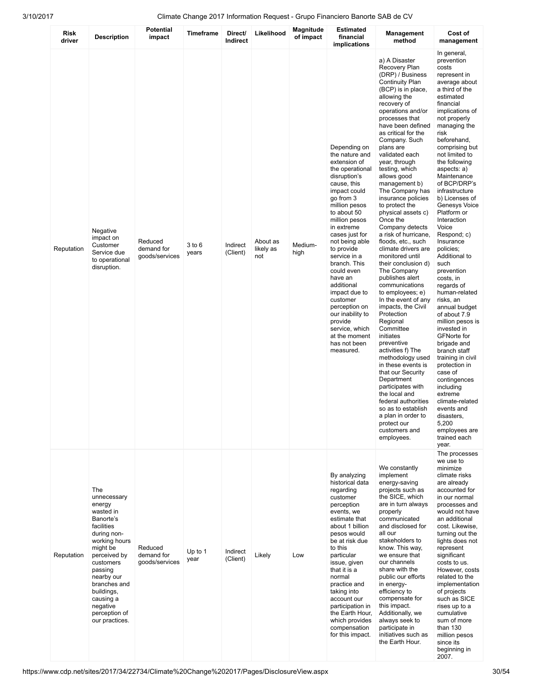|                |                                                                                                                                                                                                                                                                  | <b>Potential</b>                        |                  |                      |                              | Magnitude       | <b>Estimated</b>                                                                                                                                                                                                                                                                                                                                                                                                                                                   |                                                                                                                                                                                                                                                                                                                                                                                                                                                                                                                                                                                                                                                                                                                                                                                                                                                                                                                                                                                                                        |                                                                                                                                                                                                                                                                                                                                                                                                                                                                                                                                                                                                                                                                                                                                                                                                                                                       |
|----------------|------------------------------------------------------------------------------------------------------------------------------------------------------------------------------------------------------------------------------------------------------------------|-----------------------------------------|------------------|----------------------|------------------------------|-----------------|--------------------------------------------------------------------------------------------------------------------------------------------------------------------------------------------------------------------------------------------------------------------------------------------------------------------------------------------------------------------------------------------------------------------------------------------------------------------|------------------------------------------------------------------------------------------------------------------------------------------------------------------------------------------------------------------------------------------------------------------------------------------------------------------------------------------------------------------------------------------------------------------------------------------------------------------------------------------------------------------------------------------------------------------------------------------------------------------------------------------------------------------------------------------------------------------------------------------------------------------------------------------------------------------------------------------------------------------------------------------------------------------------------------------------------------------------------------------------------------------------|-------------------------------------------------------------------------------------------------------------------------------------------------------------------------------------------------------------------------------------------------------------------------------------------------------------------------------------------------------------------------------------------------------------------------------------------------------------------------------------------------------------------------------------------------------------------------------------------------------------------------------------------------------------------------------------------------------------------------------------------------------------------------------------------------------------------------------------------------------|
| Risk<br>driver | <b>Description</b>                                                                                                                                                                                                                                               | impact                                  | <b>Timeframe</b> | Direct/<br>Indirect  | Likelihood                   | of impact       | financial<br>implications                                                                                                                                                                                                                                                                                                                                                                                                                                          | Management<br>method                                                                                                                                                                                                                                                                                                                                                                                                                                                                                                                                                                                                                                                                                                                                                                                                                                                                                                                                                                                                   | Cost of<br>management                                                                                                                                                                                                                                                                                                                                                                                                                                                                                                                                                                                                                                                                                                                                                                                                                                 |
| Reputation     | Negative<br>impact on<br>Customer<br>Service due<br>to operational<br>disruption.                                                                                                                                                                                | Reduced<br>demand for<br>goods/services | 3 to 6<br>years  | Indirect<br>(Client) | About as<br>likely as<br>not | Medium-<br>high | Depending on<br>the nature and<br>extension of<br>the operational<br>disruption's<br>cause, this<br>impact could<br>go from 3<br>million pesos<br>to about 50<br>million pesos<br>in extreme<br>cases just for<br>not being able<br>to provide<br>service in a<br>branch. This<br>could even<br>have an<br>additional<br>impact due to<br>customer<br>perception on<br>our inability to<br>provide<br>service, which<br>at the moment<br>has not been<br>measured. | a) A Disaster<br>Recovery Plan<br>(DRP) / Business<br><b>Continuity Plan</b><br>(BCP) is in place,<br>allowing the<br>recovery of<br>operations and/or<br>processes that<br>have been defined<br>as critical for the<br>Company. Such<br>plans are<br>validated each<br>year, through<br>testing, which<br>allows good<br>management b)<br>The Company has<br>insurance policies<br>to protect the<br>physical assets c)<br>Once the<br>Company detects<br>a risk of hurricane,<br>floods, etc., such<br>climate drivers are<br>monitored until<br>their conclusion d)<br>The Company<br>publishes alert<br>communications<br>to employees; e)<br>In the event of any<br>impacts, the Civil<br>Protection<br>Regional<br>Committee<br>initiates<br>preventive<br>activities f) The<br>methodology used<br>in these events is<br>that our Security<br>Department<br>participates with<br>the local and<br>federal authorities<br>so as to establish<br>a plan in order to<br>protect our<br>customers and<br>employees. | In general,<br>prevention<br>costs<br>represent in<br>average about<br>a third of the<br>estimated<br>financial<br>implications of<br>not properly<br>managing the<br>risk<br>beforehand,<br>comprising but<br>not limited to<br>the following<br>aspects: a)<br>Maintenance<br>of BCP/DRP's<br>infrastructure<br>b) Licenses of<br>Genesys Voice<br>Platform or<br>Interaction<br>Voice<br>Respond; c)<br>Insurance<br>policies;<br>Additional to<br>such<br>prevention<br>costs, in<br>regards of<br>human-related<br>risks, an<br>annual budget<br>of about 7.9<br>million pesos is<br>invested in<br><b>GFNorte for</b><br>brigade and<br>branch staff<br>training in civil<br>protection in<br>case of<br>contingences<br>including<br>extreme<br>climate-related<br>events and<br>disasters,<br>5,200<br>employees are<br>trained each<br>year. |
| Reputation     | The<br>unnecessary<br>energy<br>wasted in<br>Banorte's<br>facilities<br>during non-<br>working hours<br>might be<br>perceived by<br>customers<br>passing<br>nearby our<br>branches and<br>buildings,<br>causing a<br>negative<br>perception of<br>our practices. | Reduced<br>demand for<br>goods/services | Up to 1<br>year  | Indirect<br>(Client) | Likely                       | Low             | By analyzing<br>historical data<br>regarding<br>customer<br>perception<br>events, we<br>estimate that<br>about 1 billion<br>pesos would<br>be at risk due<br>to this<br>particular<br>issue, given<br>that it is a<br>normal<br>practice and<br>taking into<br>account our<br>participation in<br>the Earth Hour,<br>which provides<br>compensation<br>for this impact.                                                                                            | We constantly<br>implement<br>energy-saving<br>projects such as<br>the SICE, which<br>are in turn always<br>properly<br>communicated<br>and disclosed for<br>all our<br>stakeholders to<br>know. This way,<br>we ensure that<br>our channels<br>share with the<br>public our efforts<br>in energy-<br>efficiency to<br>compensate for<br>this impact.<br>Additionally, we<br>always seek to<br>participate in<br>initiatives such as<br>the Earth Hour.                                                                                                                                                                                                                                                                                                                                                                                                                                                                                                                                                                | The processes<br>we use to<br>minimize<br>climate risks<br>are already<br>accounted for<br>in our normal<br>processes and<br>would not have<br>an additional<br>cost. Likewise,<br>turning out the<br>lights does not<br>represent<br>significant<br>costs to us.<br>However, costs<br>related to the<br>implementation<br>of projects<br>such as SICE<br>rises up to a<br>cumulative<br>sum of more<br>than $130$<br>million pesos<br>since its<br>beginning in<br>2007.                                                                                                                                                                                                                                                                                                                                                                             |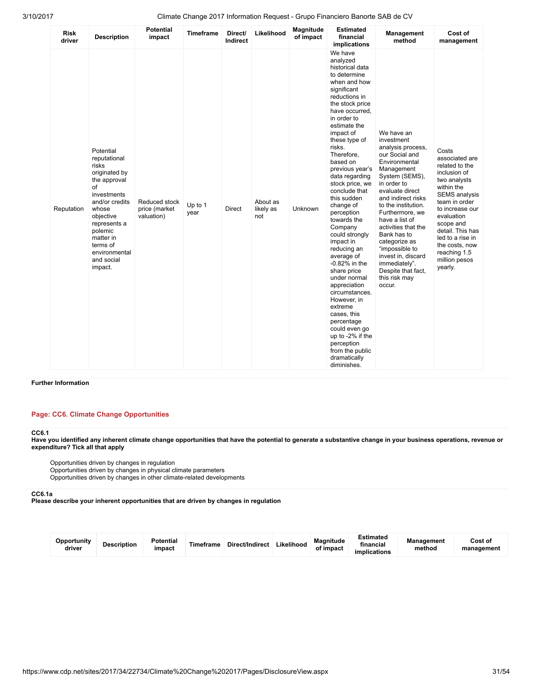| <b>Risk</b><br>driver | <b>Description</b>                                                                                                                                                                                                             | <b>Potential</b><br>impact                   | <b>Timeframe</b> | Direct/<br>Indirect | Likelihood                   | Magnitude<br>of impact | <b>Estimated</b><br>financial<br>implications                                                                                                                                                                                                                                                                                                                                                                                                                                                                                                                                                                                                                                                          | Management<br>method                                                                                                                                                                                                                                                                                                                                                                                  | Cost of<br>management                                                                                                                                                                                                                                                                |
|-----------------------|--------------------------------------------------------------------------------------------------------------------------------------------------------------------------------------------------------------------------------|----------------------------------------------|------------------|---------------------|------------------------------|------------------------|--------------------------------------------------------------------------------------------------------------------------------------------------------------------------------------------------------------------------------------------------------------------------------------------------------------------------------------------------------------------------------------------------------------------------------------------------------------------------------------------------------------------------------------------------------------------------------------------------------------------------------------------------------------------------------------------------------|-------------------------------------------------------------------------------------------------------------------------------------------------------------------------------------------------------------------------------------------------------------------------------------------------------------------------------------------------------------------------------------------------------|--------------------------------------------------------------------------------------------------------------------------------------------------------------------------------------------------------------------------------------------------------------------------------------|
| Reputation            | Potential<br>reputational<br>risks<br>originated by<br>the approval<br>of<br>investments<br>and/or credits<br>whose<br>objective<br>represents a<br>polemic<br>matter in<br>terms of<br>environmental<br>and social<br>impact. | Reduced stock<br>price (market<br>valuation) | Up to 1<br>year  | Direct              | About as<br>likely as<br>not | Unknown                | We have<br>analyzed<br>historical data<br>to determine<br>when and how<br>significant<br>reductions in<br>the stock price<br>have occurred,<br>in order to<br>estimate the<br>impact of<br>these type of<br>risks.<br>Therefore,<br>based on<br>previous year's<br>data regarding<br>stock price, we<br>conclude that<br>this sudden<br>change of<br>perception<br>towards the<br>Company<br>could strongly<br>impact in<br>reducing an<br>average of<br>$-0.82\%$ in the<br>share price<br>under normal<br>appreciation<br>circumstances.<br>However, in<br>extreme<br>cases, this<br>percentage<br>could even go<br>up to -2% if the<br>perception<br>from the public<br>dramatically<br>diminishes. | We have an<br>investment<br>analysis process,<br>our Social and<br>Environmental<br>Management<br>System (SEMS),<br>in order to<br>evaluate direct<br>and indirect risks<br>to the institution.<br>Furthermore, we<br>have a list of<br>activities that the<br>Bank has to<br>categorize as<br>"impossible to<br>invest in, discard<br>immediately".<br>Despite that fact,<br>this risk may<br>occur. | Costs<br>associated are<br>related to the<br>inclusion of<br>two analysts<br>within the<br><b>SEMS</b> analysis<br>team in order<br>to increase our<br>evaluation<br>scope and<br>detail. This has<br>led to a rise in<br>the costs, now<br>reaching 1.5<br>million pesos<br>yearly. |

### Further Information

### Page: CC6. Climate Change Opportunities

#### CC6.1

Have you identified any inherent climate change opportunities that have the potential to generate a substantive change in your business operations, revenue or expenditure? Tick all that apply

Opportunities driven by changes in regulation

Opportunities driven by changes in physical climate parameters

Opportunities driven by changes in other climate-related developments

### CC6.1a

Please describe your inherent opportunities that are driven by changes in regulation

| Opportunity<br>driver | <b>Description</b> | <b>Potential</b><br>impact | Timeframe | Direct/Indirect | Likelihood | Magnitude<br>of impact | Estimated<br>financial<br>implications | <b>Management</b><br>method | Cost of<br>management |
|-----------------------|--------------------|----------------------------|-----------|-----------------|------------|------------------------|----------------------------------------|-----------------------------|-----------------------|
|-----------------------|--------------------|----------------------------|-----------|-----------------|------------|------------------------|----------------------------------------|-----------------------------|-----------------------|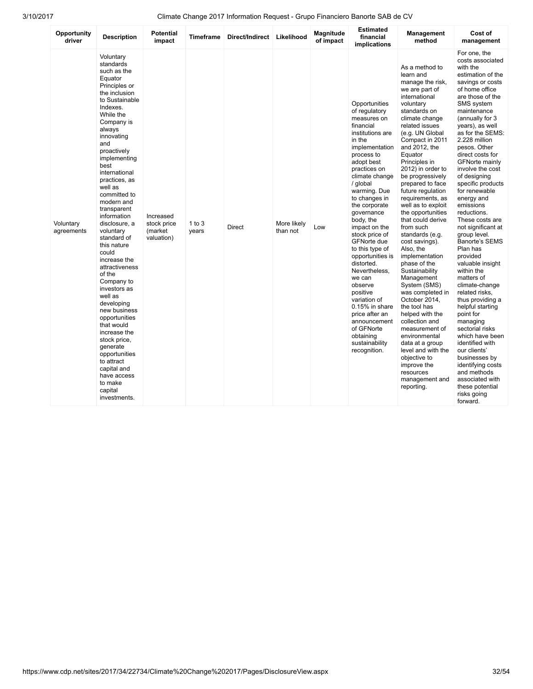| Opportunity<br>driver   | <b>Description</b>                                                                                                                                                                                                                                                                                                                                                                                                                                                                                                                                                                                                                                                                               | <b>Potential</b><br>impact                        | Timeframe         | Direct/Indirect   Likelihood |                         | Magnitude<br>of impact | <b>Estimated</b><br>financial<br>implications                                                                                                                                                                                                                                                                                                                                                                                                                                                                                                                      | Management<br>method                                                                                                                                                                                                                                                                                                                                                                                                                                                                                                                                                                                                                                                                                                                                                                                            | Cost of<br>management                                                                                                                                                                                                                                                                                                                                                                                                                                                                                                                                                                                                                                                                                                                                                                                                                                                        |
|-------------------------|--------------------------------------------------------------------------------------------------------------------------------------------------------------------------------------------------------------------------------------------------------------------------------------------------------------------------------------------------------------------------------------------------------------------------------------------------------------------------------------------------------------------------------------------------------------------------------------------------------------------------------------------------------------------------------------------------|---------------------------------------------------|-------------------|------------------------------|-------------------------|------------------------|--------------------------------------------------------------------------------------------------------------------------------------------------------------------------------------------------------------------------------------------------------------------------------------------------------------------------------------------------------------------------------------------------------------------------------------------------------------------------------------------------------------------------------------------------------------------|-----------------------------------------------------------------------------------------------------------------------------------------------------------------------------------------------------------------------------------------------------------------------------------------------------------------------------------------------------------------------------------------------------------------------------------------------------------------------------------------------------------------------------------------------------------------------------------------------------------------------------------------------------------------------------------------------------------------------------------------------------------------------------------------------------------------|------------------------------------------------------------------------------------------------------------------------------------------------------------------------------------------------------------------------------------------------------------------------------------------------------------------------------------------------------------------------------------------------------------------------------------------------------------------------------------------------------------------------------------------------------------------------------------------------------------------------------------------------------------------------------------------------------------------------------------------------------------------------------------------------------------------------------------------------------------------------------|
| Voluntary<br>agreements | Voluntary<br>standards<br>such as the<br>Equator<br>Principles or<br>the inclusion<br>to Sustainable<br>Indexes.<br>While the<br>Company is<br>always<br>innovating<br>and<br>proactively<br>implementing<br>best<br>international<br>practices, as<br>well as<br>committed to<br>modern and<br>transparent<br>information<br>disclosure, a<br>voluntary<br>standard of<br>this nature<br>could<br>increase the<br>attractiveness<br>of the<br>Company to<br>investors as<br>well as<br>developing<br>new business<br>opportunities<br>that would<br>increase the<br>stock price,<br>generate<br>opportunities<br>to attract<br>capital and<br>have access<br>to make<br>capital<br>investments. | Increased<br>stock price<br>(market<br>valuation) | 1 to $3$<br>years | <b>Direct</b>                | More likely<br>than not | Low                    | Opportunities<br>of regulatory<br>measures on<br>financial<br>institutions are<br>in the<br>implementation<br>process to<br>adopt best<br>practices on<br>climate change<br>/ global<br>warming. Due<br>to changes in<br>the corporate<br>governance<br>body, the<br>impact on the<br>stock price of<br><b>GFNorte due</b><br>to this type of<br>opportunities is<br>distorted.<br>Nevertheless,<br>we can<br>observe<br>positive<br>variation of<br>0.15% in share<br>price after an<br>announcement<br>of GFNorte<br>obtaining<br>sustainability<br>recognition. | As a method to<br>learn and<br>manage the risk,<br>we are part of<br>international<br>voluntary<br>standards on<br>climate change<br>related issues<br>(e.g. UN Global<br>Compact in 2011<br>and 2012, the<br>Equator<br>Principles in<br>2012) in order to<br>be progressively<br>prepared to face<br>future regulation<br>requirements, as<br>well as to exploit<br>the opportunities<br>that could derive<br>from such<br>standards (e.g.<br>cost savings).<br>Also, the<br>implementation<br>phase of the<br>Sustainability<br>Management<br>System (SMS)<br>was completed in<br>October 2014,<br>the tool has<br>helped with the<br>collection and<br>measurement of<br>environmental<br>data at a group<br>level and with the<br>objective to<br>improve the<br>resources<br>management and<br>reporting. | For one, the<br>costs associated<br>with the<br>estimation of the<br>savings or costs<br>of home office<br>are those of the<br>SMS system<br>maintenance<br>(annually for 3)<br>years), as well<br>as for the SEMS:<br>2.228 million<br>pesos. Other<br>direct costs for<br><b>GFNorte mainly</b><br>involve the cost<br>of designing<br>specific products<br>for renewable<br>energy and<br>emissions<br>reductions.<br>These costs are<br>not significant at<br>group level.<br>Banorte's SEMS<br>Plan has<br>provided<br>valuable insight<br>within the<br>matters of<br>climate-change<br>related risks,<br>thus providing a<br>helpful starting<br>point for<br>managing<br>sectorial risks<br>which have been<br>identified with<br>our clients'<br>businesses by<br>identifying costs<br>and methods<br>associated with<br>these potential<br>risks going<br>forward. |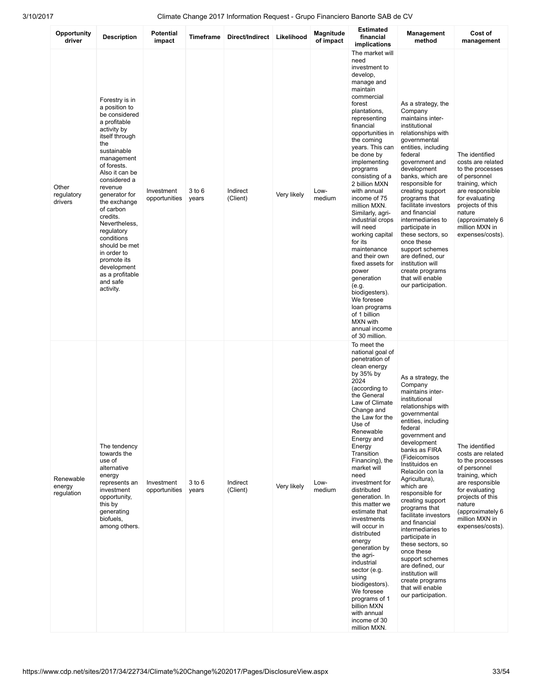| Opportunity<br>driver             | <b>Description</b>                                                                                                                                                                                                                                                                                                                                                                                                 | <b>Potential</b><br>impact  | <b>Timeframe</b>    | Direct/Indirect      | Likelihood  | Magnitude<br>of impact | <b>Estimated</b><br>financial<br>implications                                                                                                                                                                                                                                                                                                                                                                                                                                                                                                                                                                                               | Management<br>method                                                                                                                                                                                                                                                                                                                                                                                                                                                                                                                                                                | Cost of<br>management                                                                                                                                                                                                   |
|-----------------------------------|--------------------------------------------------------------------------------------------------------------------------------------------------------------------------------------------------------------------------------------------------------------------------------------------------------------------------------------------------------------------------------------------------------------------|-----------------------------|---------------------|----------------------|-------------|------------------------|---------------------------------------------------------------------------------------------------------------------------------------------------------------------------------------------------------------------------------------------------------------------------------------------------------------------------------------------------------------------------------------------------------------------------------------------------------------------------------------------------------------------------------------------------------------------------------------------------------------------------------------------|-------------------------------------------------------------------------------------------------------------------------------------------------------------------------------------------------------------------------------------------------------------------------------------------------------------------------------------------------------------------------------------------------------------------------------------------------------------------------------------------------------------------------------------------------------------------------------------|-------------------------------------------------------------------------------------------------------------------------------------------------------------------------------------------------------------------------|
| Other<br>regulatory<br>drivers    | Forestry is in<br>a position to<br>be considered<br>a profitable<br>activity by<br>itself through<br>the<br>sustainable<br>management<br>of forests.<br>Also it can be<br>considered a<br>revenue<br>generator for<br>the exchange<br>of carbon<br>credits.<br>Nevertheless,<br>regulatory<br>conditions<br>should be met<br>in order to<br>promote its<br>development<br>as a profitable<br>and safe<br>activity. | Investment<br>opportunities | $3$ to $6$<br>years | Indirect<br>(Client) | Very likely | Low-<br>medium         | The market will<br>need<br>investment to<br>develop,<br>manage and<br>maintain<br>commercial<br>forest<br>plantations,<br>representing<br>financial<br>opportunities in<br>the coming<br>years. This can<br>be done by<br>implementing<br>programs<br>consisting of a<br>2 billion MXN<br>with annual<br>income of 75<br>million MXN.<br>Similarly, agri-<br>industrial crops<br>will need<br>working capital<br>for its<br>maintenance<br>and their own<br>fixed assets for<br>power<br>generation<br>(e.g.<br>biodigesters).<br>We foresee<br>loan programs<br>of 1 billion<br>MXN with<br>annual income<br>of 30 million.<br>To meet the | As a strategy, the<br>Company<br>maintains inter-<br>institutional<br>relationships with<br>governmental<br>entities, including<br>federal<br>government and<br>development<br>banks, which are<br>responsible for<br>creating support<br>programs that<br>facilitate investors<br>and financial<br>intermediaries to<br>participate in<br>these sectors, so<br>once these<br>support schemes<br>are defined, our<br>institution will<br>create programs<br>that will enable<br>our participation.                                                                                  | The identified<br>costs are related<br>to the processes<br>of personnel<br>training, which<br>are responsible<br>for evaluating<br>projects of this<br>nature<br>(approximately 6<br>million MXN in<br>expenses/costs). |
| Renewable<br>energy<br>regulation | The tendency<br>towards the<br>use of<br>alternative<br>energy<br>represents an<br>investment<br>opportunity,<br>this by<br>generating<br>biofuels,<br>among others.                                                                                                                                                                                                                                               | Investment<br>opportunities | $3$ to $6$<br>years | Indirect<br>(Client) | Very likely | Low-<br>medium         | national goal of<br>penetration of<br>clean energy<br>by 35% by<br>2024<br>(according to<br>the General<br>Law of Climate<br>Change and<br>the Law for the<br>Use of<br>Renewable<br>Energy and<br>Energy<br>Transition<br>Financing), the<br>market will<br>need<br>investment for<br>distributed<br>generation. In<br>this matter we<br>estimate that<br>investments<br>will occur in<br>distributed<br>energy<br>generation by<br>the agri-<br>industrial<br>sector (e.g.<br>using<br>biodigestors).<br>We foresee<br>programs of 1<br>billion MXN<br>with annual<br>income of 30<br>million MXN.                                        | As a strategy, the<br>Company<br>maintains inter-<br>institutional<br>relationships with<br>governmental<br>entities, including<br>federal<br>government and<br>development<br>banks as FIRA<br>(Fideicomisos<br>Instituidos en<br>Relación con la<br>Agricultura),<br>which are<br>responsible for<br>creating support<br>programs that<br>facilitate investors<br>and financial<br>intermediaries to<br>participate in<br>these sectors, so<br>once these<br>support schemes<br>are defined, our<br>institution will<br>create programs<br>that will enable<br>our participation. | The identified<br>costs are related<br>to the processes<br>of personnel<br>training, which<br>are responsible<br>for evaluating<br>projects of this<br>nature<br>(approximately 6<br>million MXN in<br>expenses/costs). |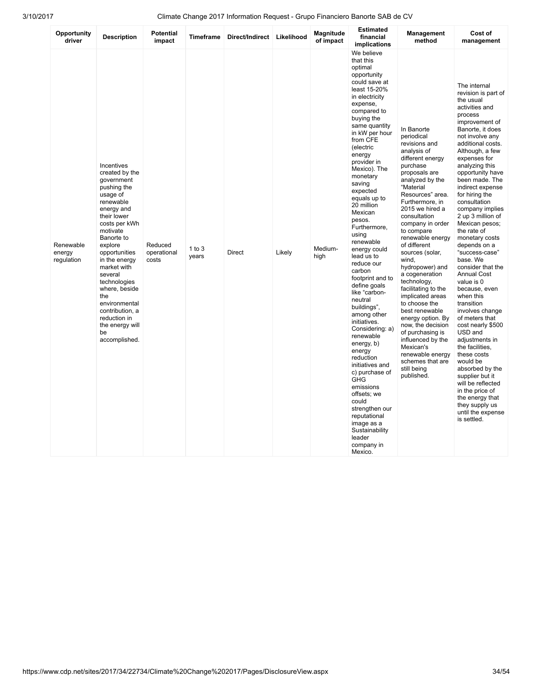| Opportunity<br>driver             | <b>Description</b>                                                                                                                                                                                                                                                                                                                                                      | <b>Potential</b><br>impact      | Timeframe         | Direct/Indirect | Likelihood | Magnitude<br>of impact | <b>Estimated</b><br>financial<br>implications                                                                                                                                                                                                                                                                                                                                                                                                                                                                                                                                                                                                                                                                                                                                                                | Management<br>method                                                                                                                                                                                                                                                                                                                                                                                                                                                                                                                                                                                                         | Cost of<br>management                                                                                                                                                                                                                                                                                                                                                                                                                                                                                                                                                                                                                                                                                                                                                                                                                                  |
|-----------------------------------|-------------------------------------------------------------------------------------------------------------------------------------------------------------------------------------------------------------------------------------------------------------------------------------------------------------------------------------------------------------------------|---------------------------------|-------------------|-----------------|------------|------------------------|--------------------------------------------------------------------------------------------------------------------------------------------------------------------------------------------------------------------------------------------------------------------------------------------------------------------------------------------------------------------------------------------------------------------------------------------------------------------------------------------------------------------------------------------------------------------------------------------------------------------------------------------------------------------------------------------------------------------------------------------------------------------------------------------------------------|------------------------------------------------------------------------------------------------------------------------------------------------------------------------------------------------------------------------------------------------------------------------------------------------------------------------------------------------------------------------------------------------------------------------------------------------------------------------------------------------------------------------------------------------------------------------------------------------------------------------------|--------------------------------------------------------------------------------------------------------------------------------------------------------------------------------------------------------------------------------------------------------------------------------------------------------------------------------------------------------------------------------------------------------------------------------------------------------------------------------------------------------------------------------------------------------------------------------------------------------------------------------------------------------------------------------------------------------------------------------------------------------------------------------------------------------------------------------------------------------|
| Renewable<br>energy<br>regulation | Incentives<br>created by the<br>government<br>pushing the<br>usage of<br>renewable<br>energy and<br>their lower<br>costs per kWh<br>motivate<br>Banorte to<br>explore<br>opportunities<br>in the energy<br>market with<br>several<br>technologies<br>where, beside<br>the<br>environmental<br>contribution, a<br>reduction in<br>the energy will<br>be<br>accomplished. | Reduced<br>operational<br>costs | 1 to $3$<br>years | <b>Direct</b>   | Likely     | Medium-<br>high        | We believe<br>that this<br>optimal<br>opportunity<br>could save at<br>least 15-20%<br>in electricity<br>expense,<br>compared to<br>buying the<br>same quantity<br>in kW per hour<br>from CFE<br>(electric<br>energy<br>provider in<br>Mexico). The<br>monetary<br>saving<br>expected<br>equals up to<br>20 million<br>Mexican<br>pesos.<br>Furthermore,<br>using<br>renewable<br>energy could<br>lead us to<br>reduce our<br>carbon<br>footprint and to<br>define goals<br>like "carbon-<br>neutral<br>buildings",<br>among other<br>initiatives.<br>Considering: a)<br>renewable<br>energy, b)<br>energy<br>reduction<br>initiatives and<br>c) purchase of<br>GHG<br>emissions<br>offsets; we<br>could<br>strengthen our<br>reputational<br>image as a<br>Sustainability<br>leader<br>company in<br>Mexico. | In Banorte<br>periodical<br>revisions and<br>analysis of<br>different energy<br>purchase<br>proposals are<br>analyzed by the<br>"Material<br>Resources" area.<br>Furthermore, in<br>2015 we hired a<br>consultation<br>company in order<br>to compare<br>renewable energy<br>of different<br>sources (solar,<br>wind.<br>hydropower) and<br>a cogeneration<br>technology,<br>facilitating to the<br>implicated areas<br>to choose the<br>best renewable<br>energy option. By<br>now, the decision<br>of purchasing is<br>influenced by the<br>Mexican's<br>renewable energy<br>schemes that are<br>still being<br>published. | The internal<br>revision is part of<br>the usual<br>activities and<br>process<br>improvement of<br>Banorte, it does<br>not involve any<br>additional costs.<br>Although, a few<br>expenses for<br>analyzing this<br>opportunity have<br>been made. The<br>indirect expense<br>for hiring the<br>consultation<br>company implies<br>2 up 3 million of<br>Mexican pesos;<br>the rate of<br>monetary costs<br>depends on a<br>"success-case"<br>base. We<br>consider that the<br><b>Annual Cost</b><br>value is 0<br>because, even<br>when this<br>transition<br>involves change<br>of meters that<br>cost nearly \$500<br>USD and<br>adjustments in<br>the facilities,<br>these costs<br>would be<br>absorbed by the<br>supplier but it<br>will be reflected<br>in the price of<br>the energy that<br>they supply us<br>until the expense<br>is settled. |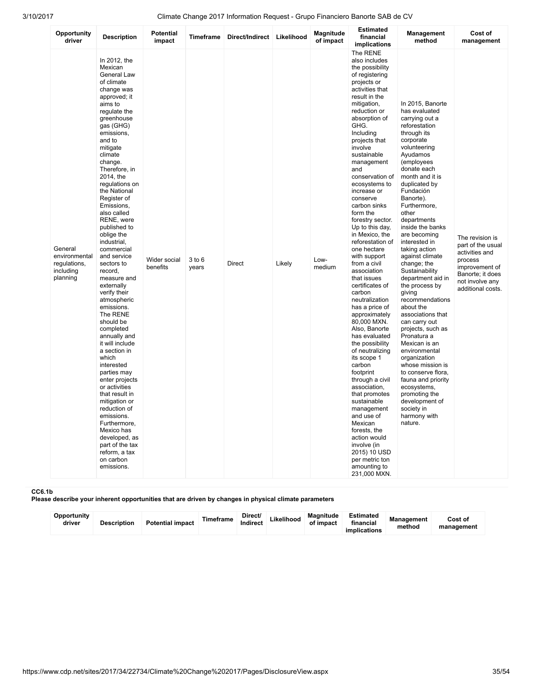| Opportunity<br>driver                                             | <b>Description</b>                                                                                                                                                                                                                                                                                                                                                                                                                                                                                                                                                                                                                                                                                                                                                                                                                                         | Potential<br>impact      | Timeframe           | Direct/Indirect | Likelihood | Magnitude<br>of impact | <b>Estimated</b><br>financial<br>implications                                                                                                                                                                                                                                                                                                                                                                                                                                                                                                                                                                                                                                                                                                                                                                                                                                                                                                         | Management<br>method                                                                                                                                                                                                                                                                                                                                                                                                                                                                                                                                                                                                                                                                                                                                              | Cost of<br>management                                                                                                                           |
|-------------------------------------------------------------------|------------------------------------------------------------------------------------------------------------------------------------------------------------------------------------------------------------------------------------------------------------------------------------------------------------------------------------------------------------------------------------------------------------------------------------------------------------------------------------------------------------------------------------------------------------------------------------------------------------------------------------------------------------------------------------------------------------------------------------------------------------------------------------------------------------------------------------------------------------|--------------------------|---------------------|-----------------|------------|------------------------|-------------------------------------------------------------------------------------------------------------------------------------------------------------------------------------------------------------------------------------------------------------------------------------------------------------------------------------------------------------------------------------------------------------------------------------------------------------------------------------------------------------------------------------------------------------------------------------------------------------------------------------------------------------------------------------------------------------------------------------------------------------------------------------------------------------------------------------------------------------------------------------------------------------------------------------------------------|-------------------------------------------------------------------------------------------------------------------------------------------------------------------------------------------------------------------------------------------------------------------------------------------------------------------------------------------------------------------------------------------------------------------------------------------------------------------------------------------------------------------------------------------------------------------------------------------------------------------------------------------------------------------------------------------------------------------------------------------------------------------|-------------------------------------------------------------------------------------------------------------------------------------------------|
| General<br>environmental<br>regulations,<br>including<br>planning | In 2012, the<br>Mexican<br>General Law<br>of climate<br>change was<br>approved; it<br>aims to<br>regulate the<br>greenhouse<br>gas (GHG)<br>emissions.<br>and to<br>mitigate<br>climate<br>change.<br>Therefore, in<br>2014, the<br>regulations on<br>the National<br>Register of<br>Emissions,<br>also called<br>RENE, were<br>published to<br>oblige the<br>industrial.<br>commercial<br>and service<br>sectors to<br>record,<br>measure and<br>externally<br>verify their<br>atmospheric<br>emissions.<br>The RENE<br>should be<br>completed<br>annually and<br>it will include<br>a section in<br>which<br>interested<br>parties may<br>enter projects<br>or activities<br>that result in<br>mitigation or<br>reduction of<br>emissions.<br>Furthermore,<br>Mexico has<br>developed, as<br>part of the tax<br>reform, a tax<br>on carbon<br>emissions. | Wider social<br>benefits | $3$ to $6$<br>years | <b>Direct</b>   | Likely     | Low-<br>medium         | The RENE<br>also includes<br>the possibility<br>of registering<br>projects or<br>activities that<br>result in the<br>mitigation,<br>reduction or<br>absorption of<br>GHG.<br>Including<br>projects that<br>involve<br>sustainable<br>management<br>and<br>conservation of<br>ecosystems to<br>increase or<br>conserve<br>carbon sinks<br>form the<br>forestry sector.<br>Up to this day,<br>in Mexico, the<br>reforestation of<br>one hectare<br>with support<br>from a civil<br>association<br>that issues<br>certificates of<br>carbon<br>neutralization<br>has a price of<br>approximately<br>80,000 MXN.<br>Also, Banorte<br>has evaluated<br>the possibility<br>of neutralizing<br>its scope 1<br>carbon<br>footprint<br>through a civil<br>association,<br>that promotes<br>sustainable<br>management<br>and use of<br>Mexican<br>forests, the<br>action would<br>involve (in<br>2015) 10 USD<br>per metric ton<br>amounting to<br>231,000 MXN. | In 2015, Banorte<br>has evaluated<br>carrying out a<br>reforestation<br>through its<br>corporate<br>volunteering<br>Ayudamos<br>(employees<br>donate each<br>month and it is<br>duplicated by<br>Fundación<br>Banorte).<br>Furthermore,<br>other<br>departments<br>inside the banks<br>are becoming<br>interested in<br>taking action<br>against climate<br>change; the<br>Sustainability<br>department aid in<br>the process by<br>qiving<br>recommendations<br>about the<br>associations that<br>can carry out<br>projects, such as<br>Pronatura a<br>Mexican is an<br>environmental<br>organization<br>whose mission is<br>to conserve flora,<br>fauna and priority<br>ecosystems,<br>promoting the<br>development of<br>society in<br>harmony with<br>nature. | The revision is<br>part of the usual<br>activities and<br>process<br>improvement of<br>Banorte; it does<br>not involve any<br>additional costs. |

### CC6.1b

Please describe your inherent opportunities that are driven by changes in physical climate parameters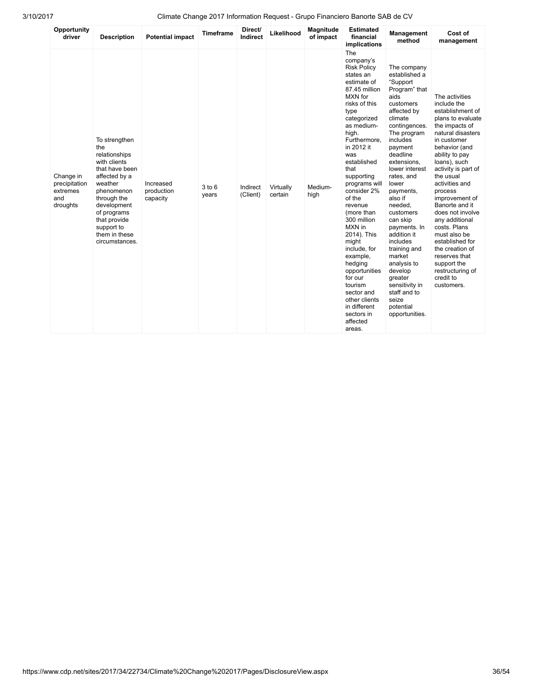| Opportunity<br>driver                                     | <b>Description</b>                                                                                                                                                                                                              | <b>Potential impact</b>             | <b>Timeframe</b> | Direct/<br>Indirect  | Likelihood           | Magnitude<br>of impact | <b>Estimated</b><br>financial<br><b>implications</b>                                                                                                                                                                                                                                                                                                                                                                                                                                                                         | Management<br>method                                                                                                                                                                                                                                                                                                                                                                                                                                                                | Cost of<br>management                                                                                                                                                                                                                                                                                                                                                                                                                                                           |
|-----------------------------------------------------------|---------------------------------------------------------------------------------------------------------------------------------------------------------------------------------------------------------------------------------|-------------------------------------|------------------|----------------------|----------------------|------------------------|------------------------------------------------------------------------------------------------------------------------------------------------------------------------------------------------------------------------------------------------------------------------------------------------------------------------------------------------------------------------------------------------------------------------------------------------------------------------------------------------------------------------------|-------------------------------------------------------------------------------------------------------------------------------------------------------------------------------------------------------------------------------------------------------------------------------------------------------------------------------------------------------------------------------------------------------------------------------------------------------------------------------------|---------------------------------------------------------------------------------------------------------------------------------------------------------------------------------------------------------------------------------------------------------------------------------------------------------------------------------------------------------------------------------------------------------------------------------------------------------------------------------|
| Change in<br>precipitation<br>extremes<br>and<br>droughts | To strengthen<br>the<br>relationships<br>with clients<br>that have been<br>affected by a<br>weather<br>phenomenon<br>through the<br>development<br>of programs<br>that provide<br>support to<br>them in these<br>circumstances. | Increased<br>production<br>capacity | 3 to 6<br>years  | Indirect<br>(Client) | Virtually<br>certain | Medium-<br>high        | The<br>company's<br><b>Risk Policy</b><br>states an<br>estimate of<br>87.45 million<br>MXN for<br>risks of this<br>type<br>categorized<br>as medium-<br>high.<br>Furthermore,<br>in 2012 it<br>was<br>established<br>that<br>supporting<br>programs will<br>consider 2%<br>of the<br>revenue<br>(more than<br>300 million<br>MXN in<br>2014). This<br>might<br>include, for<br>example,<br>hedging<br>opportunities<br>for our<br>tourism<br>sector and<br>other clients<br>in different<br>sectors in<br>affected<br>areas. | The company<br>established a<br>"Support<br>Program" that<br>aids<br>customers<br>affected by<br>climate<br>contingences.<br>The program<br>includes<br>payment<br>deadline<br>extensions.<br>lower interest<br>rates, and<br>lower<br>payments.<br>also if<br>needed,<br>customers<br>can skip<br>payments. In<br>addition it<br>includes<br>training and<br>market<br>analysis to<br>develop<br>greater<br>sensitivity in<br>staff and to<br>seize<br>potential<br>opportunities. | The activities<br>include the<br>establishment of<br>plans to evaluate<br>the impacts of<br>natural disasters<br>in customer<br>behavior (and<br>ability to pay<br>loans), such<br>activity is part of<br>the usual<br>activities and<br>process<br>improvement of<br>Banorte and it<br>does not involve<br>any additional<br>costs. Plans<br>must also be<br>established for<br>the creation of<br>reserves that<br>support the<br>restructuring of<br>credit to<br>customers. |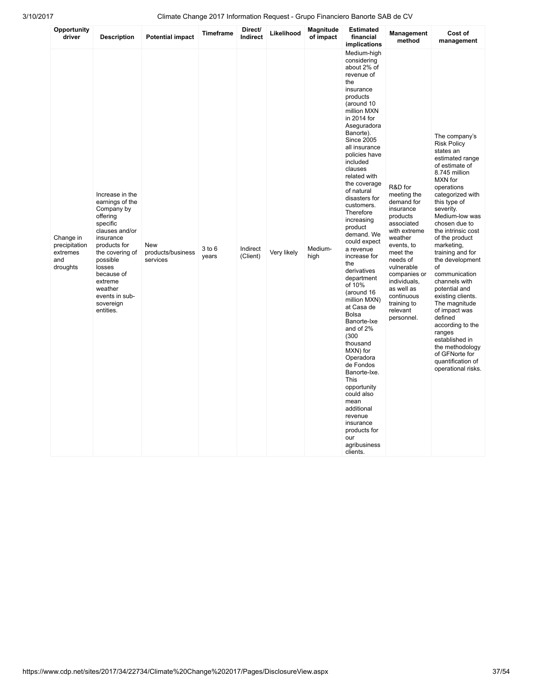| Opportunity<br>driver                                     | <b>Description</b>                                                                                                                                                                                                                               | <b>Potential impact</b>                     | Timeframe           | Direct/<br>Indirect  | Likelihood  | Magnitude<br>of impact | <b>Estimated</b><br>financial<br>implications                                                                                                                                                                                                                                                                                                                                                                                                                                                                                                                                                                                                                                                                                                                                      | Management<br>method                                                                                                                                                                                                                                            | Cost of<br>management                                                                                                                                                                                                                                                                                                                                                                                                                                                                                                                                                       |
|-----------------------------------------------------------|--------------------------------------------------------------------------------------------------------------------------------------------------------------------------------------------------------------------------------------------------|---------------------------------------------|---------------------|----------------------|-------------|------------------------|------------------------------------------------------------------------------------------------------------------------------------------------------------------------------------------------------------------------------------------------------------------------------------------------------------------------------------------------------------------------------------------------------------------------------------------------------------------------------------------------------------------------------------------------------------------------------------------------------------------------------------------------------------------------------------------------------------------------------------------------------------------------------------|-----------------------------------------------------------------------------------------------------------------------------------------------------------------------------------------------------------------------------------------------------------------|-----------------------------------------------------------------------------------------------------------------------------------------------------------------------------------------------------------------------------------------------------------------------------------------------------------------------------------------------------------------------------------------------------------------------------------------------------------------------------------------------------------------------------------------------------------------------------|
| Change in<br>precipitation<br>extremes<br>and<br>droughts | Increase in the<br>earnings of the<br>Company by<br>offering<br>specific<br>clauses and/or<br>insurance<br>products for<br>the covering of<br>possible<br>losses<br>because of<br>extreme<br>weather<br>events in sub-<br>sovereign<br>entities. | <b>New</b><br>products/business<br>services | $3$ to $6$<br>years | Indirect<br>(Client) | Very likely | Medium-<br>high        | Medium-high<br>considering<br>about 2% of<br>revenue of<br>the<br>insurance<br>products<br>(around 10<br>million MXN<br>in 2014 for<br>Aseguradora<br>Banorte).<br><b>Since 2005</b><br>all insurance<br>policies have<br>included<br>clauses<br>related with<br>the coverage<br>of natural<br>disasters for<br>customers.<br>Therefore<br>increasing<br>product<br>demand. We<br>could expect<br>a revenue<br>increase for<br>the<br>derivatives<br>department<br>of 10%<br>(around 16<br>million MXN)<br>at Casa de<br><b>Bolsa</b><br>Banorte-Ixe<br>and of 2%<br>(300)<br>thousand<br>MXN) for<br>Operadora<br>de Fondos<br>Banorte-Ixe.<br>This<br>opportunity<br>could also<br>mean<br>additional<br>revenue<br>insurance<br>products for<br>our<br>agribusiness<br>clients. | R&D for<br>meeting the<br>demand for<br>insurance<br>products<br>associated<br>with extreme<br>weather<br>events, to<br>meet the<br>needs of<br>vulnerable<br>companies or<br>individuals,<br>as well as<br>continuous<br>training to<br>relevant<br>personnel. | The company's<br><b>Risk Policy</b><br>states an<br>estimated range<br>of estimate of<br>8.745 million<br>MXN for<br>operations<br>categorized with<br>this type of<br>severity.<br>Medium-low was<br>chosen due to<br>the intrinsic cost<br>of the product<br>marketing,<br>training and for<br>the development<br>of<br>communication<br>channels with<br>potential and<br>existing clients.<br>The magnitude<br>of impact was<br>defined<br>according to the<br>ranges<br>established in<br>the methodology<br>of GFNorte for<br>quantification of<br>operational risks. |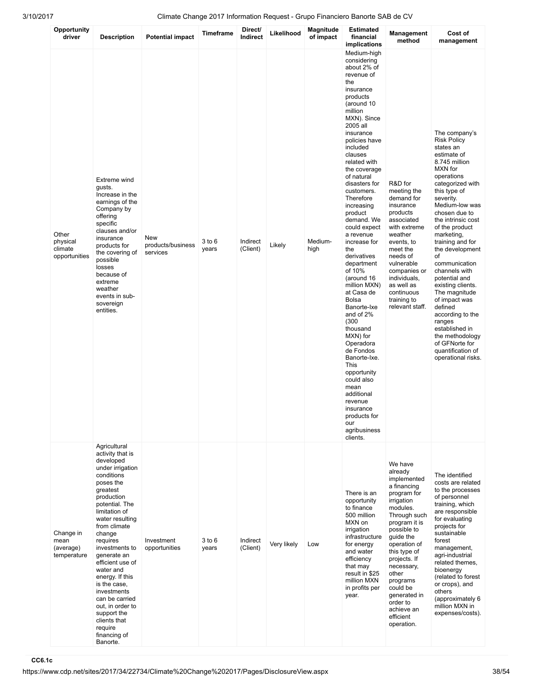| Opportunity<br>driver                         | <b>Description</b>                                                                                                                                                                                                                                                                                                                                                                                                                                 | <b>Potential impact</b>                     | <b>Timeframe</b>    | Direct/<br>Indirect  | Likelihood  | Magnitude<br>of impact | <b>Estimated</b><br>financial<br>implications                                                                                                                                                                                                                                                                                                                                                                                                                                                                                                                                                                                                                                                                                         | Management<br>method                                                                                                                                                                                                                                                                                                       | Cost of<br>management                                                                                                                                                                                                                                                                                                                                                                                                                                                                                                                                 |
|-----------------------------------------------|----------------------------------------------------------------------------------------------------------------------------------------------------------------------------------------------------------------------------------------------------------------------------------------------------------------------------------------------------------------------------------------------------------------------------------------------------|---------------------------------------------|---------------------|----------------------|-------------|------------------------|---------------------------------------------------------------------------------------------------------------------------------------------------------------------------------------------------------------------------------------------------------------------------------------------------------------------------------------------------------------------------------------------------------------------------------------------------------------------------------------------------------------------------------------------------------------------------------------------------------------------------------------------------------------------------------------------------------------------------------------|----------------------------------------------------------------------------------------------------------------------------------------------------------------------------------------------------------------------------------------------------------------------------------------------------------------------------|-------------------------------------------------------------------------------------------------------------------------------------------------------------------------------------------------------------------------------------------------------------------------------------------------------------------------------------------------------------------------------------------------------------------------------------------------------------------------------------------------------------------------------------------------------|
| Other<br>physical<br>climate<br>opportunities | Extreme wind<br>gusts.<br>Increase in the<br>earnings of the<br>Company by<br>offering<br>specific<br>clauses and/or<br>insurance<br>products for<br>the covering of<br>possible<br>losses<br>because of<br>extreme<br>weather<br>events in sub-<br>sovereign<br>entities.                                                                                                                                                                         | <b>New</b><br>products/business<br>services | 3 to 6<br>years     | Indirect<br>(Client) | Likely      | Medium-<br>high        | Medium-high<br>considering<br>about 2% of<br>revenue of<br>the<br>insurance<br>products<br>(around 10<br>million<br>MXN). Since<br>2005 all<br>insurance<br>policies have<br>included<br>clauses<br>related with<br>the coverage<br>of natural<br>disasters for<br>customers.<br>Therefore<br>increasing<br>product<br>demand. We<br>could expect<br>a revenue<br>increase for<br>the<br>derivatives<br>department<br>of 10%<br>(around 16<br>million MXN)<br>at Casa de<br><b>Bolsa</b><br>Banorte-Ixe<br>and of 2%<br>(300)<br>thousand<br>MXN) for<br>Operadora<br>de Fondos<br>Banorte-Ixe.<br>This<br>opportunity<br>could also<br>mean<br>additional<br>revenue<br>insurance<br>products for<br>our<br>agribusiness<br>clients. | R&D for<br>meeting the<br>demand for<br>insurance<br>products<br>associated<br>with extreme<br>weather<br>events, to<br>meet the<br>needs of<br>vulnerable<br>companies or<br>individuals,<br>as well as<br>continuous<br>training to<br>relevant staff.                                                                   | The company's<br><b>Risk Policy</b><br>states an<br>estimate of<br>8.745 million<br>MXN for<br>operations<br>categorized with<br>this type of<br>severity.<br>Medium-low was<br>chosen due to<br>the intrinsic cost<br>of the product<br>marketing,<br>training and for<br>the development<br>οf<br>communication<br>channels with<br>potential and<br>existing clients.<br>The magnitude<br>of impact was<br>defined<br>according to the<br>ranges<br>established in<br>the methodology<br>of GFNorte for<br>quantification of<br>operational risks. |
| Change in<br>mean<br>(average)<br>temperature | Agricultural<br>activity that is<br>developed<br>under irrigation<br>conditions<br>poses the<br>greatest<br>production<br>potential. The<br>limitation of<br>water resulting<br>from climate<br>change<br>requires<br>investments to<br>generate an<br>efficient use of<br>water and<br>energy. If this<br>is the case,<br>investments<br>can be carried<br>out, in order to<br>support the<br>clients that<br>require<br>financing of<br>Banorte. | Investment<br>opportunities                 | $3$ to $6$<br>years | Indirect<br>(Client) | Very likely | Low                    | There is an<br>opportunity<br>to finance<br>500 million<br>MXN on<br>irrigation<br>infrastructure<br>for energy<br>and water<br>efficiency<br>that may<br>result in \$25<br>million MXN<br>in profits per<br>year.                                                                                                                                                                                                                                                                                                                                                                                                                                                                                                                    | We have<br>already<br>implemented<br>a financing<br>program for<br>irrigation<br>modules.<br>Through such<br>program it is<br>possible to<br>guide the<br>operation of<br>this type of<br>projects. If<br>necessary,<br>other<br>programs<br>could be<br>generated in<br>order to<br>achieve an<br>efficient<br>operation. | The identified<br>costs are related<br>to the processes<br>of personnel<br>training, which<br>are responsible<br>for evaluating<br>projects for<br>sustainable<br>forest<br>management,<br>agri-industrial<br>related themes,<br>bioenergy<br>(related to forest<br>or crops), and<br>others<br>(approximately 6<br>million MXN in<br>expenses/costs).                                                                                                                                                                                                |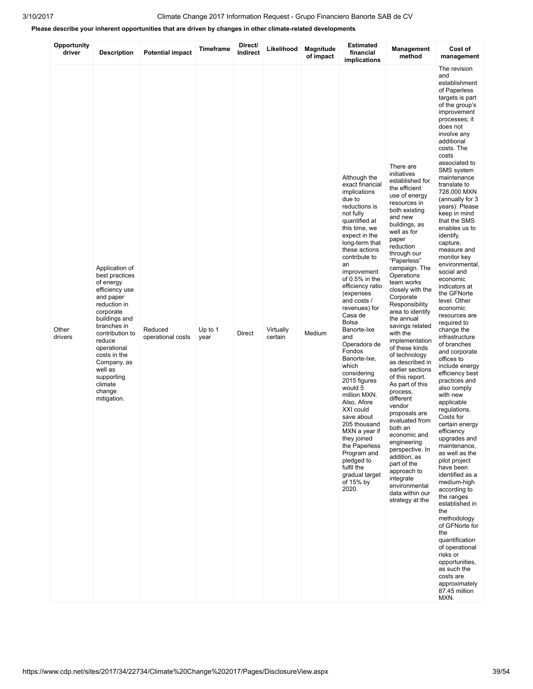## Please describe your inherent opportunities that are driven by changes in other climate-related developments

| Opportunity<br>driver | <b>Description</b>                                                                                                                                                                                                                                                                | <b>Potential impact</b>      | <b>Timeframe</b> | Direct/<br>Indirect | Likelihood           | Magnitude<br>of impact | <b>Estimated</b><br>financial<br>implications                                                                                                                                                                                                                                                                                                                                                                                                                                                                                                                                                                                                                         | Management<br>method                                                                                                                                                                                                                                                                                                                                                                                                                                                                                                                                                                                                                                                                                                                                                  | Cost of<br>management                                                                                                                                                                                                                                                                                                                                                                                                                                                                                                                                                                                                                                                                                                                                                                                                                                                                                                                                                                                                                                                                                                                                          |
|-----------------------|-----------------------------------------------------------------------------------------------------------------------------------------------------------------------------------------------------------------------------------------------------------------------------------|------------------------------|------------------|---------------------|----------------------|------------------------|-----------------------------------------------------------------------------------------------------------------------------------------------------------------------------------------------------------------------------------------------------------------------------------------------------------------------------------------------------------------------------------------------------------------------------------------------------------------------------------------------------------------------------------------------------------------------------------------------------------------------------------------------------------------------|-----------------------------------------------------------------------------------------------------------------------------------------------------------------------------------------------------------------------------------------------------------------------------------------------------------------------------------------------------------------------------------------------------------------------------------------------------------------------------------------------------------------------------------------------------------------------------------------------------------------------------------------------------------------------------------------------------------------------------------------------------------------------|----------------------------------------------------------------------------------------------------------------------------------------------------------------------------------------------------------------------------------------------------------------------------------------------------------------------------------------------------------------------------------------------------------------------------------------------------------------------------------------------------------------------------------------------------------------------------------------------------------------------------------------------------------------------------------------------------------------------------------------------------------------------------------------------------------------------------------------------------------------------------------------------------------------------------------------------------------------------------------------------------------------------------------------------------------------------------------------------------------------------------------------------------------------|
| Other<br>drivers      | Application of<br>best practices<br>of energy<br>efficiency use<br>and paper<br>reduction in<br>corporate<br>buildings and<br>branches in<br>contribution to<br>reduce<br>operational<br>costs in the<br>Company, as<br>well as<br>supporting<br>climate<br>change<br>mitigation. | Reduced<br>operational costs | Up to 1<br>year  | Direct              | Virtually<br>certain | Medium                 | Although the<br>exact financial<br>implications<br>due to<br>reductions is<br>not fully<br>quantified at<br>this time, we<br>expect in the<br>long-term that<br>these actions<br>contribute to<br>an<br>improvement<br>of $0.5\%$ in the<br>efficiency ratio<br>(expenses<br>and costs /<br>revenues) for<br>Casa de<br><b>Bolsa</b><br>Banorte-Ixe<br>and<br>Operadora de<br>Fondos<br>Banorte-Ixe,<br>which<br>considering<br>2015 figures<br>would 5<br>million MXN.<br>Also, Afore<br>XXI could<br>save about<br>205 thousand<br>MXN a year if<br>they joined<br>the Paperless<br>Program and<br>pledged to<br>fulfil the<br>gradual target<br>of 15% by<br>2020. | There are<br>initiatives<br>established for<br>the efficient<br>use of energy<br>resources in<br>both existing<br>and new<br>buildings, as<br>well as for<br>paper<br>reduction<br>through our<br>"Paperless"<br>campaign. The<br>Operations<br>team works<br>closely with the<br>Corporate<br>Responsibility<br>area to identify<br>the annual<br>savings related<br>with the<br>implementation<br>of these kinds<br>of technology<br>as described in<br>earlier sections<br>of this report.<br>As part of this<br>process,<br>different<br>vendor<br>proposals are<br>evaluated from<br>both an<br>economic and<br>engineering<br>perspective. In<br>addition, as<br>part of the<br>approach to<br>integrate<br>environmental<br>data within our<br>strategy at the | The revision<br>and<br>establishment<br>of Paperless<br>targets is part<br>of the group's<br>improvement<br>processes; it<br>does not<br>involve any<br>additional<br>costs. The<br>costs<br>associated to<br>SMS system<br>maintenance<br>translate to<br>728,000 MXN<br>(annually for 3<br>years). Please<br>keep in mind<br>that the SMS<br>enables us to<br>identify,<br>capture,<br>measure and<br>monitor key<br>environmental,<br>social and<br>economic<br>indicators at<br>the GFNorte<br>level. Other<br>economic<br>resources are<br>required to<br>change the<br>infrastructure<br>of branches<br>and corporate<br>offices to<br>include energy<br>efficiency best<br>practices and<br>also comply<br>with new<br>applicable<br>regulations.<br>Costs for<br>certain energy<br>efficiency<br>upgrades and<br>maintenance,<br>as well as the<br>pilot project<br>have been<br>identified as a<br>medium-high<br>according to<br>the ranges<br>established in<br>the<br>methodology<br>of GFNorte for<br>the<br>quantification<br>of operational<br>risks or<br>opportunities,<br>as such the<br>costs are<br>approximately<br>87.45 million<br>MXN. |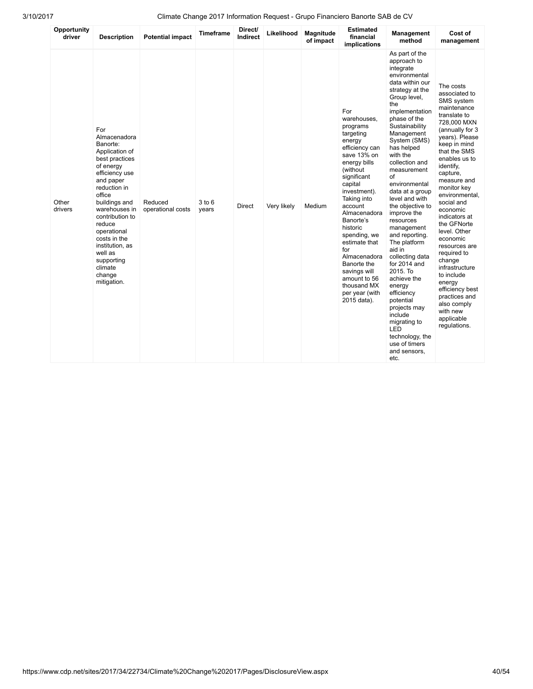| Opportunity<br>driver | <b>Description</b>                                                                                                                                                                                                                                                                                                      | <b>Potential impact</b>      | <b>Timeframe</b> | Direct/<br>Indirect | Likelihood  | <b>Magnitude</b><br>of impact | <b>Estimated</b><br>financial<br>implications                                                                                                                                                                                                                                                                                                                                          | <b>Management</b><br>method                                                                                                                                                                                                                                                                                                                                                                                                                                                                                                                                                                                                                                  | Cost of<br>management                                                                                                                                                                                                                                                                                                                                                                                                                                                                                                        |
|-----------------------|-------------------------------------------------------------------------------------------------------------------------------------------------------------------------------------------------------------------------------------------------------------------------------------------------------------------------|------------------------------|------------------|---------------------|-------------|-------------------------------|----------------------------------------------------------------------------------------------------------------------------------------------------------------------------------------------------------------------------------------------------------------------------------------------------------------------------------------------------------------------------------------|--------------------------------------------------------------------------------------------------------------------------------------------------------------------------------------------------------------------------------------------------------------------------------------------------------------------------------------------------------------------------------------------------------------------------------------------------------------------------------------------------------------------------------------------------------------------------------------------------------------------------------------------------------------|------------------------------------------------------------------------------------------------------------------------------------------------------------------------------------------------------------------------------------------------------------------------------------------------------------------------------------------------------------------------------------------------------------------------------------------------------------------------------------------------------------------------------|
| Other<br>drivers      | For<br>Almacenadora<br>Banorte:<br>Application of<br>best practices<br>of energy<br>efficiency use<br>and paper<br>reduction in<br>office<br>buildings and<br>warehouses in<br>contribution to<br>reduce<br>operational<br>costs in the<br>institution, as<br>well as<br>supporting<br>climate<br>change<br>mitigation. | Reduced<br>operational costs | 3 to 6<br>years  | <b>Direct</b>       | Very likely | Medium                        | For<br>warehouses.<br>programs<br>targeting<br>energy<br>efficiency can<br>save 13% on<br>energy bills<br>(without<br>significant<br>capital<br>investment).<br>Taking into<br>account<br>Almacenadora<br>Banorte's<br>historic<br>spending, we<br>estimate that<br>for<br>Almacenadora<br>Banorte the<br>savings will<br>amount to 56<br>thousand MX<br>per year (with<br>2015 data). | As part of the<br>approach to<br>integrate<br>environmental<br>data within our<br>strategy at the<br>Group level,<br>the<br>implementation<br>phase of the<br>Sustainability<br>Management<br>System (SMS)<br>has helped<br>with the<br>collection and<br>measurement<br>οf<br>environmental<br>data at a group<br>level and with<br>the objective to<br>improve the<br>resources<br>management<br>and reporting.<br>The platform<br>aid in<br>collecting data<br>for 2014 and<br>2015. To<br>achieve the<br>energy<br>efficiency<br>potential<br>projects may<br>include<br>migrating to<br>LED<br>technology, the<br>use of timers<br>and sensors,<br>etc. | The costs<br>associated to<br>SMS system<br>maintenance<br>translate to<br>728,000 MXN<br>(annually for 3<br>years). Please<br>keep in mind<br>that the SMS<br>enables us to<br>identify,<br>capture,<br>measure and<br>monitor key<br>environmental,<br>social and<br>economic<br>indicators at<br>the GFNorte<br>level. Other<br>economic<br>resources are<br>required to<br>change<br>infrastructure<br>to include<br>energy<br>efficiency best<br>practices and<br>also comply<br>with new<br>applicable<br>regulations. |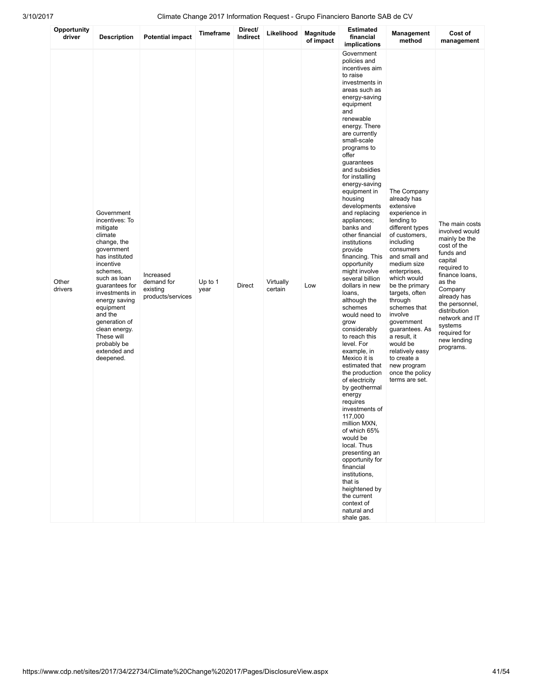| Opportunity<br>driver | <b>Description</b>                                                                                                                                                                                                                                                                                                   | <b>Potential impact</b>                                  | <b>Timeframe</b> | Direct/<br>Indirect | Likelihood           | Magnitude<br>of impact | <b>Estimated</b><br>financial<br>implications                                                                                                                                                                                                                                                                                                                                                                                                                                                                                                                                                                                                                                                                                                                                                                                                                                                                                                                                                                   | <b>Management</b><br>method                                                                                                                                                                                                                                                                                                                                                                                                     | Cost of<br>management                                                                                                                                                                                                                                                    |
|-----------------------|----------------------------------------------------------------------------------------------------------------------------------------------------------------------------------------------------------------------------------------------------------------------------------------------------------------------|----------------------------------------------------------|------------------|---------------------|----------------------|------------------------|-----------------------------------------------------------------------------------------------------------------------------------------------------------------------------------------------------------------------------------------------------------------------------------------------------------------------------------------------------------------------------------------------------------------------------------------------------------------------------------------------------------------------------------------------------------------------------------------------------------------------------------------------------------------------------------------------------------------------------------------------------------------------------------------------------------------------------------------------------------------------------------------------------------------------------------------------------------------------------------------------------------------|---------------------------------------------------------------------------------------------------------------------------------------------------------------------------------------------------------------------------------------------------------------------------------------------------------------------------------------------------------------------------------------------------------------------------------|--------------------------------------------------------------------------------------------------------------------------------------------------------------------------------------------------------------------------------------------------------------------------|
| Other<br>drivers      | Government<br>incentives: To<br>mitigate<br>climate<br>change, the<br>government<br>has instituted<br>incentive<br>schemes,<br>such as loan<br>guarantees for<br>investments in<br>energy saving<br>equipment<br>and the<br>generation of<br>clean energy.<br>These will<br>probably be<br>extended and<br>deepened. | Increased<br>demand for<br>existing<br>products/services | Up to 1<br>year  | Direct              | Virtually<br>certain | Low                    | Government<br>policies and<br>incentives aim<br>to raise<br>investments in<br>areas such as<br>energy-saving<br>equipment<br>and<br>renewable<br>energy. There<br>are currently<br>small-scale<br>programs to<br>offer<br>guarantees<br>and subsidies<br>for installing<br>energy-saving<br>equipment in<br>housing<br>developments<br>and replacing<br>appliances;<br>banks and<br>other financial<br>institutions<br>provide<br>financing. This<br>opportunity<br>might involve<br>several billion<br>dollars in new<br>loans,<br>although the<br>schemes<br>would need to<br>grow<br>considerably<br>to reach this<br>level. For<br>example, in<br>Mexico it is<br>estimated that<br>the production<br>of electricity<br>by geothermal<br>energy<br>requires<br>investments of<br>117,000<br>million MXN,<br>of which 65%<br>would be<br>local. Thus<br>presenting an<br>opportunity for<br>financial<br>institutions,<br>that is<br>heightened by<br>the current<br>context of<br>natural and<br>shale gas. | The Company<br>already has<br>extensive<br>experience in<br>lending to<br>different types<br>of customers,<br>including<br>consumers<br>and small and<br>medium size<br>enterprises,<br>which would<br>be the primary<br>targets, often<br>through<br>schemes that<br>involve<br>government<br>guarantees. As<br>a result, it<br>would be<br>relatively easy<br>to create a<br>new program<br>once the policy<br>terms are set. | The main costs<br>involved would<br>mainly be the<br>cost of the<br>funds and<br>capital<br>required to<br>finance loans,<br>as the<br>Company<br>already has<br>the personnel,<br>distribution<br>network and IT<br>systems<br>required for<br>new lending<br>programs. |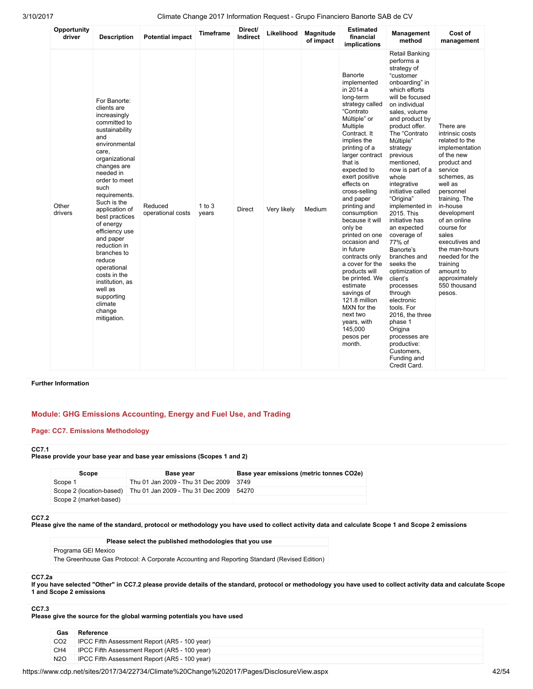| Opportunity<br>driver | <b>Description</b>                                                                                                                                                                                                                                                                                                                                                                                                                                            | <b>Potential impact</b>      | <b>Timeframe</b>    | Direct/<br><b>Indirect</b> | Likelihood  | <b>Magnitude</b><br>of impact | <b>Estimated</b><br>financial<br>implications                                                                                                                                                                                                                                                                                                                                                                                                                                                                                                                                      | <b>Management</b><br>method                                                                                                                                                                                                                                                                                                                                                                                                                                                                                                                                                                                                                                                                | Cost of<br>management                                                                                                                                                                                                                                                                                                                                       |
|-----------------------|---------------------------------------------------------------------------------------------------------------------------------------------------------------------------------------------------------------------------------------------------------------------------------------------------------------------------------------------------------------------------------------------------------------------------------------------------------------|------------------------------|---------------------|----------------------------|-------------|-------------------------------|------------------------------------------------------------------------------------------------------------------------------------------------------------------------------------------------------------------------------------------------------------------------------------------------------------------------------------------------------------------------------------------------------------------------------------------------------------------------------------------------------------------------------------------------------------------------------------|--------------------------------------------------------------------------------------------------------------------------------------------------------------------------------------------------------------------------------------------------------------------------------------------------------------------------------------------------------------------------------------------------------------------------------------------------------------------------------------------------------------------------------------------------------------------------------------------------------------------------------------------------------------------------------------------|-------------------------------------------------------------------------------------------------------------------------------------------------------------------------------------------------------------------------------------------------------------------------------------------------------------------------------------------------------------|
| Other<br>drivers      | For Banorte:<br>clients are<br>increasingly<br>committed to<br>sustainability<br>and<br>environmental<br>care,<br>organizational<br>changes are<br>needed in<br>order to meet<br>such<br>requirements.<br>Such is the<br>application of<br>best practices<br>of energy<br>efficiency use<br>and paper<br>reduction in<br>branches to<br>reduce<br>operational<br>costs in the<br>institution, as<br>well as<br>supporting<br>climate<br>change<br>mitigation. | Reduced<br>operational costs | $1$ to $3$<br>years | <b>Direct</b>              | Very likely | Medium                        | Banorte<br>implemented<br>in 2014 a<br>long-term<br>strategy called<br>"Contrato<br>Múltiple" or<br>Multiple<br>Contract. It<br>implies the<br>printing of a<br>larger contract<br>that is<br>expected to<br>exert positive<br>effects on<br>cross-selling<br>and paper<br>printing and<br>consumption<br>because it will<br>only be<br>printed on one<br>occasion and<br>in future<br>contracts only<br>a cover for the<br>products will<br>be printed. We<br>estimate<br>savings of<br>121.8 million<br>MXN for the<br>next two<br>years, with<br>145,000<br>pesos per<br>month. | <b>Retail Banking</b><br>performs a<br>strategy of<br>"customer<br>onboarding" in<br>which efforts<br>will be focused<br>on individual<br>sales, volume<br>and product by<br>product offer.<br>The "Contrato<br>Múltiple"<br>strategy<br>previous<br>mentioned.<br>now is part of a<br>whole<br>integrative<br>initiative called<br>"Origina"<br>implemented in<br>2015. This<br>initiative has<br>an expected<br>coverage of<br>77% of<br>Banorte's<br>branches and<br>seeks the<br>optimization of<br>client's<br>processes<br>through<br>electronic<br>tools. For<br>2016, the three<br>phase 1<br>Origina<br>processes are<br>productive:<br>Customers,<br>Funding and<br>Credit Card. | There are<br>intrinsic costs<br>related to the<br>implementation<br>of the new<br>product and<br>service<br>schemes, as<br>well as<br>personnel<br>training. The<br>in-house<br>development<br>of an online<br>course for<br>sales<br>executives and<br>the man-hours<br>needed for the<br>training<br>amount to<br>approximately<br>550 thousand<br>pesos. |

### Further Information

### Module: GHG Emissions Accounting, Energy and Fuel Use, and Trading

### Page: CC7. Emissions Methodology

### CC7.1

Please provide your base year and base year emissions (Scopes 1 and 2)

| Scope                    | <b>Base vear</b>                          | Base year emissions (metric tonnes CO2e) |
|--------------------------|-------------------------------------------|------------------------------------------|
| Scope 1                  | Thu 01 Jan 2009 - Thu 31 Dec 2009 3749    |                                          |
| Scope 2 (location-based) | Thu 01 Jan 2009 - Thu 31 Dec 2009   54270 |                                          |
| Scope 2 (market-based)   |                                           |                                          |

#### CC7.2

Please give the name of the standard, protocol or methodology you have used to collect activity data and calculate Scope 1 and Scope 2 emissions

Please select the published methodologies that you use Programa GEI Mexico The Greenhouse Gas Protocol: A Corporate Accounting and Reporting Standard (Revised Edition)

#### CC7.2a

If you have selected "Other" in CC7.2 please provide details of the standard, protocol or methodology you have used to collect activity data and calculate Scope 1 and Scope 2 emissions

### CC7.3

Please give the source for the global warming potentials you have used

| Gas              | Reference                                     |
|------------------|-----------------------------------------------|
| CO <sub>2</sub>  | IPCC Fifth Assessment Report (AR5 - 100 year) |
| CH <sub>4</sub>  | IPCC Fifth Assessment Report (AR5 - 100 year) |
| N <sub>2</sub> O | IPCC Fifth Assessment Report (AR5 - 100 year) |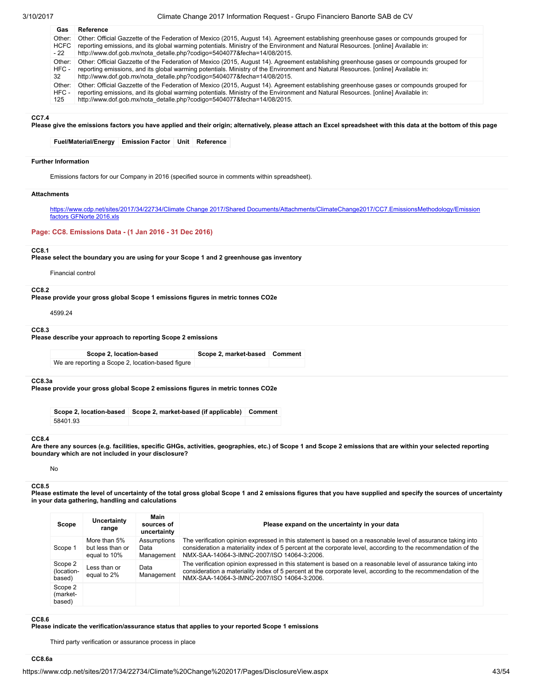| Gas    | Reference                                                                                                                                |
|--------|------------------------------------------------------------------------------------------------------------------------------------------|
| Other: | Other: Official Gazzette of the Federation of Mexico (2015, August 14). Agreement establishing greenhouse gases or compounds grouped for |
| HCFC   | reporting emissions, and its global warming potentials. Ministry of the Environment and Natural Resources. [online] Available in:        |
| - 22   | http://www.dof.qob.mx/nota_detalle.php?codiqo=5404077&fecha=14/08/2015.                                                                  |
| Other: | Other: Official Gazzette of the Federation of Mexico (2015, August 14). Agreement establishing greenhouse gases or compounds grouped for |
| HFC -  | reporting emissions, and its global warming potentials. Ministry of the Environment and Natural Resources. [online] Available in:        |
| 32     | http://www.dof.qob.mx/nota_detalle.php?codigo=5404077&fecha=14/08/2015.                                                                  |
| Other: | Other: Official Gazzette of the Federation of Mexico (2015, August 14). Agreement establishing greenhouse gases or compounds grouped for |
| HFC -  | reporting emissions, and its global warming potentials. Ministry of the Environment and Natural Resources. [online] Available in:        |
| 125    | http://www.dof.qob.mx/nota_detalle.php?codigo=5404077&fecha=14/08/2015.                                                                  |

#### CC7.4

Please give the emissions factors you have applied and their origin; alternatively, please attach an Excel spreadsheet with this data at the bottom of this page

#### Fuel/Material/Energy Emission Factor Unit Reference

#### Further Information

Emissions factors for our Company in 2016 (specified source in comments within spreadsheet).

#### **Attachments**

[https://www.cdp.net/sites/2017/34/22734/Climate Change 2017/Shared Documents/Attachments/ClimateChange2017/CC7.EmissionsMethodology/Emission](https://www.cdp.net/sites/2017/34/22734/Climate%20Change%202017/Shared%20Documents/Attachments/ClimateChange2017/CC7.EmissionsMethodology/Emission%20factors%20GFNorte%202016.xls) factors GFNorte 2016.xls

#### Page: CC8. Emissions Data - (1 Jan 2016 - 31 Dec 2016)

#### CC8.1

Please select the boundary you are using for your Scope 1 and 2 greenhouse gas inventory

#### Financial control

#### CC8.2

Please provide your gross global Scope 1 emissions figures in metric tonnes CO2e

4599.24

#### CC8.3

Please describe your approach to reporting Scope 2 emissions

Scope 2, location-based Scope 2, market-based Comment We are reporting a Scope 2, location-based figure

#### CC8.3a

Please provide your gross global Scope 2 emissions figures in metric tonnes CO2e

Scope 2, location-based Scope 2, market-based (if applicable) Comment 58401.93

#### CC8.4

Are there any sources (e.g. facilities, specific GHGs, activities, geographies, etc.) of Scope 1 and Scope 2 emissions that are within your selected reporting boundary which are not included in your disclosure?

### No

#### CC<sub>8.5</sub>

Please estimate the level of uncertainty of the total gross global Scope 1 and 2 emissions figures that you have supplied and specify the sources of uncertainty in your data gathering, handling and calculations

| Scope                           | Uncertainty<br>range                             | Main<br>sources of<br>uncertainty | Please expand on the uncertainty in your data                                                                                                                                                                                                                                |
|---------------------------------|--------------------------------------------------|-----------------------------------|------------------------------------------------------------------------------------------------------------------------------------------------------------------------------------------------------------------------------------------------------------------------------|
| Scope 1                         | More than 5%<br>but less than or<br>equal to 10% | Assumptions<br>Data<br>Management | The verification opinion expressed in this statement is based on a reasonable level of assurance taking into<br>consideration a materiality index of 5 percent at the corporate level, according to the recommendation of the<br>NMX-SAA-14064-3-IMNC-2007/ISO 14064-3:2006. |
| Scope 2<br>(location-<br>based) | Less than or<br>equal to 2%                      | Data<br>Management                | The verification opinion expressed in this statement is based on a reasonable level of assurance taking into<br>consideration a materiality index of 5 percent at the corporate level, according to the recommendation of the<br>NMX-SAA-14064-3-IMNC-2007/ISO 14064-3:2006. |
| Scope 2<br>(market-<br>based)   |                                                  |                                   |                                                                                                                                                                                                                                                                              |

#### CC8.6

Please indicate the verification/assurance status that applies to your reported Scope 1 emissions

Third party verification or assurance process in place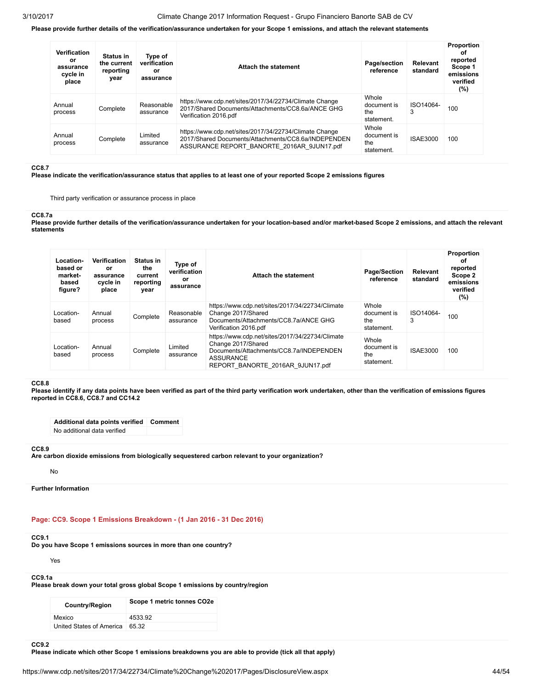#### Please provide further details of the verification/assurance undertaken for your Scope 1 emissions, and attach the relevant statements

| <b>Verification</b><br>or<br>assurance<br>cycle in<br>place | <b>Status in</b><br>the current<br>reporting<br>year | Type of<br>verification<br>or<br>assurance | <b>Attach the statement</b>                                                                                                                                 | Page/section<br>reference                 | Relevant<br>standard | Proportion<br>οf<br>reported<br>Scope 1<br>emissions<br>verified<br>$(\%)$ |
|-------------------------------------------------------------|------------------------------------------------------|--------------------------------------------|-------------------------------------------------------------------------------------------------------------------------------------------------------------|-------------------------------------------|----------------------|----------------------------------------------------------------------------|
| Annual<br>process                                           | Complete                                             | Reasonable<br>assurance                    | https://www.cdp.net/sites/2017/34/22734/Climate Change<br>2017/Shared Documents/Attachments/CC8.6a/ANCE GHG<br>Verification 2016.pdf                        | Whole<br>document is<br>the<br>statement. | ISO14064-<br>3       | 100                                                                        |
| Annual<br>process                                           | Complete                                             | Limited<br>assurance                       | https://www.cdp.net/sites/2017/34/22734/Climate Change<br>2017/Shared Documents/Attachments/CC8.6a/INDEPENDEN<br>ASSURANCE REPORT BANORTE 2016AR 9JUN17.pdf | Whole<br>document is<br>the<br>statement. | <b>ISAE3000</b>      | 100                                                                        |

#### CC8.7

Please indicate the verification/assurance status that applies to at least one of your reported Scope 2 emissions figures

Third party verification or assurance process in place

#### CC8.7a

Please provide further details of the verification/assurance undertaken for your location-based and/or market-based Scope 2 emissions, and attach the relevant statements

| Location-<br>based or<br>market-<br>based<br>figure? | Verification<br>or<br>assurance<br>cycle in<br>place | Status in<br>the<br>current<br>reporting<br>year | Type of<br>verification<br>or<br>assurance | Attach the statement                                                                                                                                              | <b>Page/Section</b><br>reference          | Relevant<br>standard | Proportion<br>οf<br>reported<br>Scope 2<br>emissions<br>verified<br>(%) |
|------------------------------------------------------|------------------------------------------------------|--------------------------------------------------|--------------------------------------------|-------------------------------------------------------------------------------------------------------------------------------------------------------------------|-------------------------------------------|----------------------|-------------------------------------------------------------------------|
| Location-<br>based                                   | Annual<br>process                                    | Complete                                         | Reasonable<br>assurance                    | https://www.cdp.net/sites/2017/34/22734/Climate<br>Change 2017/Shared<br>Documents/Attachments/CC8.7a/ANCE GHG<br>Verification 2016.pdf                           | Whole<br>document is<br>the<br>statement. | ISO14064-<br>3       | 100                                                                     |
| Location-<br>based                                   | Annual<br>process                                    | Complete                                         | Limited<br>assurance                       | https://www.cdp.net/sites/2017/34/22734/Climate<br>Change 2017/Shared<br>Documents/Attachments/CC8.7a/INDEPENDEN<br>ASSURANCE<br>REPORT BANORTE 2016AR 9JUN17.pdf | Whole<br>document is<br>the<br>statement. | <b>ISAE3000</b>      | 100                                                                     |

#### CC8.8

Please identify if any data points have been verified as part of the third party verification work undertaken, other than the verification of emissions figures reported in CC8.6, CC8.7 and CC14.2

Additional data points verified Comment No additional data verified

#### CC8.9

Are carbon dioxide emissions from biologically sequestered carbon relevant to your organization?

No

Further Information

### Page: CC9. Scope 1 Emissions Breakdown - (1 Jan 2016 - 31 Dec 2016)

### CC9.1

Do you have Scope 1 emissions sources in more than one country?

Yes

### CC9.1a

Please break down your total gross global Scope 1 emissions by country/region

| <b>Country/Region</b>    | Scope 1 metric tonnes CO2e |
|--------------------------|----------------------------|
| Mexico                   | 4533.92                    |
| United States of America | 65.32                      |

### CC<sub>92</sub>

Please indicate which other Scope 1 emissions breakdowns you are able to provide (tick all that apply)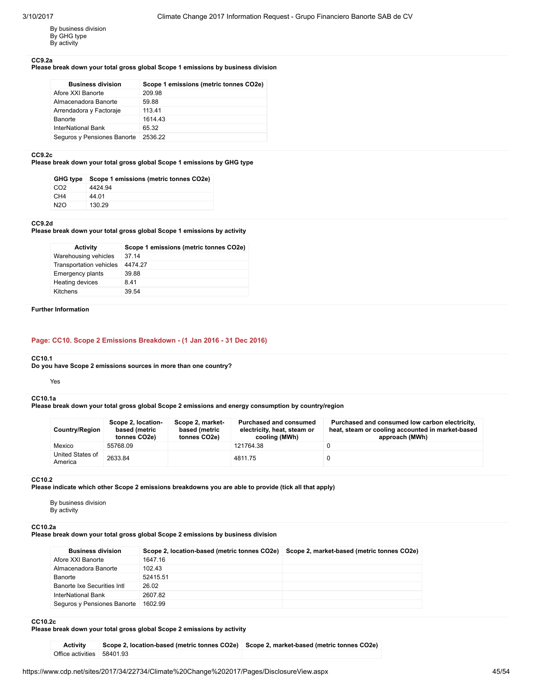By business division By GHG type By activity

#### CC9.2a

### Please break down your total gross global Scope 1 emissions by business division

| <b>Business division</b>    | Scope 1 emissions (metric tonnes CO2e) |
|-----------------------------|----------------------------------------|
| Afore XXI Banorte           | 209.98                                 |
| Almacenadora Banorte        | 59.88                                  |
| Arrendadora y Factoraje     | 113.41                                 |
| <b>Banorte</b>              | 1614 43                                |
| InterNational Bank          | 65.32                                  |
| Seguros y Pensiones Banorte | 2536.22                                |

#### CC9.2c

### Please break down your total gross global Scope 1 emissions by GHG type

|                  | GHG type Scope 1 emissions (metric tonnes CO2e) |
|------------------|-------------------------------------------------|
| CO <sub>2</sub>  | 4424.94                                         |
| CH4              | 44.01                                           |
| N <sub>2</sub> O | 130.29                                          |

#### CC9.2d

Please break down your total gross global Scope 1 emissions by activity

| <b>Activity</b>         | Scope 1 emissions (metric tonnes CO2e) |
|-------------------------|----------------------------------------|
| Warehousing vehicles    | 37 14                                  |
| Transportation vehicles | 4474 27                                |
| Emergency plants        | 39.88                                  |
| Heating devices         | 841                                    |
| Kitchens                | 39.54                                  |
|                         |                                        |

### Further Information

### Page: CC10. Scope 2 Emissions Breakdown - (1 Jan 2016 - 31 Dec 2016)

#### CC10.1

Do you have Scope 2 emissions sources in more than one country?

#### Yes

#### CC10.1a

Please break down your total gross global Scope 2 emissions and energy consumption by country/region

| <b>Country/Region</b>       | Scope 2, location-<br>based (metric<br>tonnes CO2e) | Scope 2, market-<br>based (metric<br>tonnes CO2e) | <b>Purchased and consumed</b><br>electricity, heat, steam or<br>cooling (MWh) | Purchased and consumed low carbon electricity,<br>heat, steam or cooling accounted in market-based<br>approach (MWh) |
|-----------------------------|-----------------------------------------------------|---------------------------------------------------|-------------------------------------------------------------------------------|----------------------------------------------------------------------------------------------------------------------|
| Mexico                      | 55768.09                                            |                                                   | 121764.38                                                                     |                                                                                                                      |
| United States of<br>America | 2633.84                                             |                                                   | 4811.75                                                                       |                                                                                                                      |

#### CC10.2

Please indicate which other Scope 2 emissions breakdowns you are able to provide (tick all that apply)

By business division By activity

#### CC10.2a

Please break down your total gross global Scope 2 emissions by business division

| <b>Business division</b>    | Scope 2, location-based (metric tonnes CO2e) | Scope 2, market-based (metric tonnes CO2e) |
|-----------------------------|----------------------------------------------|--------------------------------------------|
| Afore XXI Banorte           | 1647.16                                      |                                            |
| Almacenadora Banorte        | 102.43                                       |                                            |
| Banorte                     | 52415.51                                     |                                            |
| Banorte Ixe Securities Intl | 26.02                                        |                                            |
| InterNational Bank          | 2607.82                                      |                                            |
| Seguros y Pensiones Banorte | 1602.99                                      |                                            |

### CC10.2c

Please break down your total gross global Scope 2 emissions by activity

| <b>Activity</b>            | Scope 2, location-based (metric tonnes CO2e) Scope 2, market-based (metric tonnes CO2e) |  |
|----------------------------|-----------------------------------------------------------------------------------------|--|
| Office activities 58401.93 |                                                                                         |  |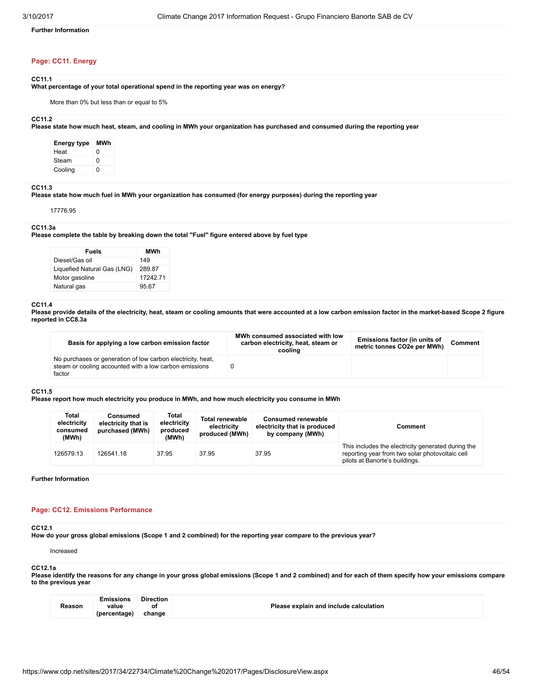Further Information

### Page: CC11. Energy

#### CC11.1

What percentage of your total operational spend in the reporting year was on energy?

More than 0% but less than or equal to 5%

### CC11.2

Please state how much heat, steam, and cooling in MWh your organization has purchased and consumed during the reporting year

| Energy type | MWh |
|-------------|-----|
| Heat        | ŋ   |
| Steam       | ŋ   |
| Cooling     | ŋ   |

### CC11.3

Please state how much fuel in MWh your organization has consumed (for energy purposes) during the reporting year

17776.95

#### CC11.3a

Please complete the table by breaking down the total "Fuel" figure entered above by fuel type

| <b>Fuels</b>                | MWh     |
|-----------------------------|---------|
| Diesel/Gas oil              | 149     |
| Liquefied Natural Gas (LNG) | 289.87  |
| Motor gasoline              | 1724271 |
| Natural gas                 | 95.67   |

#### CC11.4

Please provide details of the electricity, heat, steam or cooling amounts that were accounted at a low carbon emission factor in the market-based Scope 2 figure reported in CC8.3a

| Basis for applying a low carbon emission factor                                                                                 | MWh consumed associated with low<br>carbon electricity, heat, steam or<br>cooling | Emissions factor (in units of<br>metric tonnes CO2e per MWh) | Comment |
|---------------------------------------------------------------------------------------------------------------------------------|-----------------------------------------------------------------------------------|--------------------------------------------------------------|---------|
| No purchases or generation of low carbon electricity, heat,<br>steam or cooling accounted with a low carbon emissions<br>factor |                                                                                   |                                                              |         |

#### CC11.5

Please report how much electricity you produce in MWh, and how much electricity you consume in MWh

| Total<br>electricity<br>consumed<br>(MWh) | Consumed<br>electricity that is<br>purchased (MWh) | Total<br>electricity<br>produced<br>(MWh) | <b>Total renewable</b><br>electricity<br>produced (MWh) | <b>Consumed renewable</b><br>electricity that is produced<br>by company (MWh) | Comment                                                                                                                                 |
|-------------------------------------------|----------------------------------------------------|-------------------------------------------|---------------------------------------------------------|-------------------------------------------------------------------------------|-----------------------------------------------------------------------------------------------------------------------------------------|
| 126579.13                                 | 126541.18                                          | 37.95                                     | 37.95                                                   | 37.95                                                                         | This includes the electricity generated during the<br>reporting year from two solar photovoltaic cell<br>pilots at Banorte's buildings. |

Further Information

#### Page: CC12. Emissions Performance

#### CC12.1

How do your gross global emissions (Scope 1 and 2 combined) for the reporting year compare to the previous year?

Increased

### CC12.1a

Please identify the reasons for any change in your gross global emissions (Scope 1 and 2 combined) and for each of them specify how your emissions compare to the previous year

|        | Emissions    | <b>Direction</b> |                                        |
|--------|--------------|------------------|----------------------------------------|
| Reason | value        | οt               | Please explain and include calculation |
|        | (percentage) | change           |                                        |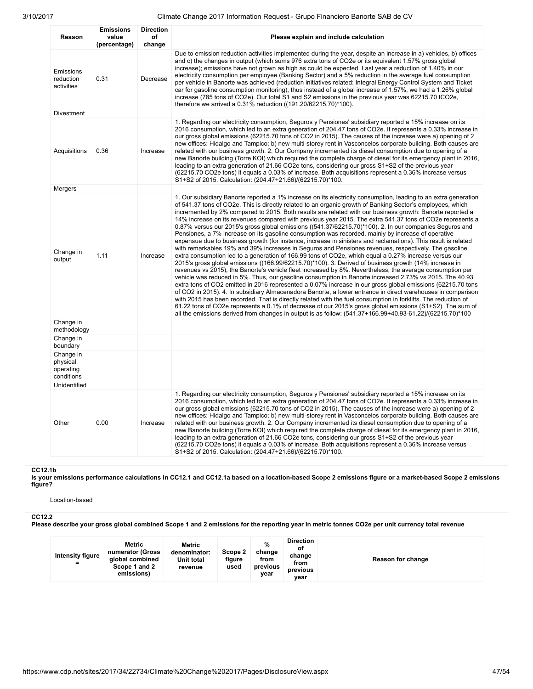| Reason                                           | <b>Emissions</b><br>value<br>(percentage) | <b>Direction</b><br>оf<br>change | Please explain and include calculation                                                                                                                                                                                                                                                                                                                                                                                                                                                                                                                                                                                                                                                                                                                                                                                                                                                                                                                                                                                                                                                                                                                                                                                                                                                                                                                                                                                                                                                                                                                                                                                                                                                                                                                                                                                                                                                                                 |
|--------------------------------------------------|-------------------------------------------|----------------------------------|------------------------------------------------------------------------------------------------------------------------------------------------------------------------------------------------------------------------------------------------------------------------------------------------------------------------------------------------------------------------------------------------------------------------------------------------------------------------------------------------------------------------------------------------------------------------------------------------------------------------------------------------------------------------------------------------------------------------------------------------------------------------------------------------------------------------------------------------------------------------------------------------------------------------------------------------------------------------------------------------------------------------------------------------------------------------------------------------------------------------------------------------------------------------------------------------------------------------------------------------------------------------------------------------------------------------------------------------------------------------------------------------------------------------------------------------------------------------------------------------------------------------------------------------------------------------------------------------------------------------------------------------------------------------------------------------------------------------------------------------------------------------------------------------------------------------------------------------------------------------------------------------------------------------|
| Emissions<br>reduction<br>activities             | 0.31                                      | Decrease                         | Due to emission reduction activities implemented during the year, despite an increase in a) vehicles, b) offices<br>and c) the changes in output (which sums 976 extra tons of CO2e or its equivalent 1.57% gross global<br>increase); emissions have not grown as high as could be expected. Last year a reduction of 1.40% in our<br>electricity consumption per employee (Banking Sector) and a 5% reduction in the average fuel consumption<br>per vehicle in Banorte was achieved (reduction initiatives related: Integral Energy Control System and Ticket<br>car for gasoline consumption monitoring), thus instead of a global increase of 1.57%, we had a 1.26% global<br>increase (785 tons of CO2e). Our total S1 and S2 emissions in the previous year was 62215.70 tCO2e,<br>therefore we arrived a 0.31% reduction ((191.20/62215.70)*100).                                                                                                                                                                                                                                                                                                                                                                                                                                                                                                                                                                                                                                                                                                                                                                                                                                                                                                                                                                                                                                                              |
| Divestment                                       |                                           |                                  |                                                                                                                                                                                                                                                                                                                                                                                                                                                                                                                                                                                                                                                                                                                                                                                                                                                                                                                                                                                                                                                                                                                                                                                                                                                                                                                                                                                                                                                                                                                                                                                                                                                                                                                                                                                                                                                                                                                        |
| Acquisitions                                     | 0.36                                      | Increase                         | 1. Regarding our electricity consumption, Seguros y Pensiones' subsidiary reported a 15% increase on its<br>2016 consumption, which led to an extra generation of 204.47 tons of CO2e. It represents a 0.33% increase in<br>our gross global emissions (62215.70 tons of CO2 in 2015). The causes of the increase were a) opening of 2<br>new offices: Hidalgo and Tampico; b) new multi-storey rent in Vasconcelos corporate building. Both causes are<br>related with our business growth. 2. Our Company incremented its diesel consumption due to opening of a<br>new Banorte building (Torre KOI) which required the complete charge of diesel for its emergency plant in 2016,<br>leading to an extra generation of 21.66 CO2e tons, considering our gross S1+S2 of the previous year<br>(62215.70 CO2e tons) it equals a 0.03% of increase. Both acquisitions represent a 0.36% increase versus<br>S1+S2 of 2015. Calculation: (204.47+21.66)/(62215.70)*100.                                                                                                                                                                                                                                                                                                                                                                                                                                                                                                                                                                                                                                                                                                                                                                                                                                                                                                                                                   |
| Mergers                                          |                                           |                                  |                                                                                                                                                                                                                                                                                                                                                                                                                                                                                                                                                                                                                                                                                                                                                                                                                                                                                                                                                                                                                                                                                                                                                                                                                                                                                                                                                                                                                                                                                                                                                                                                                                                                                                                                                                                                                                                                                                                        |
| Change in<br>output                              | 1.11                                      | Increase                         | 1. Our subsidiary Banorte reported a 1% increase on its electricity consumption, leading to an extra generation<br>of 541.37 tons of CO2e. This is directly related to an organic growth of Banking Sector's employees, which<br>incremented by 2% compared to 2015. Both results are related with our business growth: Banorte reported a<br>14% increase on its revenues compared with previous year 2015. The extra 541.37 tons of CO2e represents a<br>0.87% versus our 2015's gross global emissions ((541.37/62215.70)*100). 2. In our companies Seguros and<br>Pensiones, a 7% increase on its gasoline consumption was recorded, mainly by increase of operative<br>expensue due to business growth (for instance, increase in sinisters and reclamations). This result is related<br>with remarkables 19% and 39% increases in Seguros and Pensiones revenues, respectively. The gasoline<br>extra consumption led to a generation of 166.99 tons of CO2e, which equal a 0.27% increase versus our<br>2015's gross global emissions ((166.99/62215.70)*100). 3. Derived of business growth (14% increase in<br>revenues vs 2015), the Banorte's vehicle fleet increased by 8%. Nevertheless, the average consumption per<br>vehicle was reduced in 5%. Thus, our gasoline consumption in Banorte increased 2.73% vs 2015. The 40.93<br>extra tons of CO2 emitted in 2016 represented a 0.07% increase in our gross global emissions (62215.70 tons<br>of CO2 in 2015). 4. In subsidiary Almacenadora Banorte, a lower entrance in direct warehouses in comparison<br>with 2015 has been recorded. That is directly related with the fuel consumption in forklifts. The reduction of<br>61.22 tons of CO2e represents a 0.1% of decrease of our 2015's gross global emissions (S1+S2). The sum of<br>all the emissions derived from changes in output is as follow: (541.37+166.99+40.93-61.22)/(62215.70)*100 |
| Change in<br>methodology                         |                                           |                                  |                                                                                                                                                                                                                                                                                                                                                                                                                                                                                                                                                                                                                                                                                                                                                                                                                                                                                                                                                                                                                                                                                                                                                                                                                                                                                                                                                                                                                                                                                                                                                                                                                                                                                                                                                                                                                                                                                                                        |
| Change in<br>boundary                            |                                           |                                  |                                                                                                                                                                                                                                                                                                                                                                                                                                                                                                                                                                                                                                                                                                                                                                                                                                                                                                                                                                                                                                                                                                                                                                                                                                                                                                                                                                                                                                                                                                                                                                                                                                                                                                                                                                                                                                                                                                                        |
| Change in<br>physical<br>operating<br>conditions |                                           |                                  |                                                                                                                                                                                                                                                                                                                                                                                                                                                                                                                                                                                                                                                                                                                                                                                                                                                                                                                                                                                                                                                                                                                                                                                                                                                                                                                                                                                                                                                                                                                                                                                                                                                                                                                                                                                                                                                                                                                        |
| Unidentified                                     |                                           |                                  |                                                                                                                                                                                                                                                                                                                                                                                                                                                                                                                                                                                                                                                                                                                                                                                                                                                                                                                                                                                                                                                                                                                                                                                                                                                                                                                                                                                                                                                                                                                                                                                                                                                                                                                                                                                                                                                                                                                        |
| Other                                            | 0.00                                      | Increase                         | 1. Regarding our electricity consumption, Seguros y Pensiones' subsidiary reported a 15% increase on its<br>2016 consumption, which led to an extra generation of 204.47 tons of CO2e. It represents a 0.33% increase in<br>our gross global emissions (62215.70 tons of CO2 in 2015). The causes of the increase were a) opening of 2<br>new offices: Hidalgo and Tampico; b) new multi-storey rent in Vasconcelos corporate building. Both causes are<br>related with our business growth. 2. Our Company incremented its diesel consumption due to opening of a<br>new Banorte building (Torre KOI) which required the complete charge of diesel for its emergency plant in 2016,<br>leading to an extra generation of 21.66 CO2e tons, considering our gross S1+S2 of the previous year<br>(62215.70 CO2e tons) it equals a 0.03% of increase. Both acquisitions represent a 0.36% increase versus<br>S1+S2 of 2015. Calculation: (204.47+21.66)/(62215.70)*100.                                                                                                                                                                                                                                                                                                                                                                                                                                                                                                                                                                                                                                                                                                                                                                                                                                                                                                                                                   |

#### CC12.1b

Is your emissions performance calculations in CC12.1 and CC12.1a based on a location-based Scope 2 emissions figure or a market-based Scope 2 emissions figure?

Location-based

#### CC12.2

Please describe your gross global combined Scope 1 and 2 emissions for the reporting year in metric tonnes CO2e per unit currency total revenue

| Intensity figure<br>$=$ | Metric<br>numerator (Gross<br>global combined<br>Scope 1 and 2<br>emissions) | Metric<br>denominator:<br><b>Unit total</b><br>revenue | Scope 2<br>figure<br>used | %<br>change<br>from<br>previous<br>vear | <b>Direction</b><br>οf<br>change<br>from<br>previous<br>vear | Reason for change |
|-------------------------|------------------------------------------------------------------------------|--------------------------------------------------------|---------------------------|-----------------------------------------|--------------------------------------------------------------|-------------------|
|-------------------------|------------------------------------------------------------------------------|--------------------------------------------------------|---------------------------|-----------------------------------------|--------------------------------------------------------------|-------------------|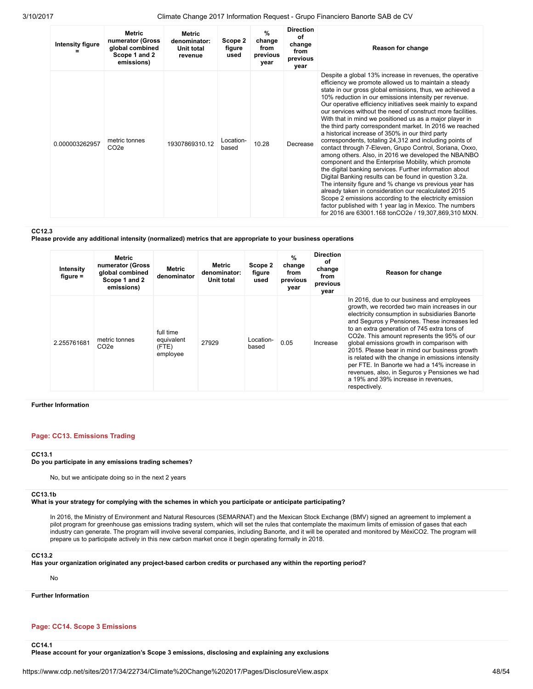| Intensity figure | <b>Metric</b><br>numerator (Gross<br>global combined<br>Scope 1 and 2<br>emissions) | Metric<br>denominator:<br>Unit total<br>revenue | Scope 2<br>figure<br>used | $\%$<br>change<br>from<br>previous<br>year | <b>Direction</b><br>οf<br>change<br>from<br>previous<br>year | Reason for change                                                                                                                                                                                                                                                                                                                                                                                                                                                                                                                                                                                                                                                                                                                                                                                                                                                                                                                                                                                                                                                                                                                                                                                         |
|------------------|-------------------------------------------------------------------------------------|-------------------------------------------------|---------------------------|--------------------------------------------|--------------------------------------------------------------|-----------------------------------------------------------------------------------------------------------------------------------------------------------------------------------------------------------------------------------------------------------------------------------------------------------------------------------------------------------------------------------------------------------------------------------------------------------------------------------------------------------------------------------------------------------------------------------------------------------------------------------------------------------------------------------------------------------------------------------------------------------------------------------------------------------------------------------------------------------------------------------------------------------------------------------------------------------------------------------------------------------------------------------------------------------------------------------------------------------------------------------------------------------------------------------------------------------|
| 0.000003262957   | metric tonnes<br>CO <sub>2e</sub>                                                   | 19307869310.12                                  | Location-<br>based        | 10.28                                      | Decrease                                                     | Despite a global 13% increase in revenues, the operative<br>efficiency we promote allowed us to maintain a steady<br>state in our gross global emissions, thus, we achieved a<br>10% reduction in our emissions intensity per revenue.<br>Our operative efficiency initiatives seek mainly to expand<br>our services without the need of construct more facilities.<br>With that in mind we positioned us as a major player in<br>the third party correspondent market. In 2016 we reached<br>a historical increase of 350% in our third party<br>correspondents, totaling 24,312 and including points of<br>contact through 7-Eleven, Grupo Control, Soriana, Oxxo,<br>among others. Also, in 2016 we developed the NBA/NBO<br>component and the Enterprise Mobility, which promote<br>the digital banking services. Further information about<br>Digital Banking results can be found in question 3.2a.<br>The intensity figure and % change vs previous year has<br>already taken in consideration our recalculated 2015<br>Scope 2 emissions according to the electricity emission<br>factor published with 1 year lag in Mexico. The numbers<br>for 2016 are 63001.168 tonCO2e / 19,307,869,310 MXN. |

### CC12.3

Please provide any additional intensity (normalized) metrics that are appropriate to your business operations

| Intensity<br>figure $=$ | Metric<br>numerator (Gross<br>global combined<br>Scope 1 and 2<br>emissions) | <b>Metric</b><br>denominator                 | Metric<br>denominator:<br>Unit total | Scope 2<br>figure<br>used | %<br>change<br>from<br>previous<br>year | <b>Direction</b><br>οf<br>change<br>from<br>previous<br>vear | Reason for change                                                                                                                                                                                                                                                                                                                                                                                                                                                                                                                                                                                                      |
|-------------------------|------------------------------------------------------------------------------|----------------------------------------------|--------------------------------------|---------------------------|-----------------------------------------|--------------------------------------------------------------|------------------------------------------------------------------------------------------------------------------------------------------------------------------------------------------------------------------------------------------------------------------------------------------------------------------------------------------------------------------------------------------------------------------------------------------------------------------------------------------------------------------------------------------------------------------------------------------------------------------------|
| 2.255761681             | metric tonnes<br>CO <sub>2</sub> e                                           | full time<br>equivalent<br>(FTE)<br>employee | 27929                                | Location-<br>based        | 0.05                                    | Increase                                                     | In 2016, due to our business and employees<br>growth, we recorded two main increases in our<br>electricity consumption in subsidiaries Banorte<br>and Sequros y Pensiones. These increases led<br>to an extra generation of 745 extra tons of<br>CO <sub>2</sub> e. This amount represents the 95% of our<br>global emissions growth in comparison with<br>2015. Please bear in mind our business growth<br>is related with the change in emissions intensity<br>per FTE. In Banorte we had a 14% increase in<br>revenues, also, in Seguros y Pensiones we had<br>a 19% and 39% increase in revenues.<br>respectively. |

### Further Information

### Page: CC13. Emissions Trading

#### CC13.1

#### Do you participate in any emissions trading schemes?

No, but we anticipate doing so in the next 2 years

#### CC13.1b

What is your strategy for complying with the schemes in which you participate or anticipate participating?

In 2016, the Ministry of Environment and Natural Resources (SEMARNAT) and the Mexican Stock Exchange (BMV) signed an agreement to implement a pilot program for greenhouse gas emissions trading system, which will set the rules that contemplate the maximum limits of emission of gases that each industry can generate. The program will involve several companies, including Banorte, and it will be operated and monitored by MéxiCO2. The program will prepare us to participate actively in this new carbon market once it begin operating formally in 2018.

### CC13.2

Has your organization originated any project-based carbon credits or purchased any within the reporting period?

No

Further Information

### Page: CC14. Scope 3 Emissions

CC14.1

Please account for your organization's Scope 3 emissions, disclosing and explaining any exclusions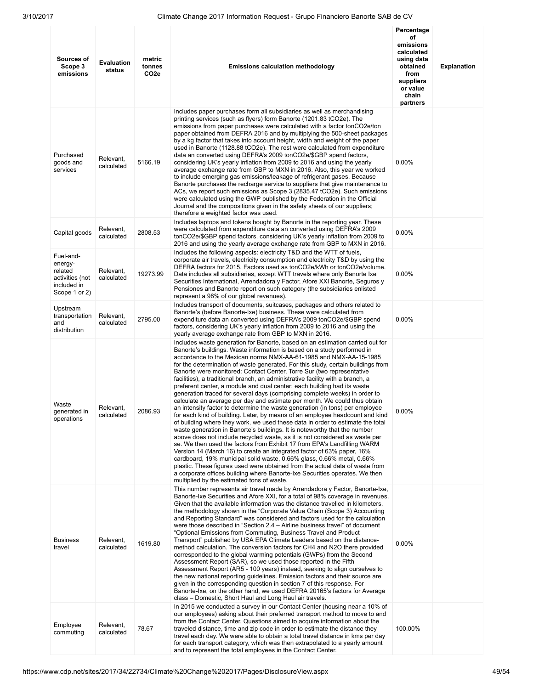| Sources of<br>Scope 3<br>emissions                                                 | <b>Evaluation</b><br>status | metric<br>tonnes<br>CO <sub>2e</sub> | <b>Emissions calculation methodology</b>                                                                                                                                                                                                                                                                                                                                                                                                                                                                                                                                                                                                                                                                                                                                                                                                                                                                                                                                                                                                                                                                                                                                                                                                                                                                                                                                                                                                                                                                                                                                     | Percentage<br>οf<br>emissions<br>calculated<br>using data<br>obtained<br>from<br>suppliers<br>or value<br>chain<br>partners | <b>Explanation</b> |
|------------------------------------------------------------------------------------|-----------------------------|--------------------------------------|------------------------------------------------------------------------------------------------------------------------------------------------------------------------------------------------------------------------------------------------------------------------------------------------------------------------------------------------------------------------------------------------------------------------------------------------------------------------------------------------------------------------------------------------------------------------------------------------------------------------------------------------------------------------------------------------------------------------------------------------------------------------------------------------------------------------------------------------------------------------------------------------------------------------------------------------------------------------------------------------------------------------------------------------------------------------------------------------------------------------------------------------------------------------------------------------------------------------------------------------------------------------------------------------------------------------------------------------------------------------------------------------------------------------------------------------------------------------------------------------------------------------------------------------------------------------------|-----------------------------------------------------------------------------------------------------------------------------|--------------------|
| Purchased<br>goods and<br>services                                                 | Relevant,<br>calculated     | 5166.19                              | Includes paper purchases form all subsidiaries as well as merchandising<br>printing services (such as flyers) form Banorte (1201.83 tCO2e). The<br>emissions from paper purchases were calculated with a factor tonCO2e/ton<br>paper obtained from DEFRA 2016 and by multiplying the 500-sheet packages<br>by a kg factor that takes into account height, width and weight of the paper<br>used in Banorte (1128.88 tCO2e). The rest were calculated from expenditure<br>data an converted using DEFRA's 2009 tonCO2e/\$GBP spend factors,<br>considering UK's yearly inflation from 2009 to 2016 and using the yearly<br>average exchange rate from GBP to MXN in 2016. Also, this year we worked<br>to include emerging gas emissions/leakage of refrigerant gases. Because<br>Banorte purchases the recharge service to suppliers that give maintenance to<br>ACs, we report such emissions as Scope 3 (2835.47 tCO2e). Such emissions<br>were calculated using the GWP published by the Federation in the Official<br>Journal and the compositions given in the safety sheets of our suppliers;<br>therefore a weighted factor was used.                                                                                                                                                                                                                                                                                                                                                                                                                                 | 0.00%                                                                                                                       |                    |
| Capital goods                                                                      | Relevant,<br>calculated     | 2808.53                              | Includes laptops and tokens bought by Banorte in the reporting year. These<br>were calculated from expenditure data an converted using DEFRA's 2009<br>tonCO2e/\$GBP spend factors, considering UK's yearly inflation from 2009 to<br>2016 and using the yearly average exchange rate from GBP to MXN in 2016.                                                                                                                                                                                                                                                                                                                                                                                                                                                                                                                                                                                                                                                                                                                                                                                                                                                                                                                                                                                                                                                                                                                                                                                                                                                               | 0.00%                                                                                                                       |                    |
| Fuel-and-<br>energy-<br>related<br>activities (not<br>included in<br>Scope 1 or 2) | Relevant,<br>calculated     | 19273.99                             | Includes the following aspects: electricity T&D and the WTT of fuels,<br>corporate air travels, electricity consumption and electricity T&D by using the<br>DEFRA factors for 2015. Factors used as tonCO2e/kWh or tonCO2e/volume.<br>Data includes all subsidiaries, except WTT travels where only Banorte Ixe<br>Securities International, Arrendadora y Factor, Afore XXI Banorte, Seguros y<br>Pensiones and Banorte report on such category (the subsidiaries enlisted<br>represent a 98% of our global revenues).                                                                                                                                                                                                                                                                                                                                                                                                                                                                                                                                                                                                                                                                                                                                                                                                                                                                                                                                                                                                                                                      | 0.00%                                                                                                                       |                    |
| Upstream<br>transportation<br>and<br>distribution                                  | Relevant,<br>calculated     | 2795.00                              | Includes transport of documents, suitcases, packages and others related to<br>Banorte's (before Banorte-Ixe) business. These were calculated from<br>expenditure data an converted using DEFRA's 2009 tonCO2e/\$GBP spend<br>factors, considering UK's yearly inflation from 2009 to 2016 and using the<br>yearly average exchange rate from GBP to MXN in 2016.                                                                                                                                                                                                                                                                                                                                                                                                                                                                                                                                                                                                                                                                                                                                                                                                                                                                                                                                                                                                                                                                                                                                                                                                             | 0.00%                                                                                                                       |                    |
| Waste<br>generated in<br>operations                                                | Relevant,<br>calculated     | 2086.93                              | Includes waste generation for Banorte, based on an estimation carried out for<br>Banorte's buildings. Waste information is based on a study performed in<br>accordance to the Mexican norms NMX-AA-61-1985 and NMX-AA-15-1985<br>for the determination of waste generated. For this study, certain buildings from<br>Banorte were monitored: Contact Center, Torre Sur (two representative<br>facilities), a traditional branch, an administrative facility with a branch, a<br>preferent center, a module and dual center; each building had its waste<br>generation traced for several days (comprising complete weeks) in order to<br>calculate an average per day and estimate per month. We could thus obtain<br>an intensity factor to determine the waste generation (in tons) per employee<br>for each kind of building. Later, by means of an employee headcount and kind<br>of building where they work, we used these data in order to estimate the total<br>waste generation in Banorte's buildings. It is noteworthy that the number<br>above does not include recycled waste, as it is not considered as waste per<br>se. We then used the factors from Exhibit 17 from EPA's Landfilling WARM<br>Version 14 (March 16) to create an integrated factor of 63% paper, 16%<br>cardboard, 19% municipal solid waste, 0.66% glass, 0.66% metal, 0.66%<br>plastic. These figures used were obtained from the actual data of waste from<br>a corporate offices building where Banorte-Ixe Securities operates. We then<br>multiplied by the estimated tons of waste. | $0.00\%$                                                                                                                    |                    |
| <b>Business</b><br>travel                                                          | Relevant,<br>calculated     | 1619.80                              | This number represents air travel made by Arrendadora y Factor, Banorte-Ixe,<br>Banorte-Ixe Securities and Afore XXI, for a total of 98% coverage in revenues.<br>Given that the available information was the distance travelled in kilometers,<br>the methodology shown in the "Corporate Value Chain (Scope 3) Accounting<br>and Reporting Standard" was considered and factors used for the calculation<br>were those described in "Section 2.4 – Airline business travel" of document<br>"Optional Emissions from Commuting, Business Travel and Product<br>Transport" published by USA EPA Climate Leaders based on the distance-<br>method calculation. The conversion factors for CH4 and N2O there provided<br>corresponded to the global warming potentials (GWPs) from the Second<br>Assessment Report (SAR), so we used those reported in the Fifth<br>Assessment Report (AR5 - 100 years) instead, seeking to align ourselves to<br>the new national reporting guidelines. Emission factors and their source are<br>given in the corresponding question in section 7 of this response. For<br>Banorte-Ixe, on the other hand, we used DEFRA 20165's factors for Average<br>class - Domestic, Short Haul and Long Haul air travels.                                                                                                                                                                                                                                                                                                                              | $0.00\%$                                                                                                                    |                    |
| Employee<br>commuting                                                              | Relevant,<br>calculated     | 78.67                                | In 2015 we conducted a survey in our Contact Center (housing near a 10% of<br>our employees) asking about their preferred transport method to move to and<br>from the Contact Center. Questions aimed to acquire information about the<br>traveled distance, time and zip code in order to estimate the distance they<br>travel each day. We were able to obtain a total travel distance in kms per day<br>for each transport category, which was then extrapolated to a yearly amount<br>and to represent the total employees in the Contact Center.                                                                                                                                                                                                                                                                                                                                                                                                                                                                                                                                                                                                                                                                                                                                                                                                                                                                                                                                                                                                                        | 100.00%                                                                                                                     |                    |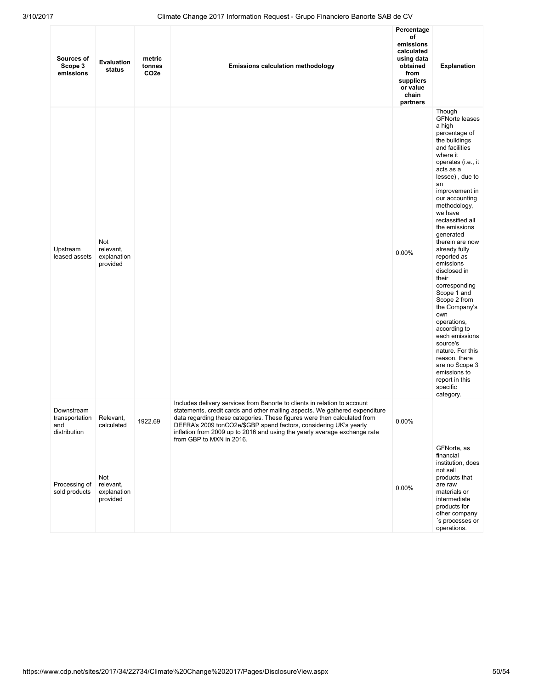| Sources of<br>Scope 3<br>emissions                  | <b>Evaluation</b><br>status                 | metric<br>tonnes<br>CO <sub>2e</sub> | <b>Emissions calculation methodology</b>                                                                                                                                                                                                                                                                                                                                                                           | Percentage<br>οf<br>emissions<br>calculated<br>using data<br>obtained<br>from<br>suppliers<br>or value<br>chain<br>partners | <b>Explanation</b>                                                                                                                                                                                                                                                                                                                                                                                                                                                                                                                                                                                                                     |
|-----------------------------------------------------|---------------------------------------------|--------------------------------------|--------------------------------------------------------------------------------------------------------------------------------------------------------------------------------------------------------------------------------------------------------------------------------------------------------------------------------------------------------------------------------------------------------------------|-----------------------------------------------------------------------------------------------------------------------------|----------------------------------------------------------------------------------------------------------------------------------------------------------------------------------------------------------------------------------------------------------------------------------------------------------------------------------------------------------------------------------------------------------------------------------------------------------------------------------------------------------------------------------------------------------------------------------------------------------------------------------------|
| Upstream<br>leased assets                           | Not<br>relevant,<br>explanation<br>provided |                                      |                                                                                                                                                                                                                                                                                                                                                                                                                    | 0.00%                                                                                                                       | Though<br><b>GFNorte leases</b><br>a high<br>percentage of<br>the buildings<br>and facilities<br>where it<br>operates (i.e., it<br>acts as a<br>lessee), due to<br>an<br>improvement in<br>our accounting<br>methodology,<br>we have<br>reclassified all<br>the emissions<br>generated<br>therein are now<br>already fully<br>reported as<br>emissions<br>disclosed in<br>their<br>corresponding<br>Scope 1 and<br>Scope 2 from<br>the Company's<br>own<br>operations,<br>according to<br>each emissions<br>source's<br>nature. For this<br>reason, there<br>are no Scope 3<br>emissions to<br>report in this<br>specific<br>category. |
| Downstream<br>transportation<br>and<br>distribution | Relevant,<br>calculated                     | 1922.69                              | Includes delivery services from Banorte to clients in relation to account<br>statements, credit cards and other mailing aspects. We gathered expenditure<br>data regarding these categories. These figures were then calculated from<br>DEFRA's 2009 tonCO2e/\$GBP spend factors, considering UK's yearly<br>inflation from 2009 up to 2016 and using the yearly average exchange rate<br>from GBP to MXN in 2016. | 0.00%                                                                                                                       |                                                                                                                                                                                                                                                                                                                                                                                                                                                                                                                                                                                                                                        |
| Processing of<br>sold products                      | Not<br>relevant,<br>explanation<br>provided |                                      |                                                                                                                                                                                                                                                                                                                                                                                                                    | 0.00%                                                                                                                       | GFNorte, as<br>financial<br>institution, does<br>not sell<br>products that<br>are raw<br>materials or<br>intermediate<br>products for<br>other company<br>'s processes or<br>operations.                                                                                                                                                                                                                                                                                                                                                                                                                                               |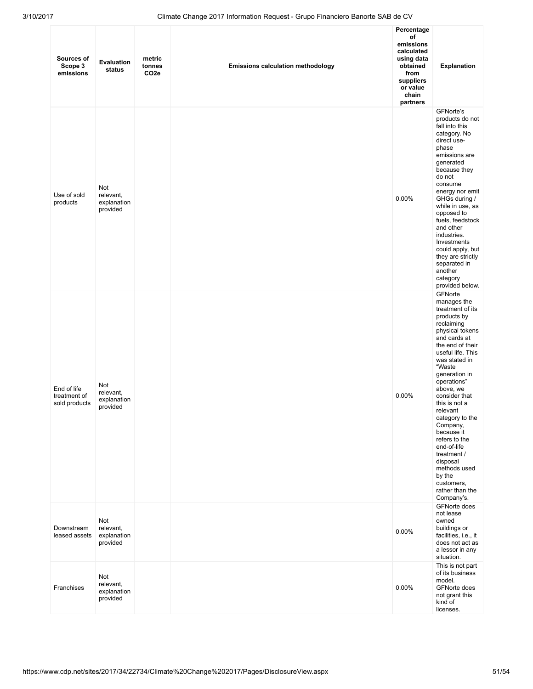| Sources of<br>Scope 3<br>emissions           | Evaluation<br>status                        | metric<br>tonnes<br>CO <sub>2e</sub> | <b>Emissions calculation methodology</b> | Percentage<br>οf<br>emissions<br>calculated<br>using data<br>obtained<br>from<br>suppliers<br>or value<br>chain<br>partners | <b>Explanation</b>                                                                                                                                                                                                                                                                                                                                                                                                                                         |
|----------------------------------------------|---------------------------------------------|--------------------------------------|------------------------------------------|-----------------------------------------------------------------------------------------------------------------------------|------------------------------------------------------------------------------------------------------------------------------------------------------------------------------------------------------------------------------------------------------------------------------------------------------------------------------------------------------------------------------------------------------------------------------------------------------------|
| Use of sold<br>products                      | Not<br>relevant,<br>explanation<br>provided |                                      |                                          | 0.00%                                                                                                                       | GFNorte's<br>products do not<br>fall into this<br>category. No<br>direct use-<br>phase<br>emissions are<br>generated<br>because they<br>do not<br>consume<br>energy nor emit<br>GHGs during /<br>while in use, as<br>opposed to<br>fuels, feedstock<br>and other<br>industries.<br>Investments<br>could apply, but<br>they are strictly<br>separated in<br>another<br>category<br>provided below.                                                          |
| End of life<br>treatment of<br>sold products | Not<br>relevant,<br>explanation<br>provided |                                      |                                          | 0.00%                                                                                                                       | GFNorte<br>manages the<br>treatment of its<br>products by<br>reclaiming<br>physical tokens<br>and cards at<br>the end of their<br>useful life. This<br>was stated in<br>"Waste<br>generation in<br>operations"<br>above, we<br>consider that<br>this is not a<br>relevant<br>category to the<br>Company,<br>because it<br>refers to the<br>end-of-life<br>treatment /<br>disposal<br>methods used<br>by the<br>customers,<br>rather than the<br>Company's. |
| Downstream<br>leased assets                  | Not<br>relevant,<br>explanation<br>provided |                                      |                                          | 0.00%                                                                                                                       | <b>GFNorte does</b><br>not lease<br>owned<br>buildings or<br>facilities, i.e., it<br>does not act as<br>a lessor in any<br>situation.                                                                                                                                                                                                                                                                                                                      |
| Franchises                                   | Not<br>relevant,<br>explanation<br>provided |                                      |                                          | 0.00%                                                                                                                       | This is not part<br>of its business<br>model.<br>GFNorte does<br>not grant this<br>kind of<br>licenses.                                                                                                                                                                                                                                                                                                                                                    |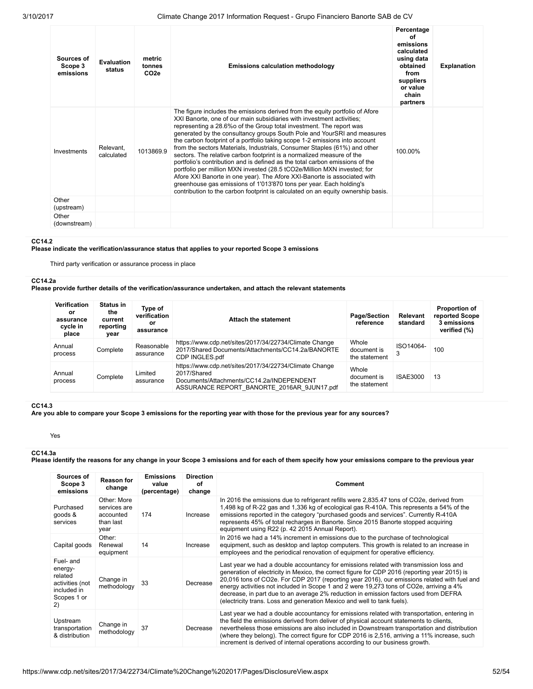| Sources of<br>Scope 3<br>emissions | <b>Evaluation</b><br>status | metric<br>tonnes<br>CO <sub>2e</sub> | <b>Emissions calculation methodology</b>                                                                                                                                                                                                                                                                                                                                                                                                                                                                                                                                                                                                                                                                                                                                                                                                                                                                                                       | Percentage<br>Ωf<br>emissions<br>calculated<br>using data<br>obtained<br>from<br>suppliers<br>or value<br>chain<br>partners | <b>Explanation</b> |
|------------------------------------|-----------------------------|--------------------------------------|------------------------------------------------------------------------------------------------------------------------------------------------------------------------------------------------------------------------------------------------------------------------------------------------------------------------------------------------------------------------------------------------------------------------------------------------------------------------------------------------------------------------------------------------------------------------------------------------------------------------------------------------------------------------------------------------------------------------------------------------------------------------------------------------------------------------------------------------------------------------------------------------------------------------------------------------|-----------------------------------------------------------------------------------------------------------------------------|--------------------|
| Investments                        | Relevant.<br>calculated     | 1013869.9                            | The figure includes the emissions derived from the equity portfolio of Afore<br>XXI Banorte, one of our main subsidiaries with investment activities;<br>representing a 28.6% of the Group total investment. The report was<br>generated by the consultancy groups South Pole and YourSRI and measures<br>the carbon footprint of a portfolio taking scope 1-2 emissions into account<br>from the sectors Materials, Industrials, Consumer Staples (61%) and other<br>sectors. The relative carbon footprint is a normalized measure of the<br>portfolio's contribution and is defined as the total carbon emissions of the<br>portfolio per million MXN invested (28.5 tCO2e/Million MXN invested; for<br>Afore XXI Banorte in one year). The Afore XXI-Banorte is associated with<br>greenhouse gas emissions of 1'013'870 tons per year. Each holding's<br>contribution to the carbon footprint is calculated on an equity ownership basis. | 100.00%                                                                                                                     |                    |
| Other<br>(upstream)                |                             |                                      |                                                                                                                                                                                                                                                                                                                                                                                                                                                                                                                                                                                                                                                                                                                                                                                                                                                                                                                                                |                                                                                                                             |                    |
| Other<br>(downstream)              |                             |                                      |                                                                                                                                                                                                                                                                                                                                                                                                                                                                                                                                                                                                                                                                                                                                                                                                                                                                                                                                                |                                                                                                                             |                    |

#### CC14.2

Please indicate the verification/assurance status that applies to your reported Scope 3 emissions

Third party verification or assurance process in place

### CC14.2a

Please provide further details of the verification/assurance undertaken, and attach the relevant statements

| Verification<br>or<br>assurance<br>cycle in<br>place | <b>Status in</b><br>the<br>current<br>reporting<br>vear | Type of<br>verification<br>or<br>assurance | <b>Attach the statement</b>                                                                                                                                      | <b>Page/Section</b><br>reference      | Relevant<br>standard | <b>Proportion of</b><br>reported Scope<br>3 emissions<br>verified (%) |
|------------------------------------------------------|---------------------------------------------------------|--------------------------------------------|------------------------------------------------------------------------------------------------------------------------------------------------------------------|---------------------------------------|----------------------|-----------------------------------------------------------------------|
| Annual<br>process                                    | Complete                                                | Reasonable<br>assurance                    | https://www.cdp.net/sites/2017/34/22734/Climate Change<br>2017/Shared Documents/Attachments/CC14.2a/BANORTE<br>CDP INGLES.pdf                                    | Whole<br>document is<br>the statement | ISO14064-            | 100                                                                   |
| Annual<br>process                                    | Complete                                                | Limited<br>assurance                       | https://www.cdp.net/sites/2017/34/22734/Climate Change<br>2017/Shared<br>Documents/Attachments/CC14.2a/INDEPENDENT<br>ASSURANCE REPORT BANORTE 2016AR 9JUN17.pdf | Whole<br>document is<br>the statement | ISAE3000             | 13                                                                    |

### CC14.3

Are you able to compare your Scope 3 emissions for the reporting year with those for the previous year for any sources?

Yes

### CC14.3a

Please identify the reasons for any change in your Scope 3 emissions and for each of them specify how your emissions compare to the previous year

| Sources of<br>Scope 3<br>emissions                                                     | <b>Reason for</b><br>change                                   | <b>Emissions</b><br>value<br>(percentage) | <b>Direction</b><br>οf<br>change | Comment                                                                                                                                                                                                                                                                                                                                                                                                                                                                                                                                               |
|----------------------------------------------------------------------------------------|---------------------------------------------------------------|-------------------------------------------|----------------------------------|-------------------------------------------------------------------------------------------------------------------------------------------------------------------------------------------------------------------------------------------------------------------------------------------------------------------------------------------------------------------------------------------------------------------------------------------------------------------------------------------------------------------------------------------------------|
| Purchased<br>goods &<br>services                                                       | Other: More<br>services are<br>accounted<br>than last<br>year | 174                                       | Increase                         | In 2016 the emissions due to refrigerant refills were 2,835.47 tons of CO2e, derived from<br>1,498 kg of R-22 gas and 1,336 kg of ecological gas R-410A. This represents a 54% of the<br>emissions reported in the category "purchased goods and services". Currently R-410A<br>represents 45% of total recharges in Banorte. Since 2015 Banorte stopped acquiring<br>equipment using R22 (p. 42 2015 Annual Report).                                                                                                                                 |
| Capital goods                                                                          | Other:<br>Renewal<br>equipment                                | 14                                        | Increase                         | In 2016 we had a 14% increment in emissions due to the purchase of technological<br>equipment, such as desktop and laptop computers. This growth is related to an increase in<br>employees and the periodical renovation of equipment for operative efficiency.                                                                                                                                                                                                                                                                                       |
| Fuel- and<br>energy-<br>related<br>activities (not<br>included in<br>Scopes 1 or<br>2) | Change in<br>methodology                                      | 33                                        | Decrease                         | Last year we had a double accountancy for emissions related with transmission loss and<br>generation of electricity in Mexico, the correct figure for CDP 2016 (reporting year 2015) is<br>20,016 tons of CO2e. For CDP 2017 (reporting year 2016), our emissions related with fuel and<br>energy activities not included in Scope 1 and 2 were 19,273 tons of CO2e, arriving a 4%<br>decrease, in part due to an average 2% reduction in emission factors used from DEFRA<br>(electricity trans. Loss and generation Mexico and well to tank fuels). |
| Upstream<br>transportation<br>& distribution                                           | Change in<br>methodology                                      | 37                                        | Decrease                         | Last year we had a double accountancy for emissions related with transportation, entering in<br>the field the emissions derived from deliver of physical account statements to clients,<br>nevertheless those emissions are also included in Downstream transportation and distribution<br>(where they belong). The correct figure for CDP 2016 is 2,516, arriving a 11% increase, such<br>increment is derived of internal operations according to our business growth.                                                                              |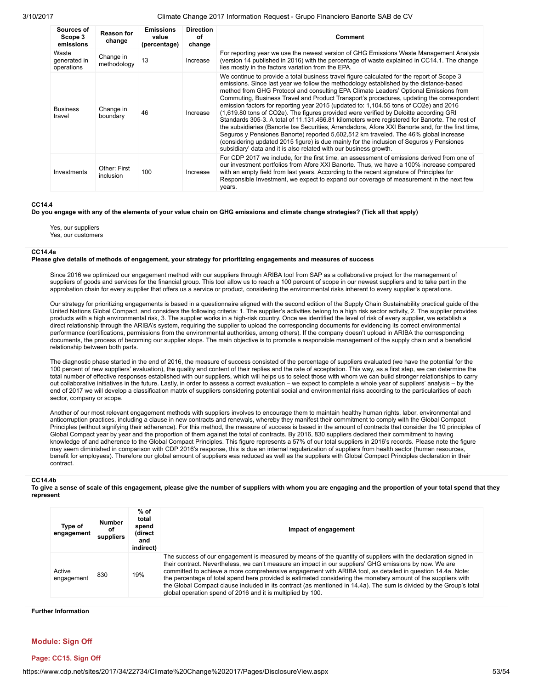| Sources of<br>Scope 3<br>emissions  | <b>Reason for</b><br>change | <b>Emissions</b><br>value<br>(percentage) | <b>Direction</b><br>οf<br>change | Comment                                                                                                                                                                                                                                                                                                                                                                                                                                                                                                                                                                                                                                                                                                                                                                                                                                                                                                                                                                                                                    |
|-------------------------------------|-----------------------------|-------------------------------------------|----------------------------------|----------------------------------------------------------------------------------------------------------------------------------------------------------------------------------------------------------------------------------------------------------------------------------------------------------------------------------------------------------------------------------------------------------------------------------------------------------------------------------------------------------------------------------------------------------------------------------------------------------------------------------------------------------------------------------------------------------------------------------------------------------------------------------------------------------------------------------------------------------------------------------------------------------------------------------------------------------------------------------------------------------------------------|
| Waste<br>generated in<br>operations | Change in<br>methodology    | 13                                        | Increase                         | For reporting year we use the newest version of GHG Emissions Waste Management Analysis<br>(version 14 published in 2016) with the percentage of waste explained in CC14.1. The change<br>lies mostly in the factors variation from the EPA.                                                                                                                                                                                                                                                                                                                                                                                                                                                                                                                                                                                                                                                                                                                                                                               |
| <b>Business</b><br>travel           | Change in<br>boundary       | 46                                        | Increase                         | We continue to provide a total business travel figure calculated for the report of Scope 3<br>emissions. Since last year we follow the methodology established by the distance-based<br>method from GHG Protocol and consulting EPA Climate Leaders' Optional Emissions from<br>Commuting, Business Travel and Product Transport's procedures, updating the correspondent<br>emission factors for reporting year 2015 (updated to: 1,104.55 tons of CO2e) and 2016<br>(1,619.80 tons of CO2e). The figures provided were verified by Deloitte according GRI<br>Standards 305-3. A total of 11,131,466.81 kilometers were registered for Banorte. The rest of<br>the subsidiaries (Banorte Ixe Securities, Arrendadora, Afore XXI Banorte and, for the first time,<br>Seguros y Pensiones Banorte) reported 5,602,512 km traveled. The 46% global increase<br>(considering updated 2015 figure) is due mainly for the inclusion of Seguros y Pensiones<br>subsidiary' data and it is also related with our business growth. |
| Investments                         | Other: First<br>inclusion   | 100                                       | Increase                         | For CDP 2017 we include, for the first time, an assessment of emissions derived from one of<br>our investment portfolios from Afore XXI Banorte. Thus, we have a 100% increase compared<br>with an empty field from last years. According to the recent signature of Principles for<br>Responsible Investment, we expect to expand our coverage of measurement in the next few<br>years.                                                                                                                                                                                                                                                                                                                                                                                                                                                                                                                                                                                                                                   |

#### CC14.4

Do you engage with any of the elements of your value chain on GHG emissions and climate change strategies? (Tick all that apply)

Yes, our suppliers

Yes, our customers

#### CC14.4a

#### Please give details of methods of engagement, your strategy for prioritizing engagements and measures of success

Since 2016 we optimized our engagement method with our suppliers through ARIBA tool from SAP as a collaborative project for the management of suppliers of goods and services for the financial group. This tool allow us to reach a 100 percent of scope in our newest suppliers and to take part in the approbation chain for every supplier that offers us a service or product, considering the environmental risks inherent to every supplier's operations.

Our strategy for prioritizing engagements is based in a questionnaire aligned with the second edition of the Supply Chain Sustainability practical guide of the United Nations Global Compact, and considers the following criteria: 1. The supplier's activities belong to a high risk sector activity, 2. The supplier provides products with a high environmental risk, 3. The supplier works in a high-risk country. Once we identified the level of risk of every supplier, we establish a direct relationship through the ARIBA's system, requiring the supplier to upload the corresponding documents for evidencing its correct environmental performance (certifications, permissions from the environmental authorities, among others). If the company doesn't upload in ARIBA the corresponding documents, the process of becoming our supplier stops. The main objective is to promote a responsible management of the supply chain and a beneficial relationship between both parts.

The diagnostic phase started in the end of 2016, the measure of success consisted of the percentage of suppliers evaluated (we have the potential for the 100 percent of new suppliers' evaluation), the quality and content of their replies and the rate of acceptation. This way, as a first step, we can determine the total number of effective responses established with our suppliers, which will helps us to select those with whom we can build stronger relationships to carry out collaborative initiatives in the future. Lastly, in order to assess a correct evaluation – we expect to complete a whole year of suppliers' analysis – by the end of 2017 we will develop a classification matrix of suppliers considering potential social and environmental risks according to the particularities of each sector, company or scope.

Another of our most relevant engagement methods with suppliers involves to encourage them to maintain healthy human rights, labor, environmental and anticorruption practices, including a clause in new contracts and renewals, whereby they manifest their commitment to comply with the Global Compact Principles (without signifying their adherence). For this method, the measure of success is based in the amount of contracts that consider the 10 principles of Global Compact year by year and the proportion of them against the total of contracts. By 2016, 830 suppliers declared their commitment to having knowledge of and adherence to the Global Compact Principles. This figure represents a 57% of our total suppliers in 2016's records. Please note the figure may seem diminished in comparison with CDP 2016's response, this is due an internal regularization of suppliers from health sector (human resources, benefit for employees). Therefore our global amount of suppliers was reduced as well as the suppliers with Global Compact Principles declaration in their contract.

#### CC14.4b

To give a sense of scale of this engagement, please give the number of suppliers with whom you are engaging and the proportion of your total spend that they represent

| Type of<br>engagement | <b>Number</b><br>οt<br>suppliers | $%$ of<br>total<br>spend<br>(direct<br>and<br>indirect) | Impact of engagement                                                                                                                                                                                                                                                                                                                                                                                                                                                                                                                                                                                                                            |
|-----------------------|----------------------------------|---------------------------------------------------------|-------------------------------------------------------------------------------------------------------------------------------------------------------------------------------------------------------------------------------------------------------------------------------------------------------------------------------------------------------------------------------------------------------------------------------------------------------------------------------------------------------------------------------------------------------------------------------------------------------------------------------------------------|
| Active<br>engagement  | 830                              | 19%                                                     | The success of our engagement is measured by means of the quantity of suppliers with the declaration signed in<br>their contract. Nevertheless, we can't measure an impact in our suppliers' GHG emissions by now. We are<br>committed to achieve a more comprehensive engagement with ARIBA tool, as detailed in question 14.4a. Note:<br>the percentage of total spend here provided is estimated considering the monetary amount of the suppliers with<br>the Global Compact clause included in its contract (as mentioned in 14.4a). The sum is divided by the Group's total<br>global operation spend of 2016 and it is multiplied by 100. |

Further Information

### Module: Sign Off

### Page: CC15. Sign Off